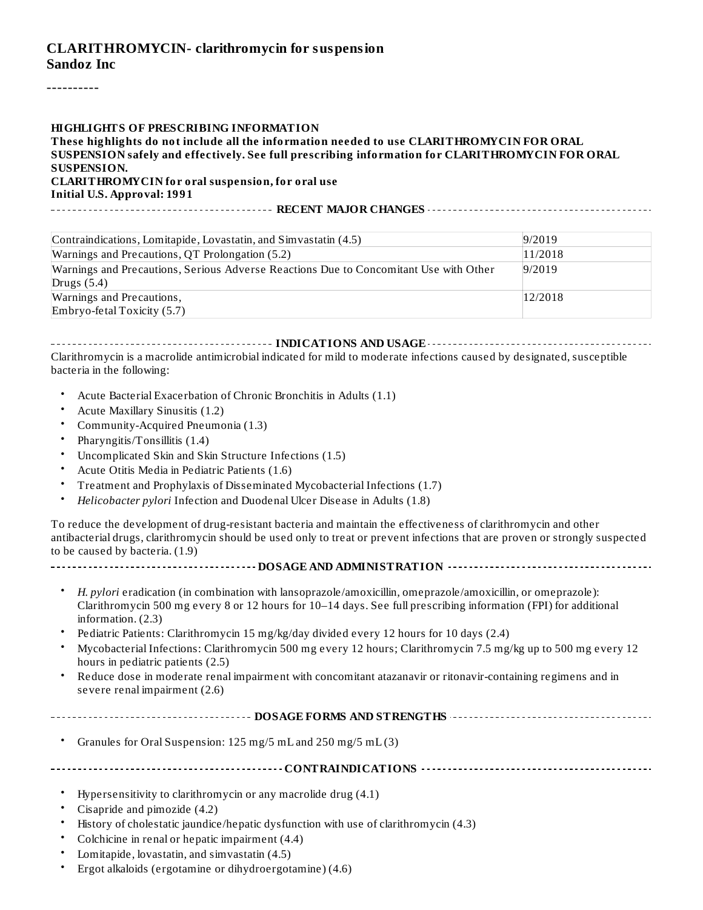#### **CLARITHROMYCIN- clarithromycin for suspension Sandoz Inc**

----------

#### **HIGHLIGHTS OF PRESCRIBING INFORMATION**

**These highlights do not include all the information needed to use CLARITHROMYCIN FOR ORAL SUSPENSION safely and effectively. See full prescribing information for CLARITHROMYCIN FOR ORAL SUSPENSION.**

**CLARITHROMYCIN for oral suspension, for oral use Initial U.S. Approval: 1991**

**RECENT MAJOR CHANGES**

| Contraindications, Lomitapide, Lovastatin, and Simvastatin (4.5)                      | 9/2019  |
|---------------------------------------------------------------------------------------|---------|
| Warnings and Precautions, QT Prolongation (5.2)                                       | 11/2018 |
| Warnings and Precautions, Serious Adverse Reactions Due to Concomitant Use with Other | 9/2019  |
| Drugs $(5.4)$                                                                         |         |
| Warnings and Precautions,                                                             | 12/2018 |
| Embryo-fetal Toxicity $(5.7)$                                                         |         |

**INDICATIONS AND USAGE INDICATIONS AND USAGE** *CONSIDERATIONS* **AND USAGE** *AND* **USAGE** *AND* **USAGE** *AND* Clarithromycin is a macrolide antimicrobial indicated for mild to moderate infections caused by designated, susceptible bacteria in the following:

- Acute Bacterial Exacerbation of Chronic Bronchitis in Adults (1.1)
- Acute Maxillary Sinusitis (1.2)
- Community-Acquired Pneumonia (1.3)
- Pharyngitis/Tonsillitis (1.4)
- Uncomplicated Skin and Skin Structure Infections (1.5)
- Acute Otitis Media in Pediatric Patients (1.6)
- Treatment and Prophylaxis of Disseminated Mycobacterial Infections (1.7)
- *Helicobacter pylori* Infection and Duodenal Ulcer Disease in Adults (1.8)

To reduce the development of drug-resistant bacteria and maintain the effectiveness of clarithromycin and other antibacterial drugs, clarithromycin should be used only to treat or prevent infections that are proven or strongly suspected to be caused by bacteria. (1.9)

- **DOSAGE AND ADMINISTRATION**
	- *H. pylori* eradication (in combination with lansoprazole/amoxicillin, omeprazole/amoxicillin, or omeprazole): Clarithromycin 500 mg every 8 or 12 hours for 10–14 days. See full prescribing information (FPI) for additional information. (2.3)
	- Pediatric Patients: Clarithromycin 15 mg/kg/day divided every 12 hours for 10 days (2.4)
	- Mycobacterial Infections: Clarithromycin 500 mg every 12 hours; Clarithromycin 7.5 mg/kg up to 500 mg every 12 hours in pediatric patients (2.5)
	- Reduce dose in moderate renal impairment with concomitant atazanavir or ritonavir-containing regimens and in severe renal impairment (2.6)
- **DOSAGE FORMS AND STRENGTHS**
	- Granules for Oral Suspension: 125 mg/5 mL and 250 mg/5 mL (3)

**CONTRAINDICATIONS**

- Hypersensitivity to clarithromycin or any macrolide drug (4.1)
- Cisapride and pimozide (4.2)
- History of cholestatic jaundice/hepatic dysfunction with use of clarithromycin (4.3)
- Colchicine in renal or hepatic impairment (4.4)
- Lomitapide, lovastatin, and simvastatin (4.5)
- Ergot alkaloids (ergotamine or dihydroergotamine) (4.6)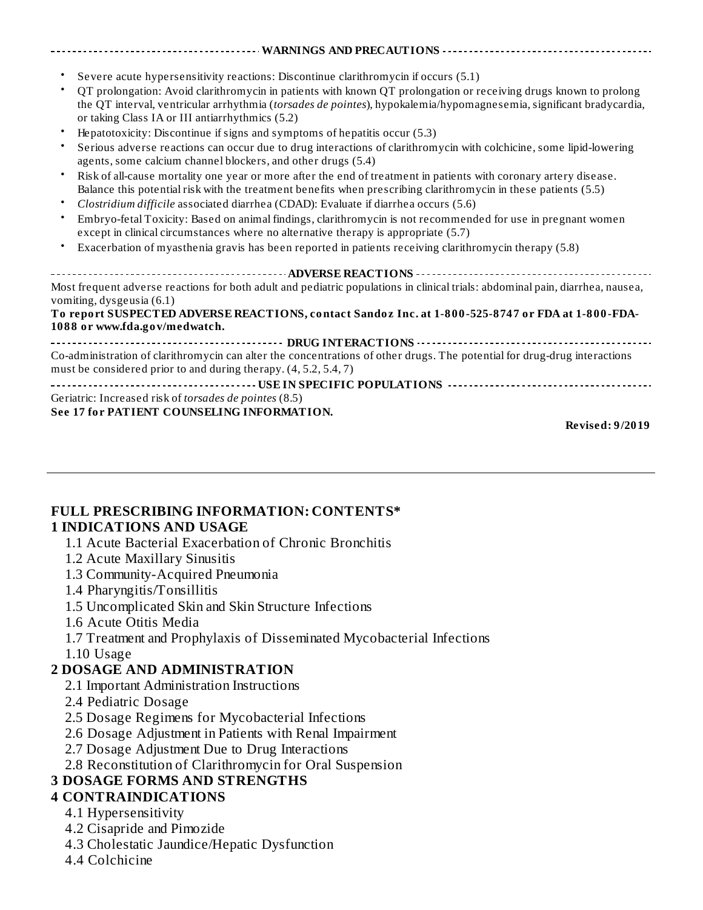**See 17 for PATIENT COUNSELING INFORMATION.**

**Revised: 9/2019**

#### **FULL PRESCRIBING INFORMATION: CONTENTS\* 1 INDICATIONS AND USAGE**

- 1.1 Acute Bacterial Exacerbation of Chronic Bronchitis
- 1.2 Acute Maxillary Sinusitis
- 1.3 Community-Acquired Pneumonia
- 1.4 Pharyngitis/Tonsillitis
- 1.5 Uncomplicated Skin and Skin Structure Infections
- 1.6 Acute Otitis Media
- 1.7 Treatment and Prophylaxis of Disseminated Mycobacterial Infections
- 1.10 Usage

# **2 DOSAGE AND ADMINISTRATION**

- 2.1 Important Administration Instructions
- 2.4 Pediatric Dosage
- 2.5 Dosage Regimens for Mycobacterial Infections
- 2.6 Dosage Adjustment in Patients with Renal Impairment
- 2.7 Dosage Adjustment Due to Drug Interactions
- 2.8 Reconstitution of Clarithromycin for Oral Suspension

## **3 DOSAGE FORMS AND STRENGTHS**

## **4 CONTRAINDICATIONS**

- 4.1 Hypersensitivity
- 4.2 Cisapride and Pimozide
- 4.3 Cholestatic Jaundice/Hepatic Dysfunction
- 4.4 Colchicine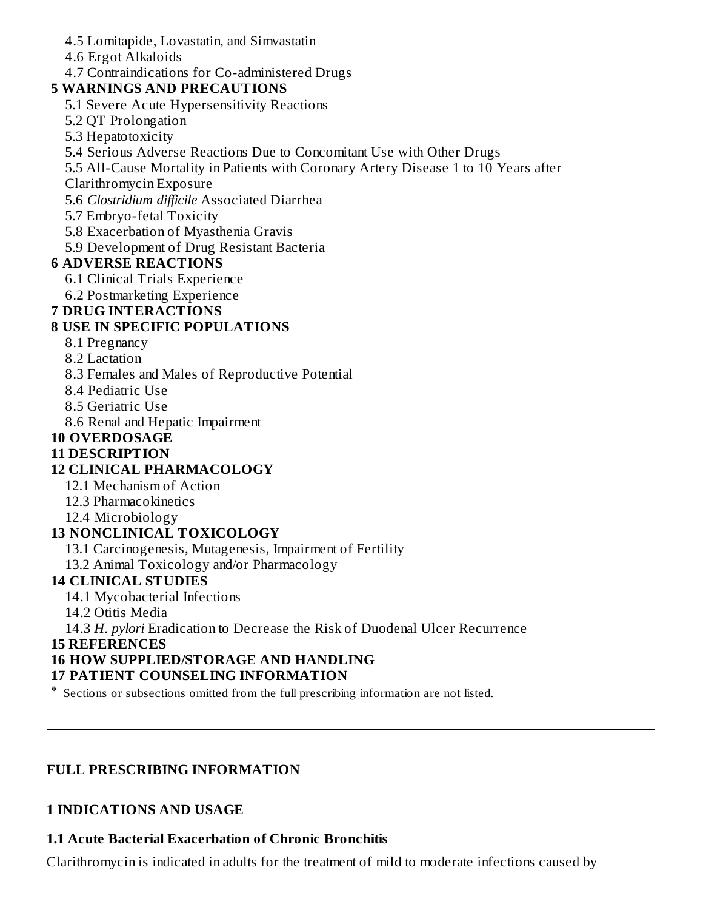- 4.5 Lomitapide, Lovastatin, and Simvastatin
- 4.6 Ergot Alkaloids
- 4.7 Contraindications for Co-administered Drugs

# **5 WARNINGS AND PRECAUTIONS**

- 5.1 Severe Acute Hypersensitivity Reactions
- 5.2 QT Prolongation
- 5.3 Hepatotoxicity
- 5.4 Serious Adverse Reactions Due to Concomitant Use with Other Drugs
- 5.5 All-Cause Mortality in Patients with Coronary Artery Disease 1 to 10 Years after
- Clarithromycin Exposure
- 5.6 *Clostridium difficile* Associated Diarrhea
- 5.7 Embryo-fetal Toxicity
- 5.8 Exacerbation of Myasthenia Gravis
- 5.9 Development of Drug Resistant Bacteria

# **6 ADVERSE REACTIONS**

- 6.1 Clinical Trials Experience
- 6.2 Postmarketing Experience

# **7 DRUG INTERACTIONS**

# **8 USE IN SPECIFIC POPULATIONS**

- 8.1 Pregnancy
- 8.2 Lactation
- 8.3 Females and Males of Reproductive Potential
- 8.4 Pediatric Use
- 8.5 Geriatric Use
- 8.6 Renal and Hepatic Impairment

# **10 OVERDOSAGE**

# **11 DESCRIPTION**

# **12 CLINICAL PHARMACOLOGY**

- 12.1 Mechanism of Action
- 12.3 Pharmacokinetics
- 12.4 Microbiology

# **13 NONCLINICAL TOXICOLOGY**

- 13.1 Carcinogenesis, Mutagenesis, Impairment of Fertility
- 13.2 Animal Toxicology and/or Pharmacology

# **14 CLINICAL STUDIES**

- 14.1 Mycobacterial Infections
- 14.2 Otitis Media
- 14.3 *H. pylori* Eradication to Decrease the Risk of Duodenal Ulcer Recurrence

# **15 REFERENCES**

# **16 HOW SUPPLIED/STORAGE AND HANDLING**

# **17 PATIENT COUNSELING INFORMATION**

\* Sections or subsections omitted from the full prescribing information are not listed.

# **FULL PRESCRIBING INFORMATION**

# **1 INDICATIONS AND USAGE**

# **1.1 Acute Bacterial Exacerbation of Chronic Bronchitis**

Clarithromycin is indicated in adults for the treatment of mild to moderate infections caused by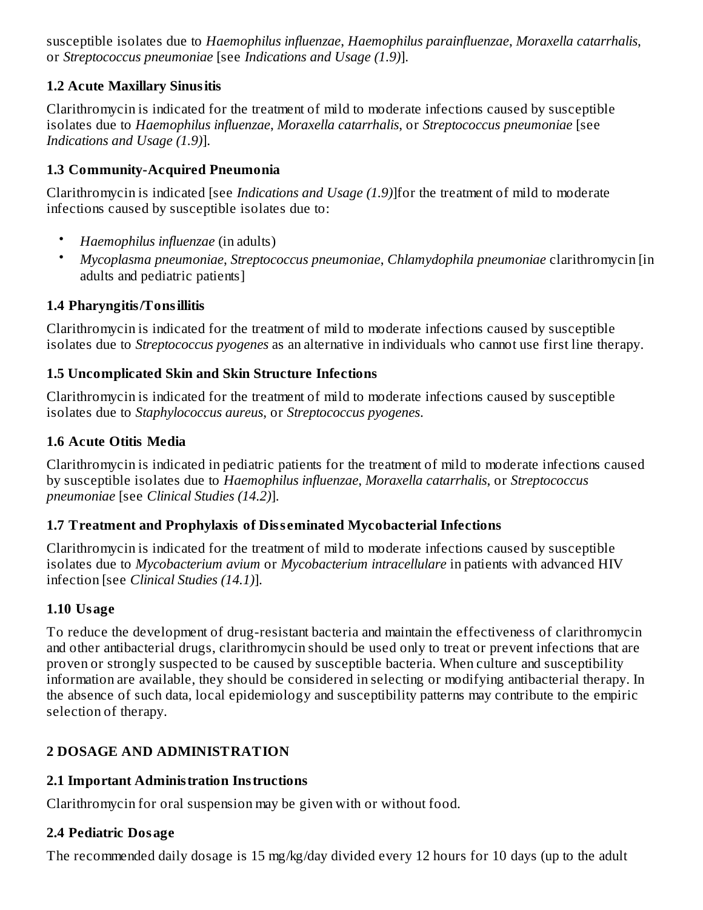susceptible isolates due to *Haemophilus influenzae*, *Haemophilus parainfluenzae*, *Moraxella catarrhalis*, or *Streptococcus pneumoniae* [see *Indications and Usage (1.9)*].

## **1.2 Acute Maxillary Sinusitis**

Clarithromycin is indicated for the treatment of mild to moderate infections caused by susceptible isolates due to *Haemophilus influenzae*, *Moraxella catarrhalis*, or *Streptococcus pneumoniae* [see *Indications and Usage (1.9)*].

## **1.3 Community-Acquired Pneumonia**

Clarithromycin is indicated [see *Indications and Usage (1.9)*]for the treatment of mild to moderate infections caused by susceptible isolates due to:

- *Haemophilus influenzae* (in adults)
- *Mycoplasma pneumoniae*, *Streptococcus pneumoniae*, *Chlamydophila pneumoniae* clarithromycin [in adults and pediatric patients]

## **1.4 Pharyngitis/Tonsillitis**

Clarithromycin is indicated for the treatment of mild to moderate infections caused by susceptible isolates due to *Streptococcus pyogenes* as an alternative in individuals who cannot use first line therapy.

## **1.5 Uncomplicated Skin and Skin Structure Infections**

Clarithromycin is indicated for the treatment of mild to moderate infections caused by susceptible isolates due to *Staphylococcus aureus*, or *Streptococcus pyogenes*.

## **1.6 Acute Otitis Media**

Clarithromycin is indicated in pediatric patients for the treatment of mild to moderate infections caused by susceptible isolates due to *Haemophilus influenzae*, *Moraxella catarrhalis*, or *Streptococcus pneumoniae* [see *Clinical Studies (14.2)*].

# **1.7 Treatment and Prophylaxis of Diss eminated Mycobacterial Infections**

Clarithromycin is indicated for the treatment of mild to moderate infections caused by susceptible isolates due to *Mycobacterium avium* or *Mycobacterium intracellulare* in patients with advanced HIV infection [see *Clinical Studies (14.1)*].

## **1.10 Usage**

To reduce the development of drug-resistant bacteria and maintain the effectiveness of clarithromycin and other antibacterial drugs, clarithromycin should be used only to treat or prevent infections that are proven or strongly suspected to be caused by susceptible bacteria. When culture and susceptibility information are available, they should be considered in selecting or modifying antibacterial therapy. In the absence of such data, local epidemiology and susceptibility patterns may contribute to the empiric selection of therapy.

# **2 DOSAGE AND ADMINISTRATION**

# **2.1 Important Administration Instructions**

Clarithromycin for oral suspension may be given with or without food.

# **2.4 Pediatric Dosage**

The recommended daily dosage is 15 mg/kg/day divided every 12 hours for 10 days (up to the adult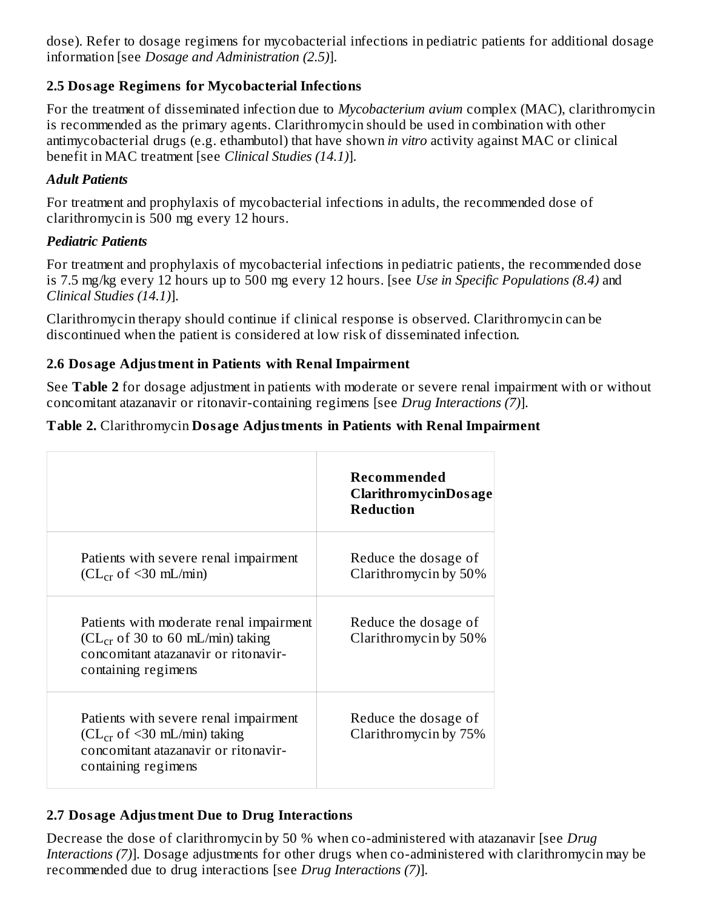dose). Refer to dosage regimens for mycobacterial infections in pediatric patients for additional dosage information [see *Dosage and Administration (2.5)*].

# **2.5 Dosage Regimens for Mycobacterial Infections**

For the treatment of disseminated infection due to *Mycobacterium avium* complex (MAC), clarithromycin is recommended as the primary agents. Clarithromycin should be used in combination with other antimycobacterial drugs (e.g. ethambutol) that have shown *in vitro* activity against MAC or clinical benefit in MAC treatment [see *Clinical Studies (14.1)*].

# *Adult Patients*

For treatment and prophylaxis of mycobacterial infections in adults, the recommended dose of clarithromycin is 500 mg every 12 hours.

# *Pediatric Patients*

For treatment and prophylaxis of mycobacterial infections in pediatric patients, the recommended dose is 7.5 mg/kg every 12 hours up to 500 mg every 12 hours. [see *Use in Specific Populations (8.4)* and *Clinical Studies (14.1)*].

Clarithromycin therapy should continue if clinical response is observed. Clarithromycin can be discontinued when the patient is considered at low risk of disseminated infection.

# **2.6 Dosage Adjustment in Patients with Renal Impairment**

See **Table 2** for dosage adjustment in patients with moderate or severe renal impairment with or without concomitant atazanavir or ritonavir-containing regimens [see *Drug Interactions (7)*].

# **Table 2.** Clarithromycin **Dosage Adjustments in Patients with Renal Impairment**

|                                                                                                                                                | Recommended<br><b>ClarithromycinDosage</b><br><b>Reduction</b> |
|------------------------------------------------------------------------------------------------------------------------------------------------|----------------------------------------------------------------|
| Patients with severe renal impairment<br>$CL_{cr}$ of <30 mL/min)                                                                              | Reduce the dosage of<br>Clarithromycin by 50%                  |
| Patients with moderate renal impairment<br>$CL_{cr}$ of 30 to 60 mL/min) taking<br>concomitant atazanavir or ritonavir-<br>containing regimens | Reduce the dosage of<br>Clarithromycin by 50%                  |
| Patients with severe renal impairment<br>$CL_{cr}$ of <30 mL/min) taking<br>concomitant atazanavir or ritonavir-<br>containing regimens        | Reduce the dosage of<br>Clarithromycin by 75%                  |

# **2.7 Dosage Adjustment Due to Drug Interactions**

Decrease the dose of clarithromycin by 50 % when co-administered with atazanavir [see *Drug Interactions (7)*]. Dosage adjustments for other drugs when co-administered with clarithromycin may be recommended due to drug interactions [see *Drug Interactions (7)*].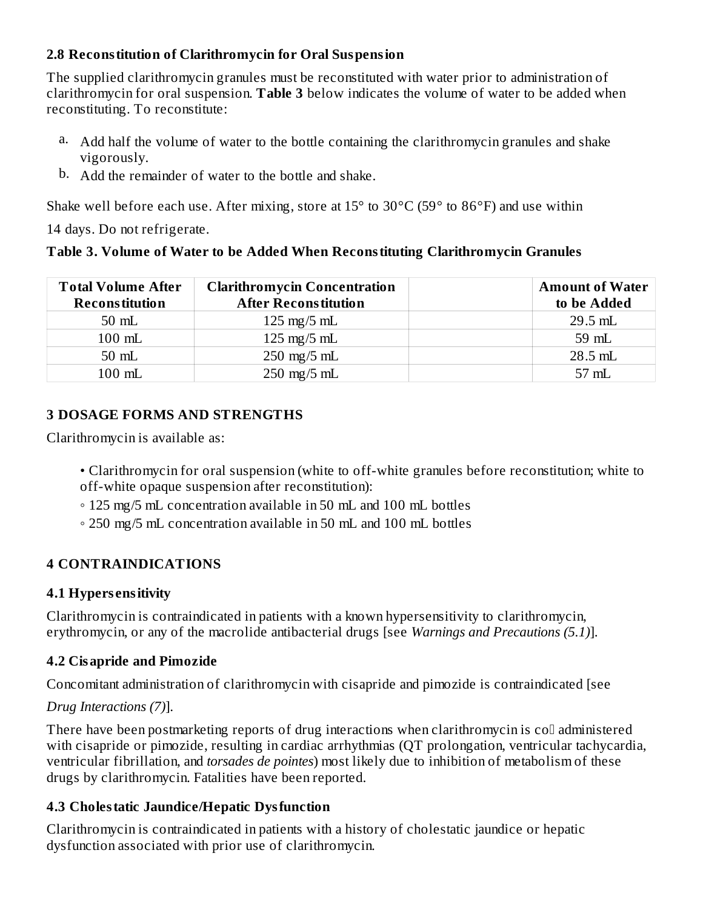## **2.8 Reconstitution of Clarithromycin for Oral Suspension**

The supplied clarithromycin granules must be reconstituted with water prior to administration of clarithromycin for oral suspension. **Table 3** below indicates the volume of water to be added when reconstituting. To reconstitute:

- a. Add half the volume of water to the bottle containing the clarithromycin granules and shake vigorously.
- b. Add the remainder of water to the bottle and shake.

Shake well before each use. After mixing, store at  $15^{\circ}$  to  $30^{\circ}$ C (59 $^{\circ}$  to  $86^{\circ}$ F) and use within

14 days. Do not refrigerate.

## **Table 3. Volume of Water to be Added When Reconstituting Clarithromycin Granules**

| <b>Total Volume After</b><br><b>Reconstitution</b> | <b>Clarithromycin Concentration</b><br><b>After Reconstitution</b> | <b>Amount of Water</b><br>to be Added |
|----------------------------------------------------|--------------------------------------------------------------------|---------------------------------------|
| $50$ mL                                            | $125 \text{ mg}/5 \text{ mL}$                                      | $29.5$ mL                             |
| $100$ mL                                           | $125 \text{ mg}/5 \text{ mL}$                                      | 59 mL                                 |
| $50$ mL                                            | $250 \text{ mg}/5 \text{ mL}$                                      | $28.5$ mL                             |
| $100$ mL                                           | $250 \text{ mg}/5 \text{ mL}$                                      | 57 mL                                 |

## **3 DOSAGE FORMS AND STRENGTHS**

Clarithromycin is available as:

- Clarithromycin for oral suspension (white to off-white granules before reconstitution; white to off-white opaque suspension after reconstitution):
- 125 mg/5 mL concentration available in 50 mL and 100 mL bottles
- 250 mg/5 mL concentration available in 50 mL and 100 mL bottles

# **4 CONTRAINDICATIONS**

## **4.1 Hypers ensitivity**

Clarithromycin is contraindicated in patients with a known hypersensitivity to clarithromycin, erythromycin, or any of the macrolide antibacterial drugs [see *Warnings and Precautions (5.1)*].

## **4.2 Cisapride and Pimozide**

Concomitant administration of clarithromycin with cisapride and pimozide is contraindicated [see

# *Drug Interactions (7)*].

There have been postmarketing reports of drug interactions when clarithromycin is  $\text{col}$  administered with cisapride or pimozide, resulting in cardiac arrhythmias (QT prolongation, ventricular tachycardia, ventricular fibrillation, and *torsades de pointes*) most likely due to inhibition of metabolism of these drugs by clarithromycin. Fatalities have been reported.

# **4.3 Cholestatic Jaundice/Hepatic Dysfunction**

Clarithromycin is contraindicated in patients with a history of cholestatic jaundice or hepatic dysfunction associated with prior use of clarithromycin.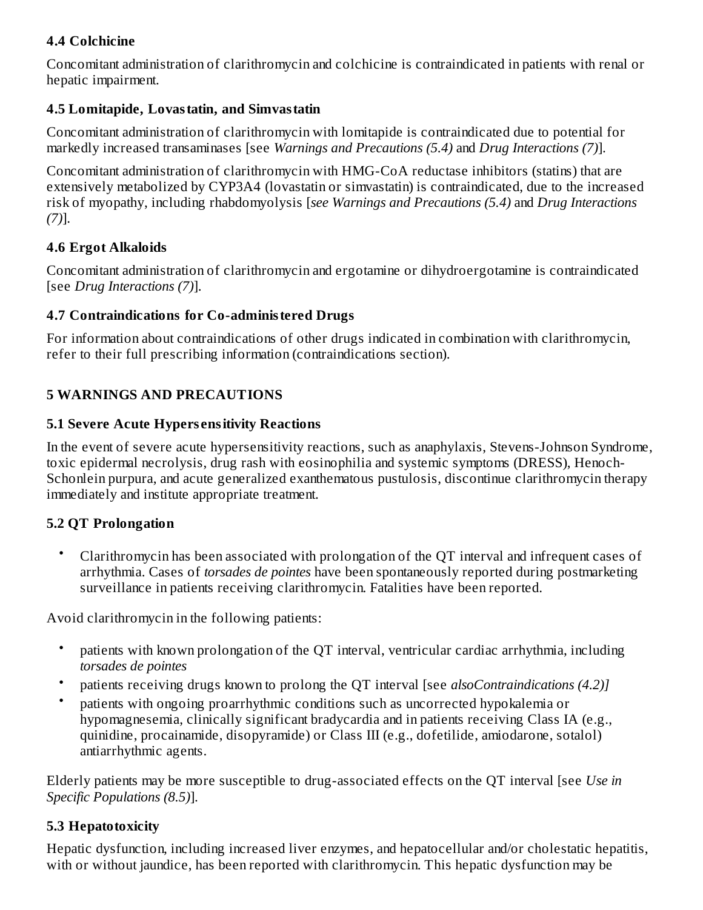# **4.4 Colchicine**

Concomitant administration of clarithromycin and colchicine is contraindicated in patients with renal or hepatic impairment.

## **4.5 Lomitapide, Lovastatin, and Simvastatin**

Concomitant administration of clarithromycin with lomitapide is contraindicated due to potential for markedly increased transaminases [see *Warnings and Precautions (5.4)* and *Drug Interactions (7)*].

Concomitant administration of clarithromycin with HMG-CoA reductase inhibitors (statins) that are extensively metabolized by CYP3A4 (lovastatin or simvastatin) is contraindicated, due to the increased risk of myopathy, including rhabdomyolysis [*see Warnings and Precautions (5.4)* and *Drug Interactions (7)*].

## **4.6 Ergot Alkaloids**

Concomitant administration of clarithromycin and ergotamine or dihydroergotamine is contraindicated [see *Drug Interactions (7)*].

## **4.7 Contraindications for Co-administered Drugs**

For information about contraindications of other drugs indicated in combination with clarithromycin, refer to their full prescribing information (contraindications section).

## **5 WARNINGS AND PRECAUTIONS**

## **5.1 Severe Acute Hypers ensitivity Reactions**

In the event of severe acute hypersensitivity reactions, such as anaphylaxis, Stevens-Johnson Syndrome, toxic epidermal necrolysis, drug rash with eosinophilia and systemic symptoms (DRESS), Henoch-Schonlein purpura, and acute generalized exanthematous pustulosis, discontinue clarithromycin therapy immediately and institute appropriate treatment.

## **5.2 QT Prolongation**

• Clarithromycin has been associated with prolongation of the QT interval and infrequent cases of arrhythmia. Cases of *torsades de pointes* have been spontaneously reported during postmarketing surveillance in patients receiving clarithromycin. Fatalities have been reported.

Avoid clarithromycin in the following patients:

- patients with known prolongation of the QT interval, ventricular cardiac arrhythmia, including *torsades de pointes*
- patients receiving drugs known to prolong the QT interval [see *alsoContraindications (4.2)]*
- patients with ongoing proarrhythmic conditions such as uncorrected hypokalemia or hypomagnesemia, clinically significant bradycardia and in patients receiving Class IA (e.g., quinidine, procainamide, disopyramide) or Class III (e.g., dofetilide, amiodarone, sotalol) antiarrhythmic agents.

Elderly patients may be more susceptible to drug-associated effects on the QT interval [see *Use in Specific Populations (8.5)*].

## **5.3 Hepatotoxicity**

Hepatic dysfunction, including increased liver enzymes, and hepatocellular and/or cholestatic hepatitis, with or without jaundice, has been reported with clarithromycin. This hepatic dysfunction may be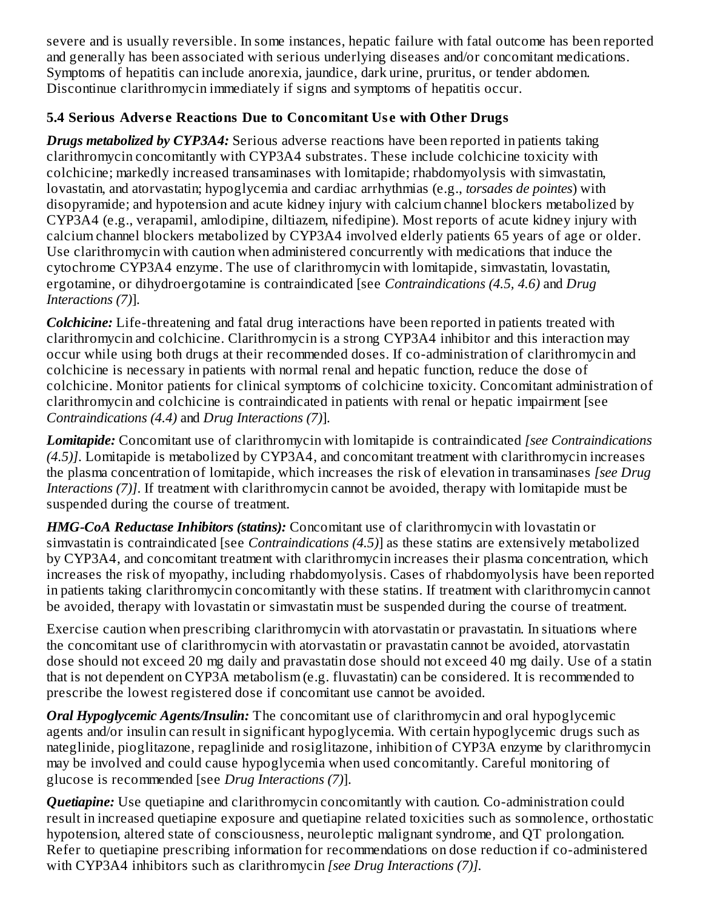severe and is usually reversible. In some instances, hepatic failure with fatal outcome has been reported and generally has been associated with serious underlying diseases and/or concomitant medications. Symptoms of hepatitis can include anorexia, jaundice, dark urine, pruritus, or tender abdomen. Discontinue clarithromycin immediately if signs and symptoms of hepatitis occur.

# **5.4 Serious Advers e Reactions Due to Concomitant Us e with Other Drugs**

*Drugs metabolized by CYP3A4:* Serious adverse reactions have been reported in patients taking clarithromycin concomitantly with CYP3A4 substrates. These include colchicine toxicity with colchicine; markedly increased transaminases with lomitapide; rhabdomyolysis with simvastatin, lovastatin, and atorvastatin; hypoglycemia and cardiac arrhythmias (e.g., *torsades de pointes*) with disopyramide; and hypotension and acute kidney injury with calcium channel blockers metabolized by CYP3A4 (e.g., verapamil, amlodipine, diltiazem, nifedipine). Most reports of acute kidney injury with calcium channel blockers metabolized by CYP3A4 involved elderly patients 65 years of age or older. Use clarithromycin with caution when administered concurrently with medications that induce the cytochrome CYP3A4 enzyme. The use of clarithromycin with lomitapide, simvastatin, lovastatin, ergotamine, or dihydroergotamine is contraindicated [see *Contraindications (4.5, 4.6)* and *Drug Interactions (7)*].

*Colchicine:* Life-threatening and fatal drug interactions have been reported in patients treated with clarithromycin and colchicine. Clarithromycin is a strong CYP3A4 inhibitor and this interaction may occur while using both drugs at their recommended doses. If co-administration of clarithromycin and colchicine is necessary in patients with normal renal and hepatic function, reduce the dose of colchicine. Monitor patients for clinical symptoms of colchicine toxicity. Concomitant administration of clarithromycin and colchicine is contraindicated in patients with renal or hepatic impairment [see *Contraindications (4.4)* and *Drug Interactions (7)*].

*Lomitapide:* Concomitant use of clarithromycin with lomitapide is contraindicated *[see Contraindications (4.5)]*. Lomitapide is metabolized by CYP3A4, and concomitant treatment with clarithromycin increases the plasma concentration of lomitapide, which increases the risk of elevation in transaminases *[see Drug Interactions (7)]*. If treatment with clarithromycin cannot be avoided, therapy with lomitapide must be suspended during the course of treatment.

*HMG-CoA Reductase Inhibitors (statins):* Concomitant use of clarithromycin with lovastatin or simvastatin is contraindicated [see *Contraindications (4.5)*] as these statins are extensively metabolized by CYP3A4, and concomitant treatment with clarithromycin increases their plasma concentration, which increases the risk of myopathy, including rhabdomyolysis. Cases of rhabdomyolysis have been reported in patients taking clarithromycin concomitantly with these statins. If treatment with clarithromycin cannot be avoided, therapy with lovastatin or simvastatin must be suspended during the course of treatment.

Exercise caution when prescribing clarithromycin with atorvastatin or pravastatin. In situations where the concomitant use of clarithromycin with atorvastatin or pravastatin cannot be avoided, atorvastatin dose should not exceed 20 mg daily and pravastatin dose should not exceed 40 mg daily. Use of a statin that is not dependent on CYP3A metabolism (e.g. fluvastatin) can be considered. It is recommended to prescribe the lowest registered dose if concomitant use cannot be avoided.

*Oral Hypoglycemic Agents/Insulin:* The concomitant use of clarithromycin and oral hypoglycemic agents and/or insulin can result in significant hypoglycemia. With certain hypoglycemic drugs such as nateglinide, pioglitazone, repaglinide and rosiglitazone, inhibition of CYP3A enzyme by clarithromycin may be involved and could cause hypoglycemia when used concomitantly. Careful monitoring of glucose is recommended [see *Drug Interactions (7)*].

**Quetiapine:** Use quetiapine and clarithromycin concomitantly with caution. Co-administration could result in increased quetiapine exposure and quetiapine related toxicities such as somnolence, orthostatic hypotension, altered state of consciousness, neuroleptic malignant syndrome, and QT prolongation. Refer to quetiapine prescribing information for recommendations on dose reduction if co-administered with CYP3A4 inhibitors such as clarithromycin *[see Drug Interactions (7)].*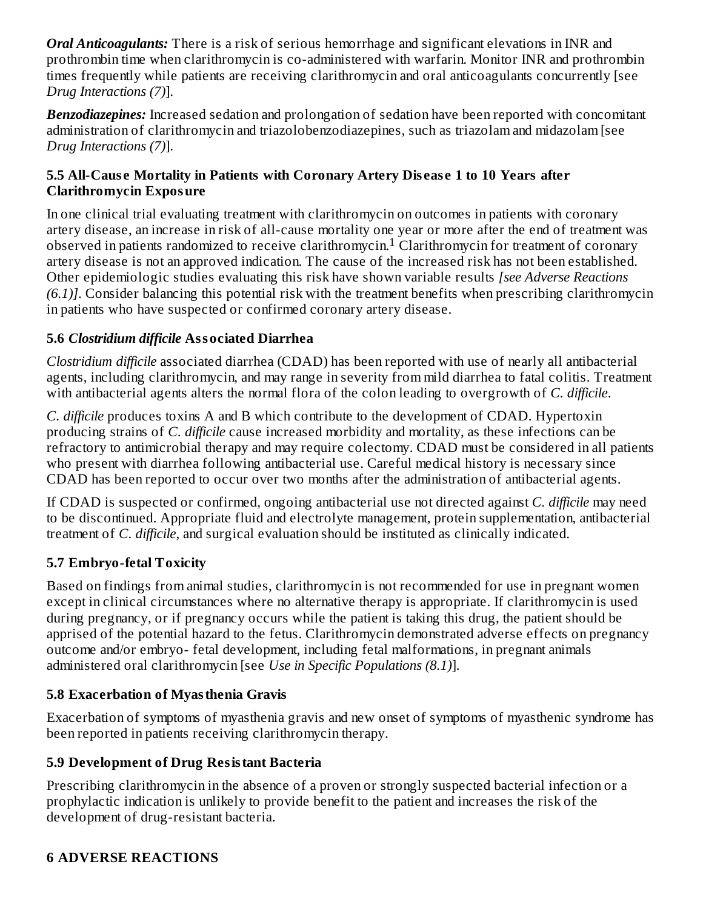*Oral Anticoagulants:* There is a risk of serious hemorrhage and significant elevations in INR and prothrombin time when clarithromycin is co-administered with warfarin. Monitor INR and prothrombin times frequently while patients are receiving clarithromycin and oral anticoagulants concurrently [see *Drug Interactions (7)*].

*Benzodiazepines:* Increased sedation and prolongation of sedation have been reported with concomitant administration of clarithromycin and triazolobenzodiazepines, such as triazolam and midazolam [see *Drug Interactions (7)*].

## **5.5 All-Caus e Mortality in Patients with Coronary Artery Dis eas e 1 to 10 Years after Clarithromycin Exposure**

In one clinical trial evaluating treatment with clarithromycin on outcomes in patients with coronary artery disease, an increase in risk of all-cause mortality one year or more after the end of treatment was observed in patients randomized to receive clarithromycin.<sup>1</sup> Clarithromycin for treatment of coronary artery disease is not an approved indication. The cause of the increased risk has not been established. Other epidemiologic studies evaluating this risk have shown variable results *[see Adverse Reactions (6.1)]*. Consider balancing this potential risk with the treatment benefits when prescribing clarithromycin in patients who have suspected or confirmed coronary artery disease.

# **5.6** *Clostridium difficile* **Associated Diarrhea**

*Clostridium difficile* associated diarrhea (CDAD) has been reported with use of nearly all antibacterial agents, including clarithromycin, and may range in severity from mild diarrhea to fatal colitis. Treatment with antibacterial agents alters the normal flora of the colon leading to overgrowth of *C. difficile*.

*C. difficile* produces toxins A and B which contribute to the development of CDAD. Hypertoxin producing strains of *C. difficile* cause increased morbidity and mortality, as these infections can be refractory to antimicrobial therapy and may require colectomy. CDAD must be considered in all patients who present with diarrhea following antibacterial use. Careful medical history is necessary since CDAD has been reported to occur over two months after the administration of antibacterial agents.

If CDAD is suspected or confirmed, ongoing antibacterial use not directed against *C. difficile* may need to be discontinued. Appropriate fluid and electrolyte management, protein supplementation, antibacterial treatment of *C. difficile*, and surgical evaluation should be instituted as clinically indicated.

# **5.7 Embryo-fetal Toxicity**

Based on findings from animal studies, clarithromycin is not recommended for use in pregnant women except in clinical circumstances where no alternative therapy is appropriate. If clarithromycin is used during pregnancy, or if pregnancy occurs while the patient is taking this drug, the patient should be apprised of the potential hazard to the fetus. Clarithromycin demonstrated adverse effects on pregnancy outcome and/or embryo- fetal development, including fetal malformations, in pregnant animals administered oral clarithromycin [see *Use in Specific Populations (8.1)*].

# **5.8 Exacerbation of Myasthenia Gravis**

Exacerbation of symptoms of myasthenia gravis and new onset of symptoms of myasthenic syndrome has been reported in patients receiving clarithromycin therapy.

# **5.9 Development of Drug Resistant Bacteria**

Prescribing clarithromycin in the absence of a proven or strongly suspected bacterial infection or a prophylactic indication is unlikely to provide benefit to the patient and increases the risk of the development of drug-resistant bacteria.

# **6 ADVERSE REACTIONS**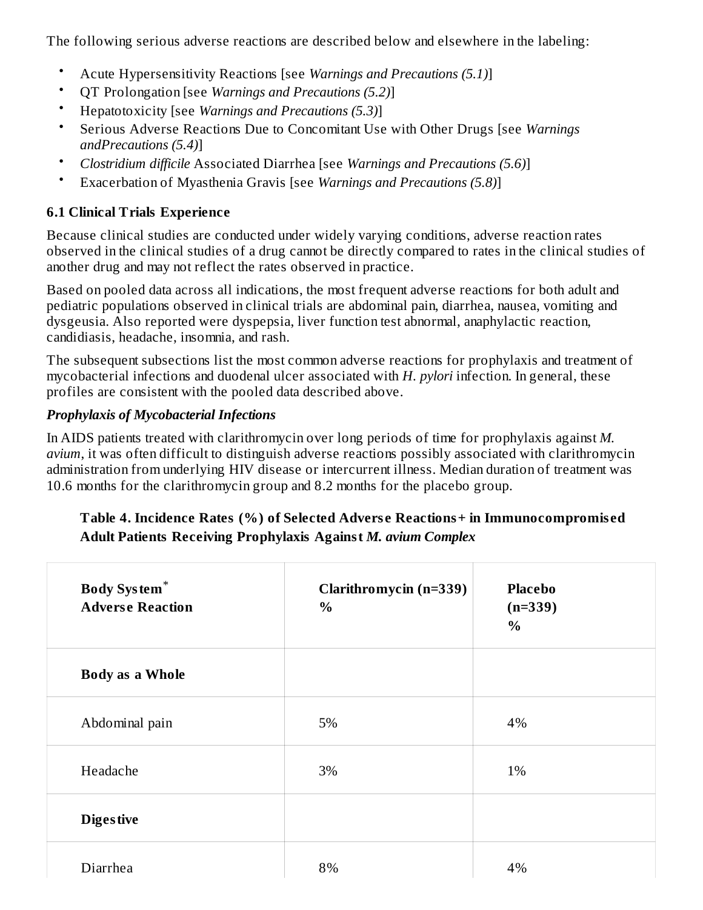The following serious adverse reactions are described below and elsewhere in the labeling:

- Acute Hypersensitivity Reactions [see *Warnings and Precautions (5.1)*]
- QT Prolongation [see *Warnings and Precautions (5.2)*]
- Hepatotoxicity [see *Warnings and Precautions (5.3)*]
- Serious Adverse Reactions Due to Concomitant Use with Other Drugs [see *Warnings andPrecautions (5.4)*]
- *Clostridium difficile* Associated Diarrhea [see *Warnings and Precautions (5.6)*]
- Exacerbation of Myasthenia Gravis [see *Warnings and Precautions (5.8)*]

# **6.1 Clinical Trials Experience**

Because clinical studies are conducted under widely varying conditions, adverse reaction rates observed in the clinical studies of a drug cannot be directly compared to rates in the clinical studies of another drug and may not reflect the rates observed in practice.

Based on pooled data across all indications, the most frequent adverse reactions for both adult and pediatric populations observed in clinical trials are abdominal pain, diarrhea, nausea, vomiting and dysgeusia. Also reported were dyspepsia, liver function test abnormal, anaphylactic reaction, candidiasis, headache, insomnia, and rash.

The subsequent subsections list the most common adverse reactions for prophylaxis and treatment of mycobacterial infections and duodenal ulcer associated with *H. pylori* infection. In general, these profiles are consistent with the pooled data described above.

# *Prophylaxis of Mycobacterial Infections*

In AIDS patients treated with clarithromycin over long periods of time for prophylaxis against *M. avium*, it was often difficult to distinguish adverse reactions possibly associated with clarithromycin administration from underlying HIV disease or intercurrent illness. Median duration of treatment was 10.6 months for the clarithromycin group and 8.2 months for the placebo group.

# **Table 4. Incidence Rates (%) of Selected Advers e Reactions+ in Immunocompromis ed Adult Patients Receiving Prophylaxis Against** *M. avium Complex*

| <b>Body System*</b><br><b>Adverse Reaction</b> | Clarithromycin (n=339)<br>$\%$ | <b>Placebo</b><br>$(n=339)$<br>$\%$ |
|------------------------------------------------|--------------------------------|-------------------------------------|
| <b>Body as a Whole</b>                         |                                |                                     |
| Abdominal pain                                 | 5%                             | 4%                                  |
| Headache                                       | 3%                             | 1%                                  |
| <b>Digestive</b>                               |                                |                                     |
| Diarrhea                                       | 8%                             | 4%                                  |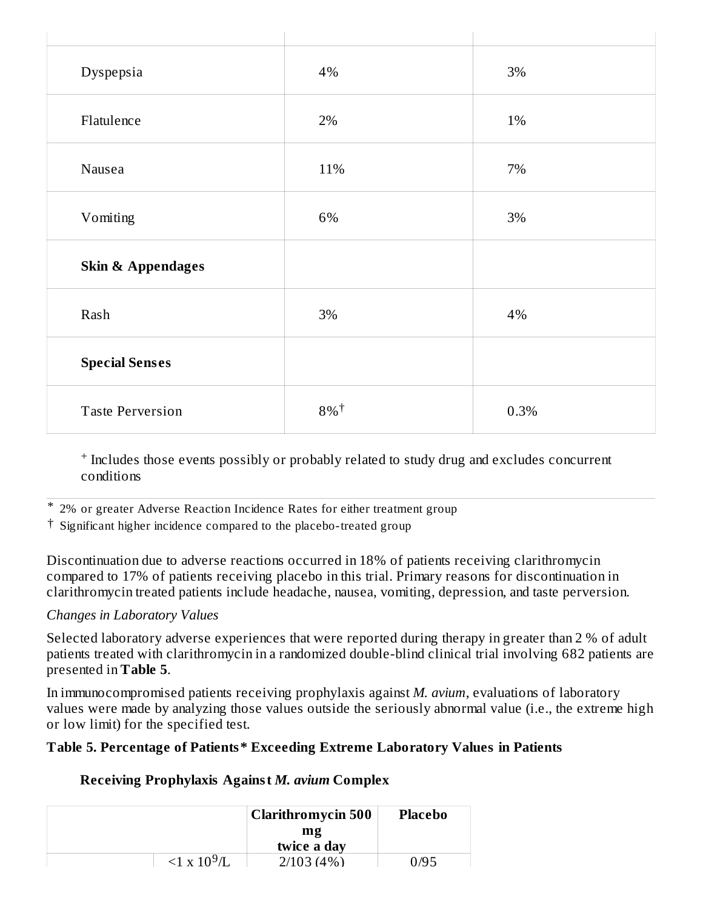| Dyspepsia                    | 4%                 | $3\%$ |
|------------------------------|--------------------|-------|
| Flatulence                   | 2%                 | 1%    |
| Nausea                       | 11%                | 7%    |
| Vomiting                     | 6%                 | 3%    |
| <b>Skin &amp; Appendages</b> |                    |       |
| Rash                         | 3%                 | 4%    |
| <b>Special Senses</b>        |                    |       |
| <b>Taste Perversion</b>      | $8\%$ <sup>†</sup> | 0.3%  |

<sup>+</sup> Includes those events possibly or probably related to study drug and excludes concurrent conditions

\* 2% or greater Adverse Reaction Incidence Rates for either treatment group

† Significant higher incidence compared to the placebo-treated group

Discontinuation due to adverse reactions occurred in 18% of patients receiving clarithromycin compared to 17% of patients receiving placebo in this trial. Primary reasons for discontinuation in clarithromycin treated patients include headache, nausea, vomiting, depression, and taste perversion.

#### *Changes in Laboratory Values*

Selected laboratory adverse experiences that were reported during therapy in greater than 2 % of adult patients treated with clarithromycin in a randomized double-blind clinical trial involving 682 patients are presented in **Table 5**.

In immunocompromised patients receiving prophylaxis against *M. avium*, evaluations of laboratory values were made by analyzing those values outside the seriously abnormal value (i.e., the extreme high or low limit) for the specified test.

## **Table 5. Percentage of Patients\* Exceeding Extreme Laboratory Values in Patients**

## **Receiving Prophylaxis Against** *M. avium* **Complex**

|                             | Clarithromycin 500 | <b>Placebo</b> |
|-----------------------------|--------------------|----------------|
|                             | $m$ g              |                |
|                             | twice a day        |                |
| $<$ 1 x 10 <sup>9</sup> /I. | 2/103(4%)          | 0/95           |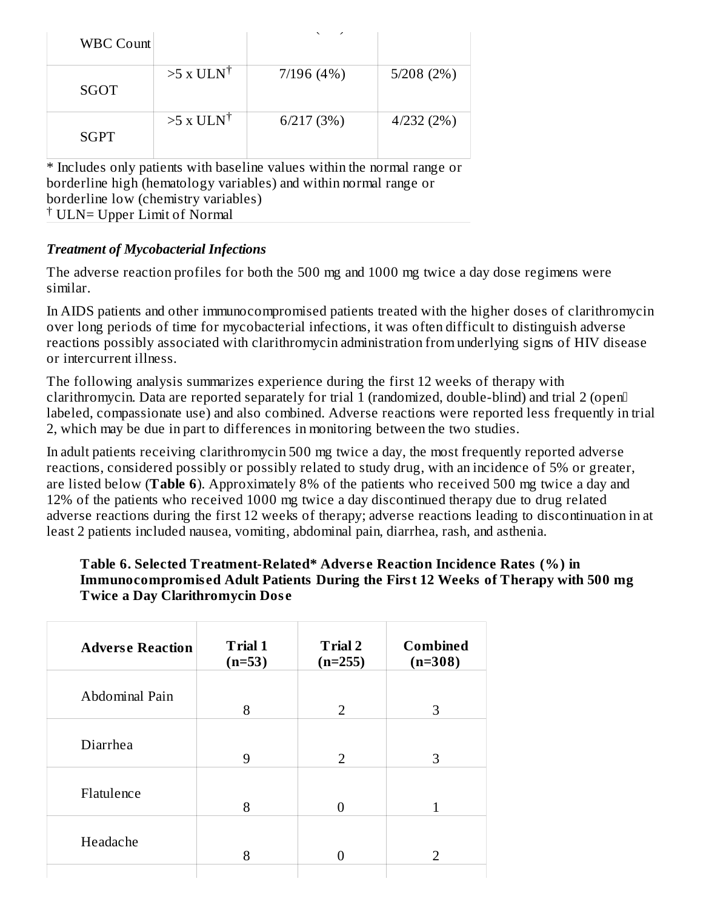| <b>WBC Count</b> |                         | $\overline{\phantom{0}}$<br>╭ |           |
|------------------|-------------------------|-------------------------------|-----------|
| SGOT             | $>5$ x ULN <sup>†</sup> | 7/196(4%)                     | 5/208(2%) |
| <b>SGPT</b>      | $>5$ x ULN <sup>†</sup> | 6/217(3%)                     | 4/232(2%) |

\* Includes only patients with baseline values within the normal range or borderline high (hematology variables) and within normal range or borderline low (chemistry variables) <sup>†</sup> ULN= Upper Limit of Normal

#### *Treatment of Mycobacterial Infections*

The adverse reaction profiles for both the 500 mg and 1000 mg twice a day dose regimens were similar.

In AIDS patients and other immunocompromised patients treated with the higher doses of clarithromycin over long periods of time for mycobacterial infections, it was often difficult to distinguish adverse reactions possibly associated with clarithromycin administration from underlying signs of HIV disease or intercurrent illness.

The following analysis summarizes experience during the first 12 weeks of therapy with clarithromycin. Data are reported separately for trial 1 (randomized, double-blind) and trial 2 (open labeled, compassionate use) and also combined. Adverse reactions were reported less frequently in trial 2, which may be due in part to differences in monitoring between the two studies.

In adult patients receiving clarithromycin 500 mg twice a day, the most frequently reported adverse reactions, considered possibly or possibly related to study drug, with an incidence of 5% or greater, are listed below (**Table 6**). Approximately 8% of the patients who received 500 mg twice a day and 12% of the patients who received 1000 mg twice a day discontinued therapy due to drug related adverse reactions during the first 12 weeks of therapy; adverse reactions leading to discontinuation in at least 2 patients included nausea, vomiting, abdominal pain, diarrhea, rash, and asthenia.

#### **Table 6. Selected Treatment-Related\* Advers e Reaction Incidence Rates (%) in Immunocompromis ed Adult Patients During the First 12 Weeks of Therapy with 500 mg Twice a Day Clarithromycin Dos e**

| <b>Adverse Reaction</b> | <b>Trial 1</b><br>$(n=53)$ | <b>Trial 2</b><br>$(n=255)$ | <b>Combined</b><br>$(n=308)$ |
|-------------------------|----------------------------|-----------------------------|------------------------------|
| Abdominal Pain          | 8                          | $\overline{2}$              | 3                            |
| Diarrhea                | 9                          | $\overline{2}$              | 3                            |
| Flatulence              | 8                          | 0                           |                              |
| Headache                | 8                          |                             | 2                            |
|                         |                            |                             |                              |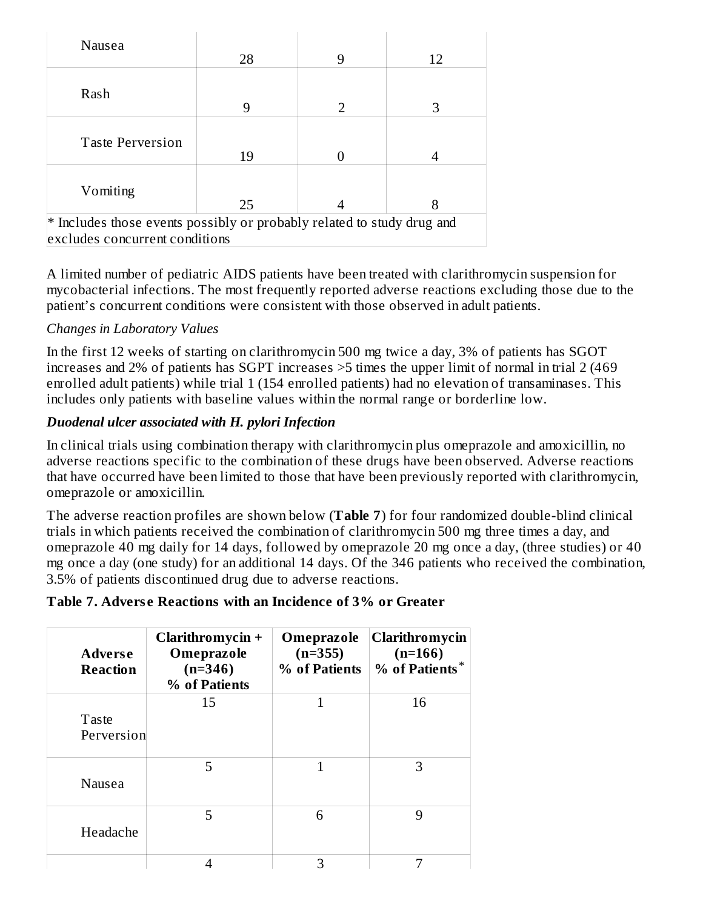| Nausea                                                                                                   | 28 | 9             | 12 |
|----------------------------------------------------------------------------------------------------------|----|---------------|----|
| Rash                                                                                                     | 9  | $\mathcal{D}$ | З  |
|                                                                                                          |    |               |    |
| <b>Taste Perversion</b>                                                                                  | 19 |               |    |
| Vomiting                                                                                                 | 25 |               | 8  |
| * Includes those events possibly or probably related to study drug and<br>excludes concurrent conditions |    |               |    |

A limited number of pediatric AIDS patients have been treated with clarithromycin suspension for mycobacterial infections. The most frequently reported adverse reactions excluding those due to the patient's concurrent conditions were consistent with those observed in adult patients.

# *Changes in Laboratory Values*

In the first 12 weeks of starting on clarithromycin 500 mg twice a day, 3% of patients has SGOT increases and 2% of patients has SGPT increases >5 times the upper limit of normal in trial 2 (469 enrolled adult patients) while trial 1 (154 enrolled patients) had no elevation of transaminases. This includes only patients with baseline values within the normal range or borderline low.

## *Duodenal ulcer associated with H. pylori Infection*

In clinical trials using combination therapy with clarithromycin plus omeprazole and amoxicillin, no adverse reactions specific to the combination of these drugs have been observed. Adverse reactions that have occurred have been limited to those that have been previously reported with clarithromycin, omeprazole or amoxicillin.

The adverse reaction profiles are shown below (**Table 7**) for four randomized double-blind clinical trials in which patients received the combination of clarithromycin 500 mg three times a day, and omeprazole 40 mg daily for 14 days, followed by omeprazole 20 mg once a day, (three studies) or 40 mg once a day (one study) for an additional 14 days. Of the 346 patients who received the combination, 3.5% of patients discontinued drug due to adverse reactions.

## **Table 7. Advers e Reactions with an Incidence of 3% or Greater**

| <b>Adverse</b><br><b>Reaction</b> | Clarithromycin $+$<br>Omeprazole<br>$(n=346)$<br>% of Patients | Omeprazole<br>$(n=355)$<br>% of Patients | Clarithromycin<br>$(n=166)$<br>% of Patients |
|-----------------------------------|----------------------------------------------------------------|------------------------------------------|----------------------------------------------|
| Taste<br>Perversion               | 15                                                             |                                          | 16                                           |
| Nausea                            | 5                                                              |                                          | З                                            |
| Headache                          | 5                                                              | 6                                        | 9                                            |
|                                   |                                                                | З                                        |                                              |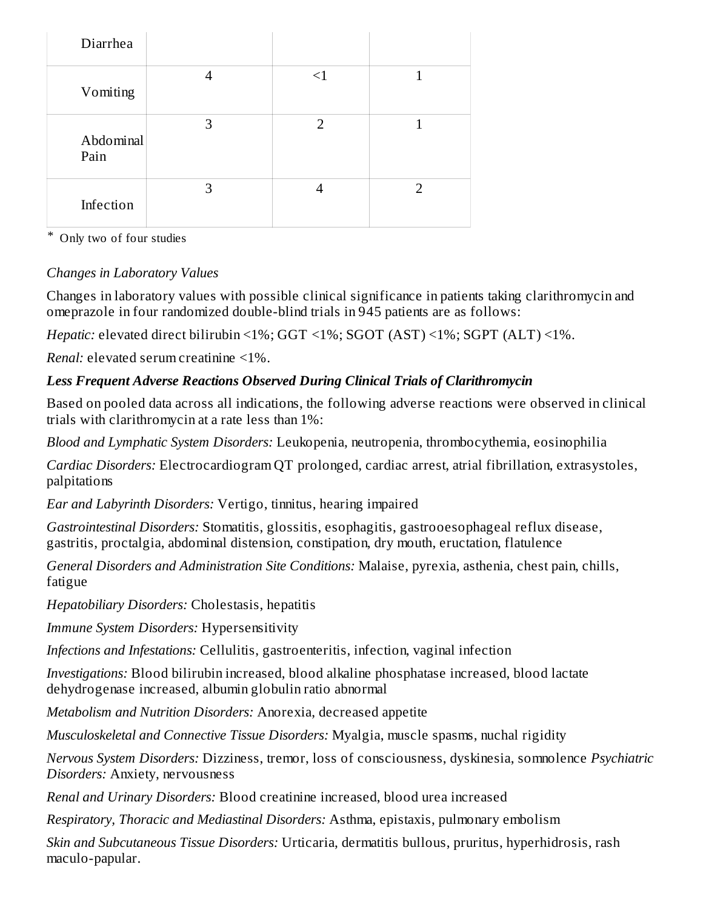| Diarrhea          |   |          |                |
|-------------------|---|----------|----------------|
| Vomiting          | 4 | $\leq$ 1 | 1              |
| Abdominal<br>Pain | 3 | 2        |                |
| Infection         | 3 | 4        | $\overline{2}$ |

\* Only two of four studies

# *Changes in Laboratory Values*

Changes in laboratory values with possible clinical significance in patients taking clarithromycin and omeprazole in four randomized double-blind trials in 945 patients are as follows:

*Hepatic:* elevated direct bilirubin <1%; GGT <1%; SGOT (AST) <1%; SGPT (ALT) <1%.

*Renal:* elevated serum creatinine <1%.

# *Less Frequent Adverse Reactions Observed During Clinical Trials of Clarithromycin*

Based on pooled data across all indications, the following adverse reactions were observed in clinical trials with clarithromycin at a rate less than 1%:

*Blood and Lymphatic System Disorders:* Leukopenia, neutropenia, thrombocythemia, eosinophilia

*Cardiac Disorders:* Electrocardiogram QT prolonged, cardiac arrest, atrial fibrillation, extrasystoles, palpitations

*Ear and Labyrinth Disorders:* Vertigo, tinnitus, hearing impaired

*Gastrointestinal Disorders:* Stomatitis, glossitis, esophagitis, gastrooesophageal reflux disease, gastritis, proctalgia, abdominal distension, constipation, dry mouth, eructation, flatulence

*General Disorders and Administration Site Conditions:* Malaise, pyrexia, asthenia, chest pain, chills, fatigue

*Hepatobiliary Disorders:* Cholestasis, hepatitis

*Immune System Disorders:* Hypersensitivity

*Infections and Infestations:* Cellulitis, gastroenteritis, infection, vaginal infection

*Investigations:* Blood bilirubin increased, blood alkaline phosphatase increased, blood lactate dehydrogenase increased, albumin globulin ratio abnormal

*Metabolism and Nutrition Disorders:* Anorexia, decreased appetite

*Musculoskeletal and Connective Tissue Disorders:* Myalgia, muscle spasms, nuchal rigidity

*Nervous System Disorders:* Dizziness, tremor, loss of consciousness, dyskinesia, somnolence *Psychiatric Disorders:* Anxiety, nervousness

*Renal and Urinary Disorders:* Blood creatinine increased, blood urea increased

*Respiratory, Thoracic and Mediastinal Disorders:* Asthma, epistaxis, pulmonary embolism

*Skin and Subcutaneous Tissue Disorders:* Urticaria, dermatitis bullous, pruritus, hyperhidrosis, rash maculo-papular.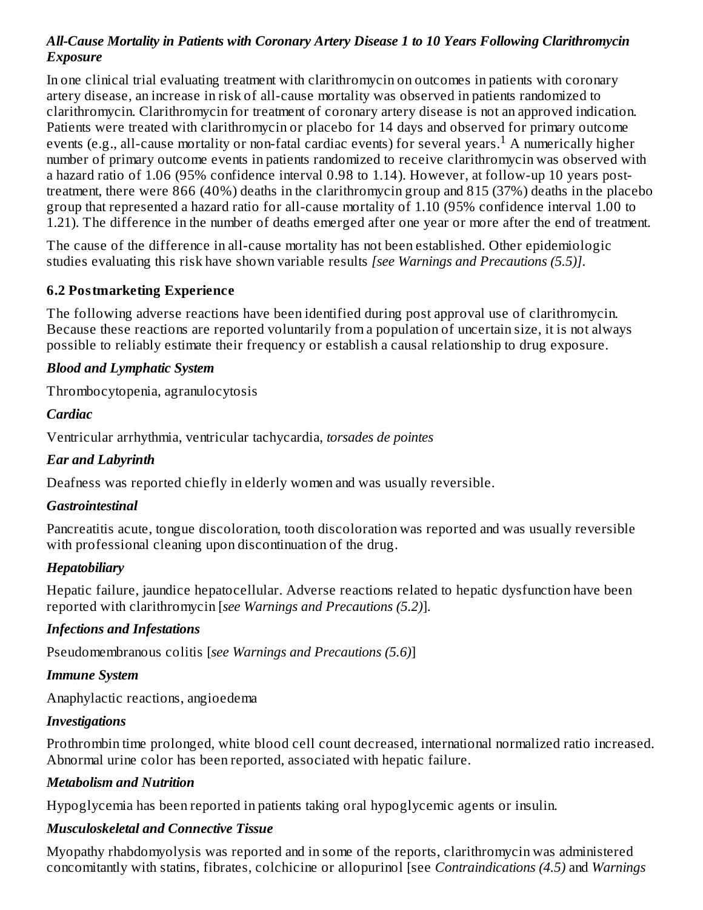## *All-Cause Mortality in Patients with Coronary Artery Disease 1 to 10 Years Following Clarithromycin Exposure*

In one clinical trial evaluating treatment with clarithromycin on outcomes in patients with coronary artery disease, an increase in risk of all-cause mortality was observed in patients randomized to clarithromycin. Clarithromycin for treatment of coronary artery disease is not an approved indication. Patients were treated with clarithromycin or placebo for 14 days and observed for primary outcome events (e.g., all-cause mortality or non-fatal cardiac events) for several years.<sup>1</sup> A numerically higher number of primary outcome events in patients randomized to receive clarithromycin was observed with a hazard ratio of 1.06 (95% confidence interval 0.98 to 1.14). However, at follow-up 10 years posttreatment, there were 866 (40%) deaths in the clarithromycin group and 815 (37%) deaths in the placebo group that represented a hazard ratio for all-cause mortality of 1.10 (95% confidence interval 1.00 to 1.21). The difference in the number of deaths emerged after one year or more after the end of treatment.

The cause of the difference in all-cause mortality has not been established. Other epidemiologic studies evaluating this risk have shown variable results *[see Warnings and Precautions (5.5)]*.

#### **6.2 Postmarketing Experience**

The following adverse reactions have been identified during post approval use of clarithromycin. Because these reactions are reported voluntarily from a population of uncertain size, it is not always possible to reliably estimate their frequency or establish a causal relationship to drug exposure.

## *Blood and Lymphatic System*

Thrombocytopenia, agranulocytosis

#### *Cardiac*

Ventricular arrhythmia, ventricular tachycardia, *torsades de pointes*

## *Ear and Labyrinth*

Deafness was reported chiefly in elderly women and was usually reversible.

#### *Gastrointestinal*

Pancreatitis acute, tongue discoloration, tooth discoloration was reported and was usually reversible with professional cleaning upon discontinuation of the drug.

## *Hepatobiliary*

Hepatic failure, jaundice hepatocellular. Adverse reactions related to hepatic dysfunction have been reported with clarithromycin [*see Warnings and Precautions (5.2)*].

## *Infections and Infestations*

Pseudomembranous colitis [*see Warnings and Precautions (5.6)*]

#### *Immune System*

Anaphylactic reactions, angioedema

#### *Investigations*

Prothrombin time prolonged, white blood cell count decreased, international normalized ratio increased. Abnormal urine color has been reported, associated with hepatic failure.

## *Metabolism and Nutrition*

Hypoglycemia has been reported in patients taking oral hypoglycemic agents or insulin.

## *Musculoskeletal and Connective Tissue*

Myopathy rhabdomyolysis was reported and in some of the reports, clarithromycin was administered concomitantly with statins, fibrates, colchicine or allopurinol [see *Contraindications (4.5)* and *Warnings*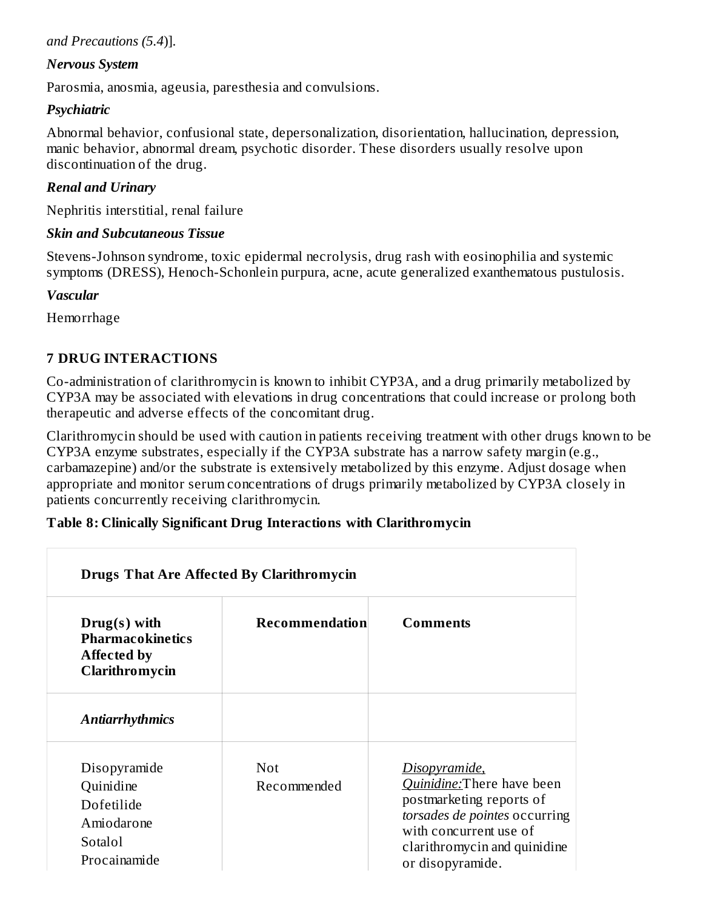#### *and Precautions (5.4*)].

#### *Nervous System*

Parosmia, anosmia, ageusia, paresthesia and convulsions.

#### *Psychiatric*

Abnormal behavior, confusional state, depersonalization, disorientation, hallucination, depression, manic behavior, abnormal dream, psychotic disorder. These disorders usually resolve upon discontinuation of the drug.

#### *Renal and Urinary*

Nephritis interstitial, renal failure

#### *Skin and Subcutaneous Tissue*

Stevens-Johnson syndrome, toxic epidermal necrolysis, drug rash with eosinophilia and systemic symptoms (DRESS), Henoch-Schonlein purpura, acne, acute generalized exanthematous pustulosis.

#### *Vascular*

Hemorrhage

## **7 DRUG INTERACTIONS**

Co-administration of clarithromycin is known to inhibit CYP3A, and a drug primarily metabolized by CYP3A may be associated with elevations in drug concentrations that could increase or prolong both therapeutic and adverse effects of the concomitant drug.

Clarithromycin should be used with caution in patients receiving treatment with other drugs known to be CYP3A enzyme substrates, especially if the CYP3A substrate has a narrow safety margin (e.g., carbamazepine) and/or the substrate is extensively metabolized by this enzyme. Adjust dosage when appropriate and monitor serum concentrations of drugs primarily metabolized by CYP3A closely in patients concurrently receiving clarithromycin.

## **Table 8: Clinically Significant Drug Interactions with Clarithromycin**

| <b>Drugs That Are Affected By Clarithromycin</b>                                  |                           |                                                                                                                                                                                        |
|-----------------------------------------------------------------------------------|---------------------------|----------------------------------------------------------------------------------------------------------------------------------------------------------------------------------------|
| $Drug(s)$ with<br><b>Pharmacokinetics</b><br><b>Affected by</b><br>Clarithromycin | Recommendation            | <b>Comments</b>                                                                                                                                                                        |
| <b>Antiarrhythmics</b>                                                            |                           |                                                                                                                                                                                        |
| Disopyramide<br>Quinidine<br>Dofetilide<br>Amiodarone<br>Sotalol<br>Procainamide  | <b>Not</b><br>Recommended | Disopyramide,<br>Quinidine: There have been<br>postmarketing reports of<br>torsades de pointes occurring<br>with concurrent use of<br>clarithromycin and quinidine<br>or disopyramide. |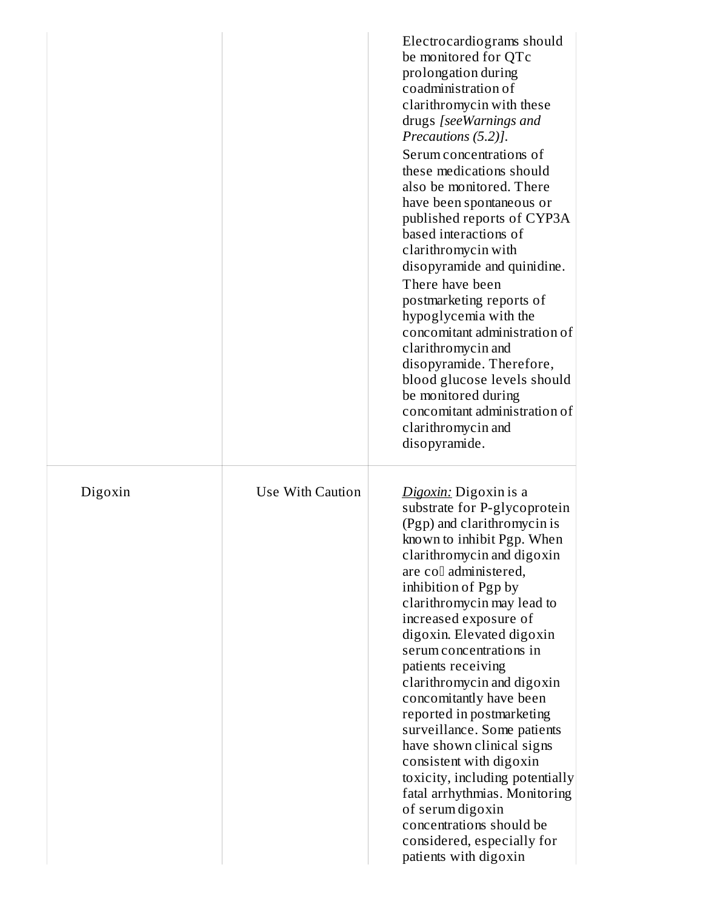|         |                  | Electrocardiograms should<br>be monitored for QTc<br>prolongation during<br>coadministration of<br>clarithromycin with these<br>drugs [seeWarnings and<br>Precautions (5.2)].<br>Serum concentrations of<br>these medications should<br>also be monitored. There<br>have been spontaneous or<br>published reports of CYP3A<br>based interactions of<br>clarithromycin with<br>disopyramide and quinidine.<br>There have been<br>postmarketing reports of<br>hypoglycemia with the<br>concomitant administration of<br>clarithromycin and<br>disopyramide. Therefore,<br>blood glucose levels should<br>be monitored during<br>concomitant administration of<br>clarithromycin and<br>disopyramide. |
|---------|------------------|----------------------------------------------------------------------------------------------------------------------------------------------------------------------------------------------------------------------------------------------------------------------------------------------------------------------------------------------------------------------------------------------------------------------------------------------------------------------------------------------------------------------------------------------------------------------------------------------------------------------------------------------------------------------------------------------------|
| Digoxin | Use With Caution | Digoxin: Digoxin is a<br>substrate for P-glycoprotein<br>(Pgp) and clarithromycin is<br>known to inhibit Pgp. When<br>clarithromycin and digoxin<br>are coll administered,<br>inhibition of Pgp by<br>clarithromycin may lead to<br>increased exposure of<br>digoxin. Elevated digoxin<br>serum concentrations in<br>patients receiving<br>clarithromycin and digoxin<br>concomitantly have been<br>reported in postmarketing<br>surveillance. Some patients<br>have shown clinical signs<br>consistent with digoxin<br>toxicity, including potentially<br>fatal arrhythmias. Monitoring<br>of serum digoxin<br>concentrations should be<br>considered, especially for<br>patients with digoxin    |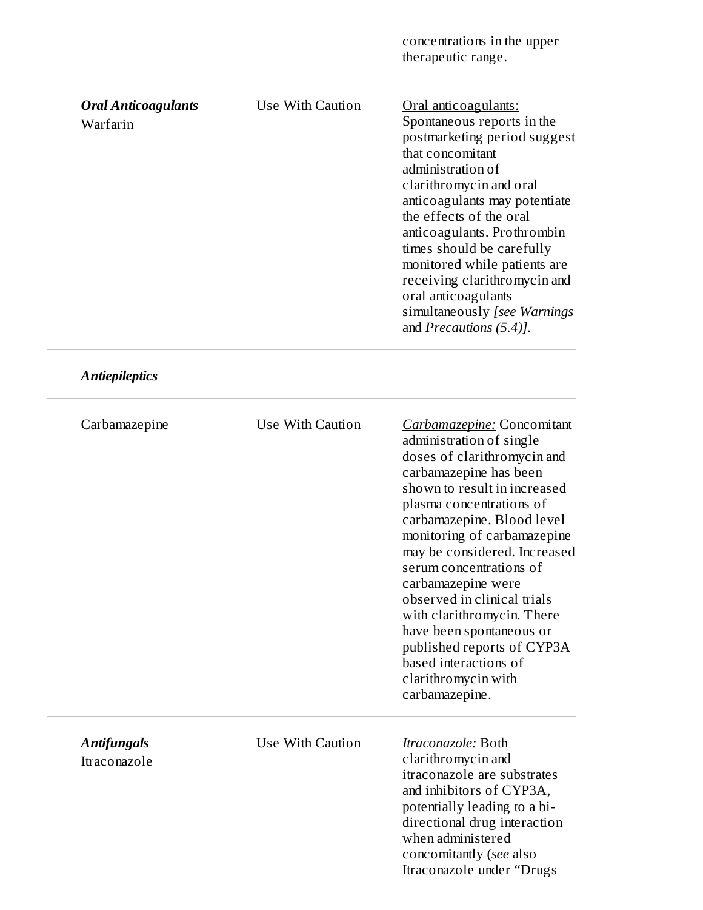|                                                                 |                  | concentrations in the upper<br>therapeutic range.                                                                                                                                                                                                                                                                                                                                                                                                                                                                  |
|-----------------------------------------------------------------|------------------|--------------------------------------------------------------------------------------------------------------------------------------------------------------------------------------------------------------------------------------------------------------------------------------------------------------------------------------------------------------------------------------------------------------------------------------------------------------------------------------------------------------------|
| <b>Oral Anticoagulants</b><br>Warfarin<br><b>Antiepileptics</b> | Use With Caution | Oral anticoagulants:<br>Spontaneous reports in the<br>postmarketing period suggest<br>that concomitant<br>administration of<br>clarithromycin and oral<br>anticoagulants may potentiate<br>the effects of the oral<br>anticoagulants. Prothrombin<br>times should be carefully<br>monitored while patients are<br>receiving clarithromycin and<br>oral anticoagulants<br>simultaneously [see Warnings<br>and Precautions (5.4)].                                                                                   |
| Carbamazepine                                                   | Use With Caution | Carbamazepine: Concomitant<br>administration of single<br>doses of clarithromycin and<br>carbamazepine has been<br>shown to result in increased<br>plasma concentrations of<br>carbamazepine. Blood level<br>monitoring of carbamazepine<br>may be considered. Increased<br>serum concentrations of<br>carbamazepine were<br>observed in clinical trials<br>with clarithromycin. There<br>have been spontaneous or<br>published reports of CYP3A<br>based interactions of<br>clarithromycin with<br>carbamazepine. |
| <b>Antifungals</b><br>Itraconazole                              | Use With Caution | <i>Itraconazole<u>:</u></i> Both<br>clarithromycin and<br>itraconazole are substrates<br>and inhibitors of CYP3A,<br>potentially leading to a bi-<br>directional drug interaction<br>when administered<br>concomitantly (see also<br>Itraconazole under "Drugs                                                                                                                                                                                                                                                     |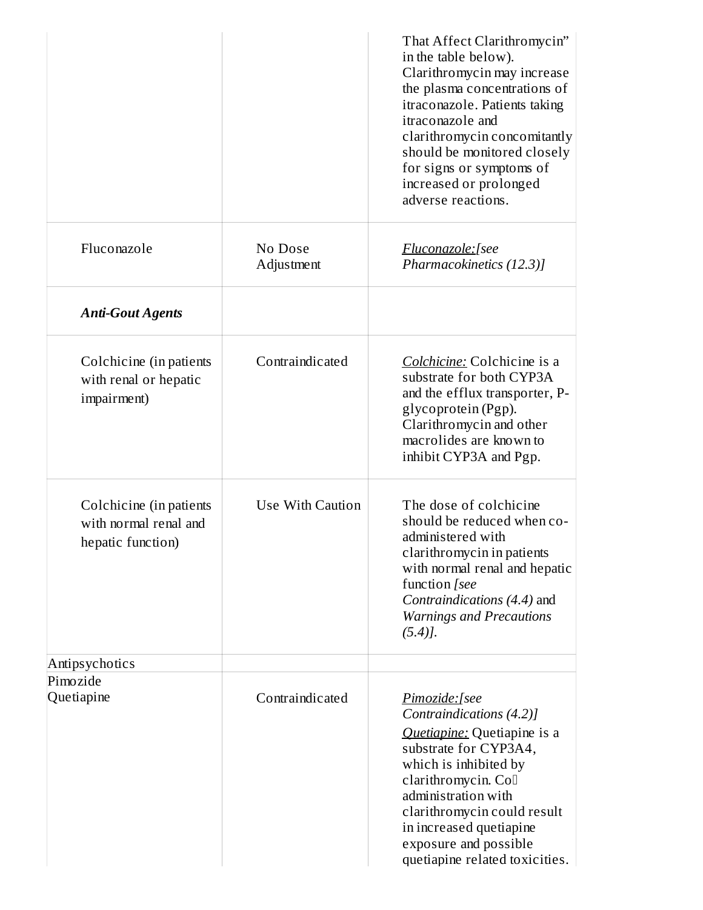|                                                                       |                       | That Affect Clarithromycin"<br>in the table below).<br>Clarithromycin may increase<br>the plasma concentrations of<br>itraconazole. Patients taking<br>itraconazole and<br>clarithromycin concomitantly<br>should be monitored closely<br>for signs or symptoms of<br>increased or prolonged<br>adverse reactions. |
|-----------------------------------------------------------------------|-----------------------|--------------------------------------------------------------------------------------------------------------------------------------------------------------------------------------------------------------------------------------------------------------------------------------------------------------------|
| Fluconazole                                                           | No Dose<br>Adjustment | Fluconazole:[see<br>Pharmacokinetics (12.3)]                                                                                                                                                                                                                                                                       |
| <b>Anti-Gout Agents</b>                                               |                       |                                                                                                                                                                                                                                                                                                                    |
| Colchicine (in patients<br>with renal or hepatic<br>impairment)       | Contraindicated       | Colchicine: Colchicine is a<br>substrate for both CYP3A<br>and the efflux transporter, P-<br>glycoprotein (Pgp).<br>Clarithromycin and other<br>macrolides are known to<br>inhibit CYP3A and Pgp.                                                                                                                  |
| Colchicine (in patients<br>with normal renal and<br>hepatic function) | Use With Caution      | The dose of colchicine<br>should be reduced when co-<br>administered with<br>clarithromycin in patients<br>with normal renal and hepatic<br>function [see<br>Contraindications (4.4) and<br><b>Warnings and Precautions</b><br>$(5.4)$ ].                                                                          |
| Antipsychotics                                                        |                       |                                                                                                                                                                                                                                                                                                                    |
| Pimozide<br>Quetiapine                                                | Contraindicated       | Pimozide:[see<br>Contraindications (4.2)]<br>Quetiapine: Quetiapine is a<br>substrate for CYP3A4,<br>which is inhibited by<br>clarithromycin. Coll<br>administration with<br>clarithromycin could result<br>in increased quetiapine<br>exposure and possible<br>quetiapine related toxicities.                     |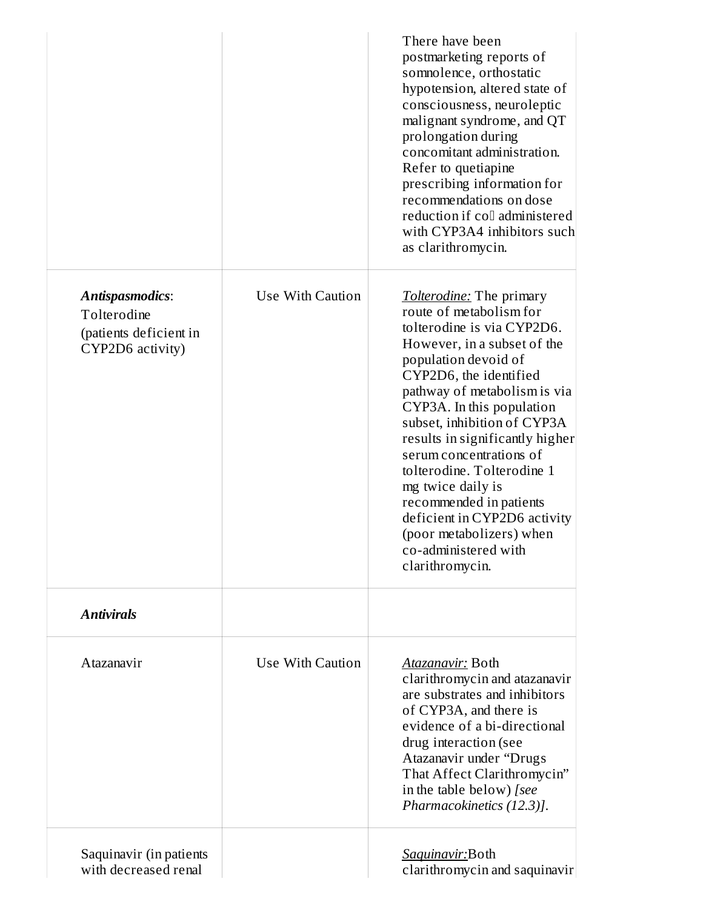|                                                                                     |                  | There have been<br>postmarketing reports of<br>somnolence, orthostatic<br>hypotension, altered state of<br>consciousness, neuroleptic<br>malignant syndrome, and QT<br>prolongation during<br>concomitant administration.<br>Refer to quetiapine<br>prescribing information for<br>recommendations on dose<br>reduction if coll administered<br>with CYP3A4 inhibitors such<br>as clarithromycin.                                                                                                                        |
|-------------------------------------------------------------------------------------|------------------|--------------------------------------------------------------------------------------------------------------------------------------------------------------------------------------------------------------------------------------------------------------------------------------------------------------------------------------------------------------------------------------------------------------------------------------------------------------------------------------------------------------------------|
| <b>Antispasmodics:</b><br>Tolterodine<br>(patients deficient in<br>CYP2D6 activity) | Use With Caution | <b>Tolterodine:</b> The primary<br>route of metabolism for<br>tolterodine is via CYP2D6.<br>However, in a subset of the<br>population devoid of<br>CYP2D6, the identified<br>pathway of metabolism is via<br>CYP3A. In this population<br>subset, inhibition of CYP3A<br>results in significantly higher<br>serum concentrations of<br>tolterodine. Tolterodine 1<br>mg twice daily is<br>recommended in patients<br>deficient in CYP2D6 activity<br>(poor metabolizers) when<br>co-administered with<br>clarithromycin. |
| <b>Antivirals</b>                                                                   |                  |                                                                                                                                                                                                                                                                                                                                                                                                                                                                                                                          |
| Atazanavir                                                                          | Use With Caution | <b>Atazanavir: Both</b><br>clarithromycin and atazanavir<br>are substrates and inhibitors<br>of CYP3A, and there is<br>evidence of a bi-directional<br>drug interaction (see<br>Atazanavir under "Drugs<br>That Affect Clarithromycin"<br>in the table below) [see<br>Pharmacokinetics (12.3)].                                                                                                                                                                                                                          |
| Saquinavir (in patients<br>with decreased renal                                     |                  | Saquinavir:Both<br>clarithromycin and saquinavir                                                                                                                                                                                                                                                                                                                                                                                                                                                                         |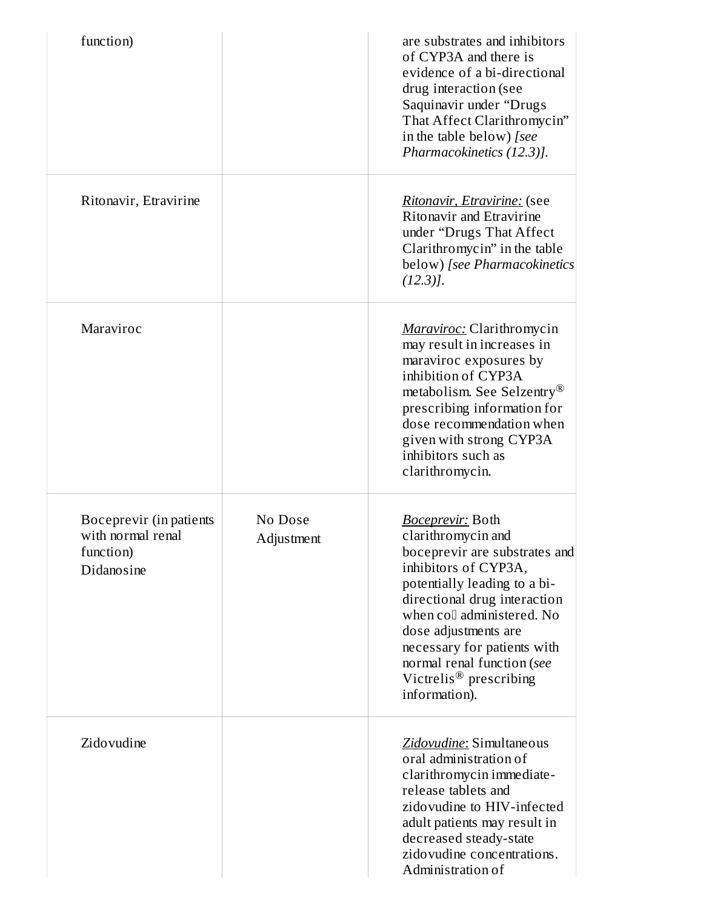| function)                                                               |                       | are substrates and inhibitors<br>of CYP3A and there is<br>evidence of a bi-directional<br>drug interaction (see<br>Saquinavir under "Drugs<br>That Affect Clarithromycin"<br>in the table below) [see<br>Pharmacokinetics (12.3)].                                                                                                                |
|-------------------------------------------------------------------------|-----------------------|---------------------------------------------------------------------------------------------------------------------------------------------------------------------------------------------------------------------------------------------------------------------------------------------------------------------------------------------------|
| Ritonavir, Etravirine                                                   |                       | Ritonavir, Etravirine: (see<br>Ritonavir and Etravirine<br>under "Drugs That Affect<br>Clarithromycin" in the table<br>below) [see Pharmacokinetics<br>$(12.3)$ ].                                                                                                                                                                                |
| Maraviroc                                                               |                       | <b>Maraviroc:</b> Clarithromycin<br>may result in increases in<br>maraviroc exposures by<br>inhibition of CYP3A<br>metabolism. See Selzentry <sup>®</sup><br>prescribing information for<br>dose recommendation when<br>given with strong CYP3A<br>inhibitors such as<br>clarithromycin.                                                          |
| Boceprevir (in patients<br>with normal renal<br>function)<br>Didanosine | No Dose<br>Adjustment | <u> Boceprevir:</u> Both<br>clarithromycin and<br>boceprevir are substrates and<br>inhibitors of CYP3A,<br>potentially leading to a bi-<br>directional drug interaction<br>when coll administered. No<br>dose adjustments are<br>necessary for patients with<br>normal renal function (see<br>Victrelis <sup>®</sup> prescribing<br>information). |
| Zidovudine                                                              |                       | Zidovudine: Simultaneous<br>oral administration of<br>clarithromycin immediate-<br>release tablets and<br>zidovudine to HIV-infected<br>adult patients may result in<br>decreased steady-state<br>zidovudine concentrations.<br>Administration of                                                                                                 |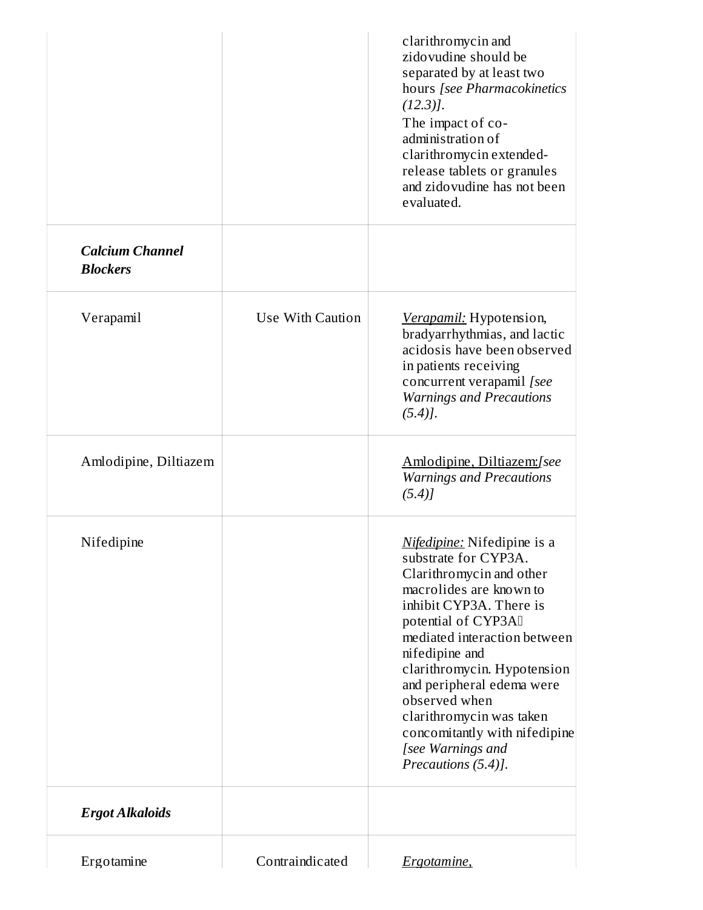| <b>Ergot Alkaloids</b>                    |                  | Precautions (5.4)].                                                                                                                                                                                                                                                                        |
|-------------------------------------------|------------------|--------------------------------------------------------------------------------------------------------------------------------------------------------------------------------------------------------------------------------------------------------------------------------------------|
|                                           |                  | macrolides are known to<br>inhibit CYP3A. There is<br>potential of CYP3AI<br>mediated interaction between<br>nifedipine and<br>clarithromycin. Hypotension<br>and peripheral edema were<br>observed when<br>clarithromycin was taken<br>concomitantly with nifedipine<br>[see Warnings and |
| Nifedipine                                |                  | <u>Nifedipine:</u> Nifedipine is a<br>substrate for CYP3A.<br>Clarithromycin and other                                                                                                                                                                                                     |
| Amlodipine, Diltiazem                     |                  | Amlodipine, Diltiazem: [see<br><b>Warnings and Precautions</b><br>$(5.4)$ ]                                                                                                                                                                                                                |
| Verapamil                                 | Use With Caution | Verapamil: Hypotension,<br>bradyarrhythmias, and lactic<br>acidosis have been observed<br>in patients receiving<br>concurrent verapamil [see<br><b>Warnings and Precautions</b><br>$(5.4)$ .                                                                                               |
| <b>Calcium Channel</b><br><b>Blockers</b> |                  | clarithromycin and<br>zidovudine should be<br>separated by at least two<br>hours [see Pharmacokinetics<br>$(12.3)$ ].<br>The impact of co-<br>administration of<br>clarithromycin extended-<br>release tablets or granules<br>and zidovudine has not been<br>evaluated.                    |
|                                           |                  |                                                                                                                                                                                                                                                                                            |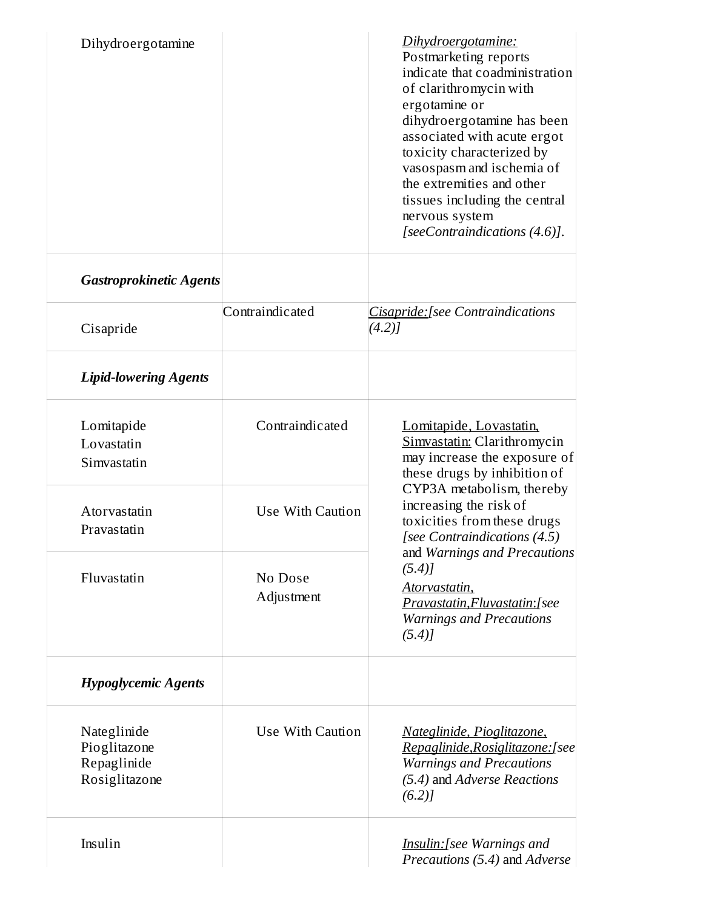| Dihydroergotamine                                           |                       | Dihydroergotamine:<br>Postmarketing reports<br>indicate that coadministration<br>of clarithromycin with<br>ergotamine or<br>dihydroergotamine has been<br>associated with acute ergot<br>toxicity characterized by<br>vasospasm and ischemia of<br>the extremities and other<br>tissues including the central<br>nervous system<br>[seeContraindications (4.6)]. |
|-------------------------------------------------------------|-----------------------|------------------------------------------------------------------------------------------------------------------------------------------------------------------------------------------------------------------------------------------------------------------------------------------------------------------------------------------------------------------|
| <b>Gastroprokinetic Agents</b>                              |                       |                                                                                                                                                                                                                                                                                                                                                                  |
| Cisapride                                                   | Contraindicated       | Cisapride: [see Contraindications<br>(4.2)                                                                                                                                                                                                                                                                                                                       |
| <b>Lipid-lowering Agents</b>                                |                       |                                                                                                                                                                                                                                                                                                                                                                  |
| Lomitapide<br>Lovastatin<br>Simvastatin                     | Contraindicated       | Lomitapide, Lovastatin,<br>Simvastatin: Clarithromycin<br>may increase the exposure of<br>these drugs by inhibition of                                                                                                                                                                                                                                           |
| Atorvastatin<br>Pravastatin                                 | Use With Caution      | CYP3A metabolism, thereby<br>increasing the risk of<br>toxicities from these drugs<br>[see Contraindications (4.5)                                                                                                                                                                                                                                               |
| Fluvastatin                                                 | No Dose<br>Adjustment | and Warnings and Precautions<br>(5.4)<br>Atorvastatin,<br>Pravastatin, Fluvastatin: [see<br><b>Warnings and Precautions</b><br>$(5.4)$ ]                                                                                                                                                                                                                         |
| <b>Hypoglycemic Agents</b>                                  |                       |                                                                                                                                                                                                                                                                                                                                                                  |
| Nateglinide<br>Pioglitazone<br>Repaglinide<br>Rosiglitazone | Use With Caution      | Nateglinide, Pioglitazone,<br>Repaglinide, Rosiglitazone: [see<br><b>Warnings and Precautions</b><br>(5.4) and Adverse Reactions<br>(6.2)                                                                                                                                                                                                                        |
| Insulin                                                     |                       | Insulin: [see Warnings and<br>Precautions (5.4) and Adverse                                                                                                                                                                                                                                                                                                      |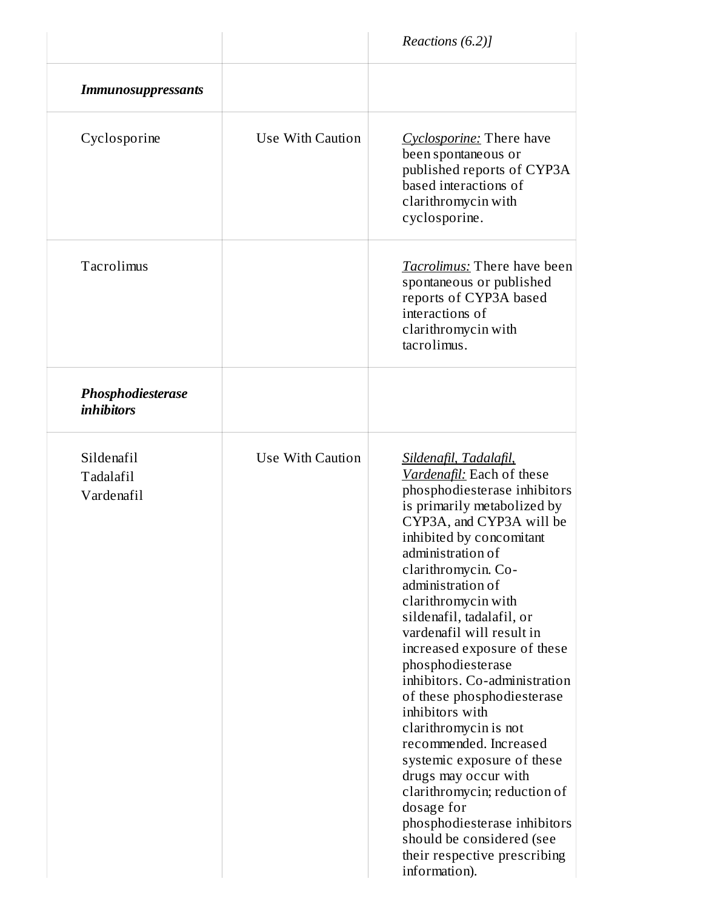|                                        |                  | Reactions (6.2)]                                                                                                                                                                                                                                                                                                                                                                                                                                                                                                                                                                                                                                                                                                                        |
|----------------------------------------|------------------|-----------------------------------------------------------------------------------------------------------------------------------------------------------------------------------------------------------------------------------------------------------------------------------------------------------------------------------------------------------------------------------------------------------------------------------------------------------------------------------------------------------------------------------------------------------------------------------------------------------------------------------------------------------------------------------------------------------------------------------------|
| <b>Immunosuppressants</b>              |                  |                                                                                                                                                                                                                                                                                                                                                                                                                                                                                                                                                                                                                                                                                                                                         |
| Cyclosporine                           | Use With Caution | Cyclosporine: There have<br>been spontaneous or<br>published reports of CYP3A<br>based interactions of<br>clarithromycin with<br>cyclosporine.                                                                                                                                                                                                                                                                                                                                                                                                                                                                                                                                                                                          |
| Tacrolimus                             |                  | <b>Tacrolimus:</b> There have been<br>spontaneous or published<br>reports of CYP3A based<br>interactions of<br>clarithromycin with<br>tacrolimus.                                                                                                                                                                                                                                                                                                                                                                                                                                                                                                                                                                                       |
| Phosphodiesterase<br><i>inhibitors</i> |                  |                                                                                                                                                                                                                                                                                                                                                                                                                                                                                                                                                                                                                                                                                                                                         |
| Sildenafil<br>Tadalafil<br>Vardenafil  | Use With Caution | Sildenafil, Tadalafil,<br>Vardenafil: Each of these<br>phosphodiesterase inhibitors<br>is primarily metabolized by<br>CYP3A, and CYP3A will be<br>inhibited by concomitant<br>administration of<br>clarithromycin. Co-<br>administration of<br>clarithromycin with<br>sildenafil, tadalafil, or<br>vardenafil will result in<br>increased exposure of these<br>phosphodiesterase<br>inhibitors. Co-administration<br>of these phosphodiesterase<br>inhibitors with<br>clarithromycin is not<br>recommended. Increased<br>systemic exposure of these<br>drugs may occur with<br>clarithromycin; reduction of<br>dosage for<br>phosphodiesterase inhibitors<br>should be considered (see<br>their respective prescribing<br>information). |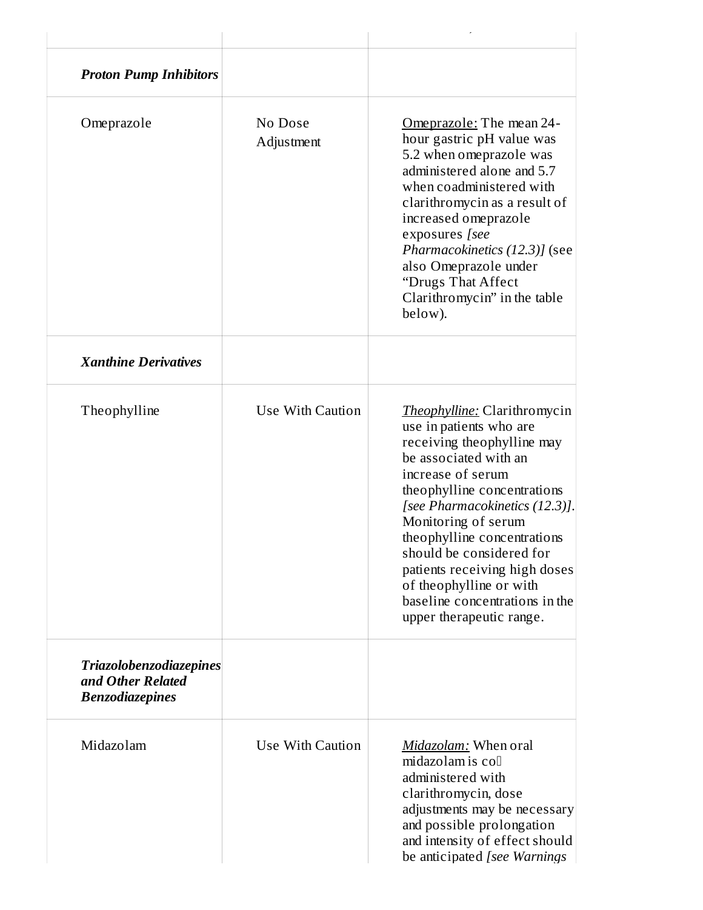| <b>Proton Pump Inhibitors</b>                                                 |                       |                                                                                                                                                                                                                                                                                                                                                                                                                         |
|-------------------------------------------------------------------------------|-----------------------|-------------------------------------------------------------------------------------------------------------------------------------------------------------------------------------------------------------------------------------------------------------------------------------------------------------------------------------------------------------------------------------------------------------------------|
| Omeprazole                                                                    | No Dose<br>Adjustment | Omeprazole: The mean 24-<br>hour gastric pH value was<br>5.2 when omeprazole was<br>administered alone and 5.7<br>when coadministered with<br>clarithromycin as a result of<br>increased omeprazole<br>exposures [see<br>Pharmacokinetics (12.3)] (see<br>also Omeprazole under<br>"Drugs That Affect<br>Clarithromycin" in the table<br>below).                                                                        |
| <b>Xanthine Derivatives</b>                                                   |                       |                                                                                                                                                                                                                                                                                                                                                                                                                         |
| Theophylline                                                                  | Use With Caution      | <b>Theophylline: Clarithromycin</b><br>use in patients who are<br>receiving theophylline may<br>be associated with an<br>increase of serum<br>theophylline concentrations<br>[see Pharmacokinetics (12.3)].<br>Monitoring of serum<br>theophylline concentrations<br>should be considered for<br>patients receiving high doses<br>of theophylline or with<br>baseline concentrations in the<br>upper therapeutic range. |
| <b>Triazolobenzodiazepines</b><br>and Other Related<br><b>Benzodiazepines</b> |                       |                                                                                                                                                                                                                                                                                                                                                                                                                         |
| Midazolam                                                                     | Use With Caution      | Midazolam: When oral<br>midazolam is coll<br>administered with<br>clarithromycin, dose<br>adjustments may be necessary<br>and possible prolongation<br>and intensity of effect should<br>be anticipated [see Warnings]                                                                                                                                                                                                  |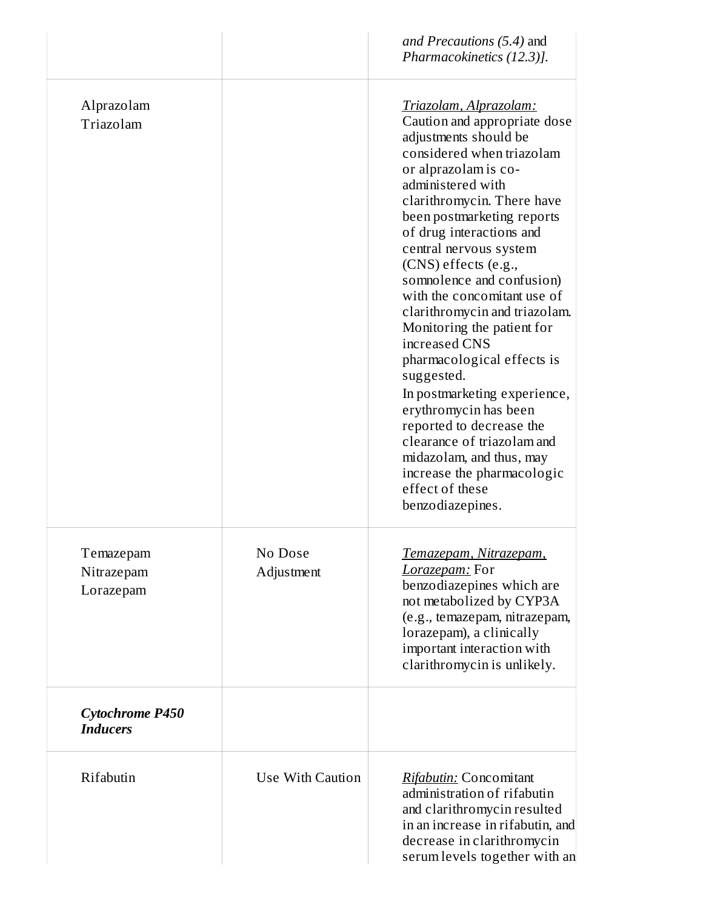|                                           |                       | and Precautions (5.4) and<br>Pharmacokinetics (12.3)].                                                                                                                                                                                                                                                                                                                                                                                                                                                                                                                                                                                                                                                          |
|-------------------------------------------|-----------------------|-----------------------------------------------------------------------------------------------------------------------------------------------------------------------------------------------------------------------------------------------------------------------------------------------------------------------------------------------------------------------------------------------------------------------------------------------------------------------------------------------------------------------------------------------------------------------------------------------------------------------------------------------------------------------------------------------------------------|
| Alprazolam<br>Triazolam                   |                       | Triazolam, Alprazolam:<br>Caution and appropriate dose<br>adjustments should be<br>considered when triazolam<br>or alprazolam is co-<br>administered with<br>clarithromycin. There have<br>been postmarketing reports<br>of drug interactions and<br>central nervous system<br>(CNS) effects (e.g.,<br>somnolence and confusion)<br>with the concomitant use of<br>clarithromycin and triazolam.<br>Monitoring the patient for<br>increased CNS<br>pharmacological effects is<br>suggested.<br>In postmarketing experience,<br>erythromycin has been<br>reported to decrease the<br>clearance of triazolam and<br>midazolam, and thus, may<br>increase the pharmacologic<br>effect of these<br>benzodiazepines. |
| Temazepam<br>Nitrazepam<br>Lorazepam      | No Dose<br>Adjustment | Temazepam, Nitrazepam,<br>Lorazepam: For<br>benzodiazepines which are<br>not metabolized by CYP3A<br>(e.g., temazepam, nitrazepam,<br>lorazepam), a clinically<br>important interaction with<br>clarithromycin is unlikely.                                                                                                                                                                                                                                                                                                                                                                                                                                                                                     |
| <b>Cytochrome P450</b><br><b>Inducers</b> |                       |                                                                                                                                                                                                                                                                                                                                                                                                                                                                                                                                                                                                                                                                                                                 |
| Rifabutin                                 | Use With Caution      | Rifabutin: Concomitant<br>administration of rifabutin<br>and clarithromycin resulted<br>in an increase in rifabutin, and<br>decrease in clarithromycin<br>serum levels together with an                                                                                                                                                                                                                                                                                                                                                                                                                                                                                                                         |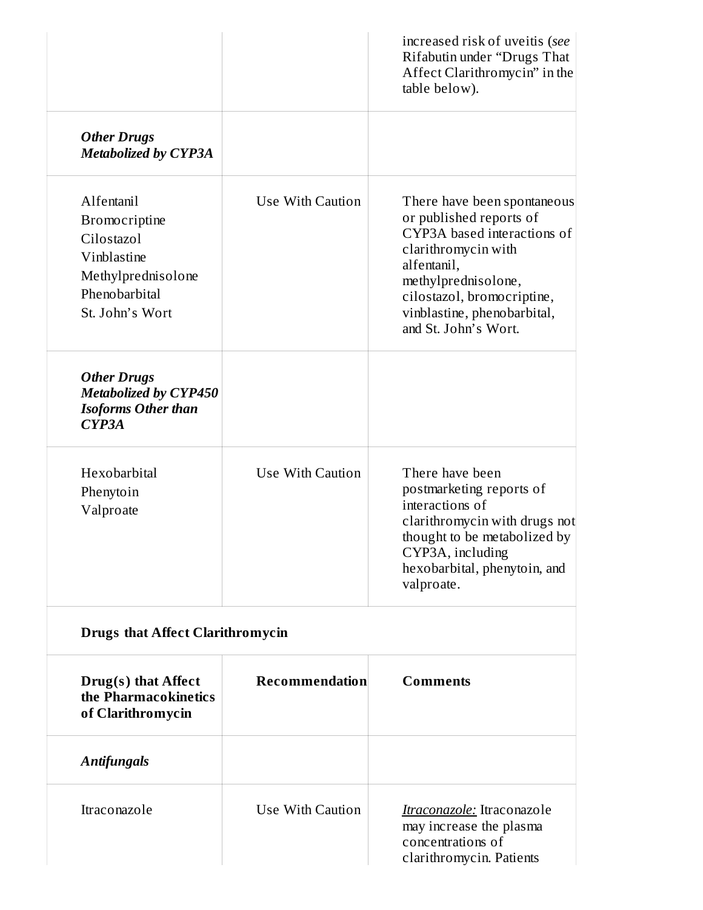|                                                                                                                           |                  | increased risk of uveitis (see<br>Rifabutin under "Drugs That<br>Affect Clarithromycin" in the<br>table below).                                                                                                                         |
|---------------------------------------------------------------------------------------------------------------------------|------------------|-----------------------------------------------------------------------------------------------------------------------------------------------------------------------------------------------------------------------------------------|
| <b>Other Drugs</b><br><b>Metabolized by CYP3A</b>                                                                         |                  |                                                                                                                                                                                                                                         |
| Alfentanil<br><b>Bromocriptine</b><br>Cilostazol<br>Vinblastine<br>Methylprednisolone<br>Phenobarbital<br>St. John's Wort | Use With Caution | There have been spontaneous<br>or published reports of<br>CYP3A based interactions of<br>clarithromycin with<br>alfentanil,<br>methylprednisolone,<br>cilostazol, bromocriptine,<br>vinblastine, phenobarbital,<br>and St. John's Wort. |
| <b>Other Drugs</b><br><b>Metabolized by CYP450</b><br><b>Isoforms Other than</b><br>CYP <sub>3</sub> A                    |                  |                                                                                                                                                                                                                                         |
| Hexobarbital<br>Phenytoin<br>Valproate                                                                                    | Use With Caution | There have been<br>postmarketing reports of<br>interactions of<br>clarithromycin with drugs not<br>thought to be metabolized by<br>CYP3A, including<br>hexobarbital, phenytoin, and<br>valproate.                                       |
| <b>Drugs that Affect Clarithromycin</b>                                                                                   |                  |                                                                                                                                                                                                                                         |
| Drug(s) that Affect<br>the Pharmacokinetics<br>of Clarithromycin                                                          | Recommendation   | <b>Comments</b>                                                                                                                                                                                                                         |
| <b>Antifungals</b>                                                                                                        |                  |                                                                                                                                                                                                                                         |
| Itraconazole                                                                                                              | Use With Caution | Itraconazole: Itraconazole<br>may increase the plasma<br>concentrations of<br>clarithromycin. Patients                                                                                                                                  |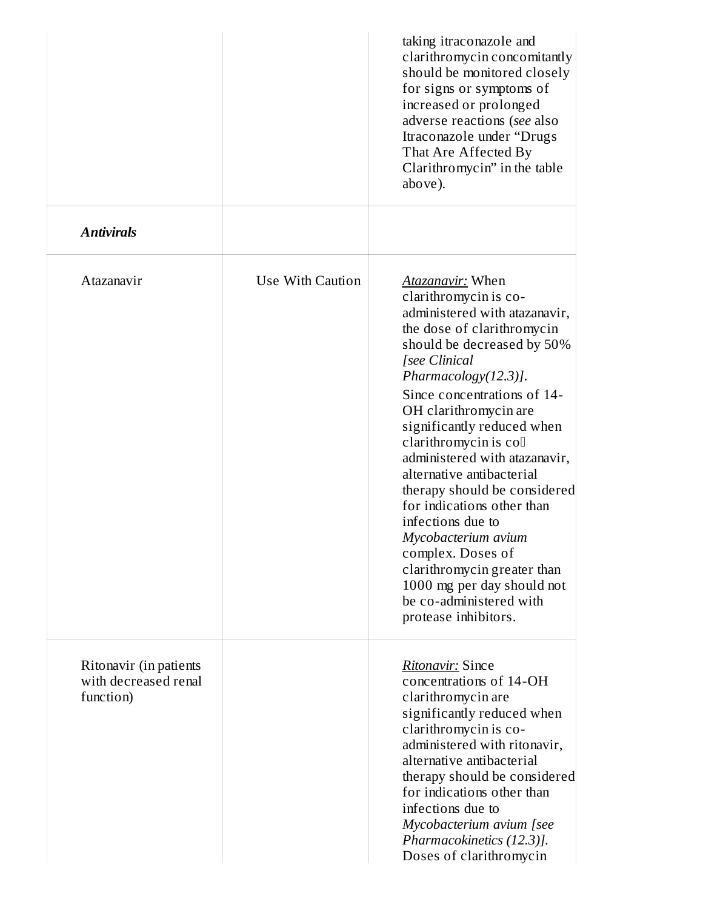|                                                             |                  | taking itraconazole and<br>clarithromycin concomitantly<br>should be monitored closely<br>for signs or symptoms of<br>increased or prolonged<br>adverse reactions (see also<br>Itraconazole under "Drugs<br>That Are Affected By<br>Clarithromycin" in the table<br>above).                                                                                                                                                                                                                                                                                                                                             |
|-------------------------------------------------------------|------------------|-------------------------------------------------------------------------------------------------------------------------------------------------------------------------------------------------------------------------------------------------------------------------------------------------------------------------------------------------------------------------------------------------------------------------------------------------------------------------------------------------------------------------------------------------------------------------------------------------------------------------|
| <b>Antivirals</b>                                           |                  |                                                                                                                                                                                                                                                                                                                                                                                                                                                                                                                                                                                                                         |
| Atazanavir                                                  | Use With Caution | <b>Atazanavir:</b> When<br>clarithromycin is co-<br>administered with atazanavir,<br>the dose of clarithromycin<br>should be decreased by 50%<br>[see Clinical<br>Pharmacology $(12.3)$ ].<br>Since concentrations of 14-<br>OH clarithromycin are<br>significantly reduced when<br>clarithromycin is coll<br>administered with atazanavir,<br>alternative antibacterial<br>therapy should be considered<br>for indications other than<br>infections due to<br>Mycobacterium avium<br>complex. Doses of<br>clarithromycin greater than<br>1000 mg per day should not<br>be co-administered with<br>protease inhibitors. |
| Ritonavir (in patients<br>with decreased renal<br>function) |                  | Ritonavir: Since<br>concentrations of 14-OH<br>clarithromycin are<br>significantly reduced when<br>clarithromycin is co-<br>administered with ritonavir,<br>alternative antibacterial<br>therapy should be considered<br>for indications other than<br>infections due to<br>Mycobacterium avium [see<br>Pharmacokinetics (12.3)].<br>Doses of clarithromycin                                                                                                                                                                                                                                                            |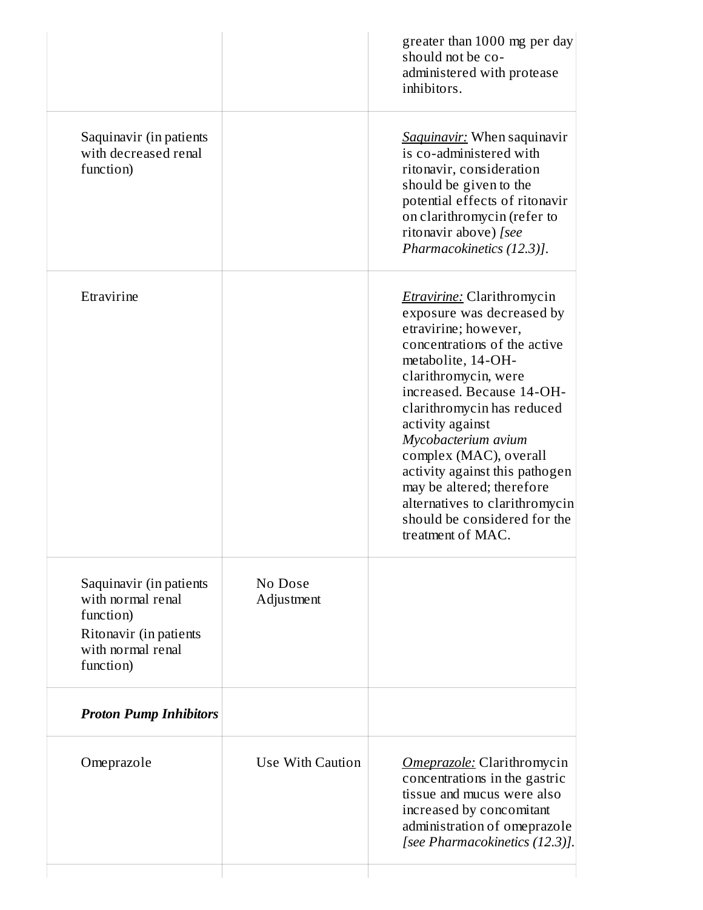|                                                                                                                       |                       | greater than 1000 mg per day<br>should not be co-<br>administered with protease<br>inhibitors.                                                                                                                                                                                                                                                                                                                                                                    |
|-----------------------------------------------------------------------------------------------------------------------|-----------------------|-------------------------------------------------------------------------------------------------------------------------------------------------------------------------------------------------------------------------------------------------------------------------------------------------------------------------------------------------------------------------------------------------------------------------------------------------------------------|
| Saquinavir (in patients<br>with decreased renal<br>function)                                                          |                       | <b>Saquinavir:</b> When saquinavir<br>is co-administered with<br>ritonavir, consideration<br>should be given to the<br>potential effects of ritonavir<br>on clarithromycin (refer to<br>ritonavir above) [see<br>Pharmacokinetics (12.3)].                                                                                                                                                                                                                        |
| Etravirine                                                                                                            |                       | <b><i>Etravirine:</i></b> Clarithromycin<br>exposure was decreased by<br>etravirine; however,<br>concentrations of the active<br>metabolite, 14-OH-<br>clarithromycin, were<br>increased. Because 14-OH-<br>clarithromycin has reduced<br>activity against<br>Mycobacterium avium<br>complex (MAC), overall<br>activity against this pathogen<br>may be altered; therefore<br>alternatives to clarithromycin<br>should be considered for the<br>treatment of MAC. |
| Saquinavir (in patients<br>with normal renal<br>function)<br>Ritonavir (in patients<br>with normal renal<br>function) | No Dose<br>Adjustment |                                                                                                                                                                                                                                                                                                                                                                                                                                                                   |
| <b>Proton Pump Inhibitors</b>                                                                                         |                       |                                                                                                                                                                                                                                                                                                                                                                                                                                                                   |
| Omeprazole                                                                                                            | Use With Caution      | Omeprazole: Clarithromycin<br>concentrations in the gastric<br>tissue and mucus were also<br>increased by concomitant<br>administration of omeprazole<br>[see Pharmacokinetics (12.3)].                                                                                                                                                                                                                                                                           |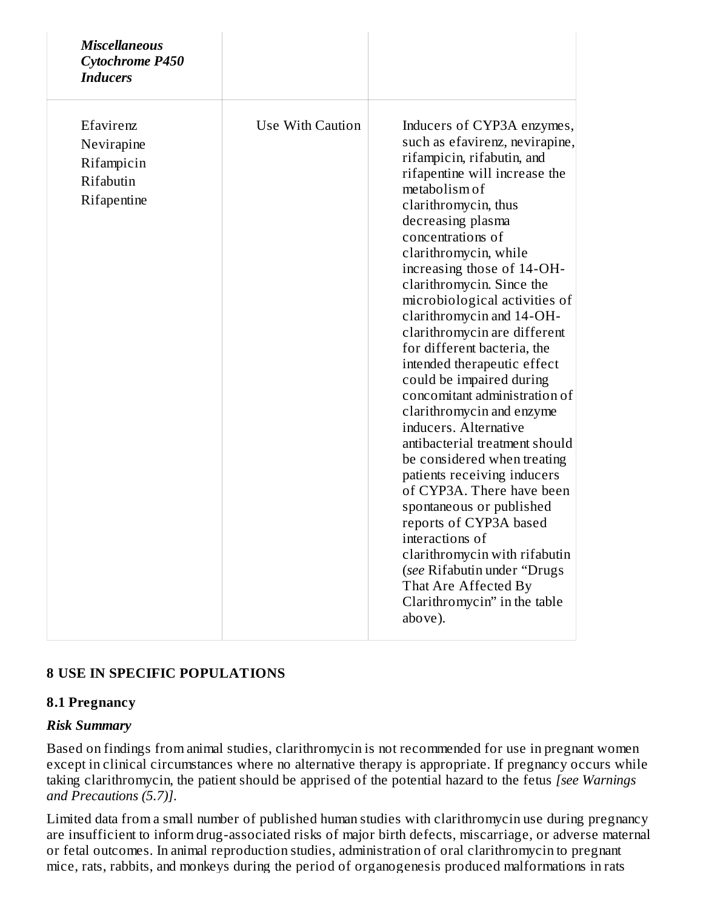| <b>Miscellaneous</b><br><b>Cytochrome P450</b><br><b>Inducers</b> |                  |                                                                                                                                                                                                                                                                                                                                                                                                                                                                                                                                                                                                                                                                                                                                                                                                                                                                                                                            |
|-------------------------------------------------------------------|------------------|----------------------------------------------------------------------------------------------------------------------------------------------------------------------------------------------------------------------------------------------------------------------------------------------------------------------------------------------------------------------------------------------------------------------------------------------------------------------------------------------------------------------------------------------------------------------------------------------------------------------------------------------------------------------------------------------------------------------------------------------------------------------------------------------------------------------------------------------------------------------------------------------------------------------------|
| Efavirenz<br>Nevirapine<br>Rifampicin<br>Rifabutin<br>Rifapentine | Use With Caution | Inducers of CYP3A enzymes,<br>such as efavirenz, nevirapine,<br>rifampicin, rifabutin, and<br>rifapentine will increase the<br>metabolism of<br>clarithromycin, thus<br>decreasing plasma<br>concentrations of<br>clarithromycin, while<br>increasing those of 14-OH-<br>clarithromycin. Since the<br>microbiological activities of<br>clarithromycin and 14-OH-<br>clarithromycin are different<br>for different bacteria, the<br>intended therapeutic effect<br>could be impaired during<br>concomitant administration of<br>clarithromycin and enzyme<br>inducers. Alternative<br>antibacterial treatment should<br>be considered when treating<br>patients receiving inducers<br>of CYP3A. There have been<br>spontaneous or published<br>reports of CYP3A based<br>interactions of<br>clarithromycin with rifabutin<br>(see Rifabutin under "Drugs<br>That Are Affected By<br>Clarithromycin" in the table<br>above). |

## **8 USE IN SPECIFIC POPULATIONS**

#### **8.1 Pregnancy**

#### *Risk Summary*

Based on findings from animal studies, clarithromycin is not recommended for use in pregnant women except in clinical circumstances where no alternative therapy is appropriate. If pregnancy occurs while taking clarithromycin, the patient should be apprised of the potential hazard to the fetus *[see Warnings and Precautions (5.7)]*.

Limited data from a small number of published human studies with clarithromycin use during pregnancy are insufficient to inform drug-associated risks of major birth defects, miscarriage, or adverse maternal or fetal outcomes. In animal reproduction studies, administration of oral clarithromycin to pregnant mice, rats, rabbits, and monkeys during the period of organogenesis produced malformations in rats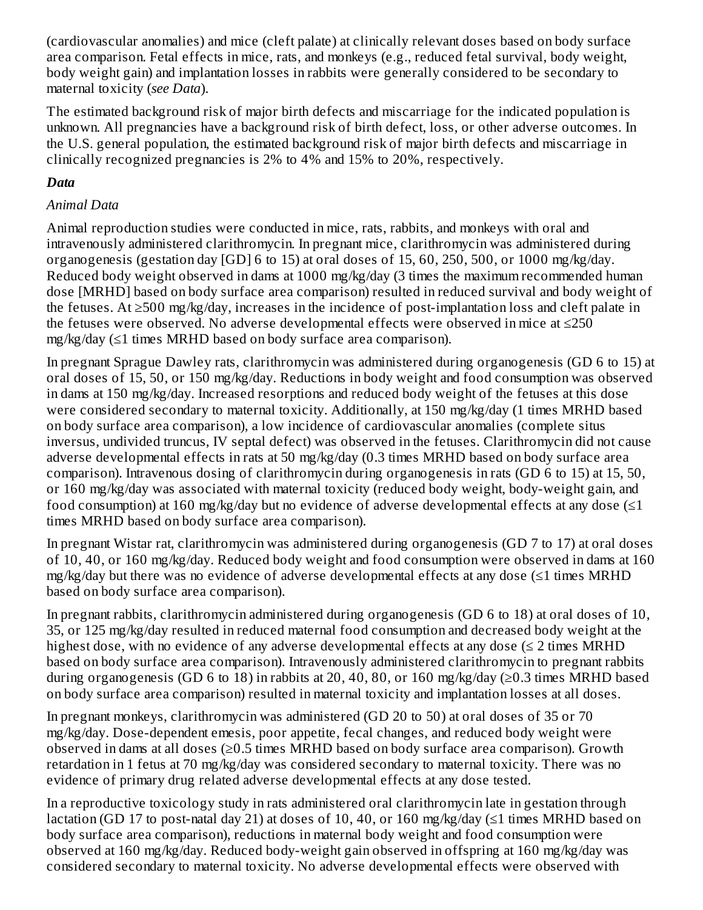(cardiovascular anomalies) and mice (cleft palate) at clinically relevant doses based on body surface area comparison. Fetal effects in mice, rats, and monkeys (e.g., reduced fetal survival, body weight, body weight gain) and implantation losses in rabbits were generally considered to be secondary to maternal toxicity (*see Data*).

The estimated background risk of major birth defects and miscarriage for the indicated population is unknown. All pregnancies have a background risk of birth defect, loss, or other adverse outcomes. In the U.S. general population, the estimated background risk of major birth defects and miscarriage in clinically recognized pregnancies is 2% to 4% and 15% to 20%, respectively.

## *Data*

## *Animal Data*

Animal reproduction studies were conducted in mice, rats, rabbits, and monkeys with oral and intravenously administered clarithromycin. In pregnant mice, clarithromycin was administered during organogenesis (gestation day [GD] 6 to 15) at oral doses of 15, 60, 250, 500, or 1000 mg/kg/day. Reduced body weight observed in dams at 1000 mg/kg/day (3 times the maximum recommended human dose [MRHD] based on body surface area comparison) resulted in reduced survival and body weight of the fetuses. At ≥500 mg/kg/day, increases in the incidence of post-implantation loss and cleft palate in the fetuses were observed. No adverse developmental effects were observed in mice at ≤250 mg/kg/day (≤1 times MRHD based on body surface area comparison).

In pregnant Sprague Dawley rats, clarithromycin was administered during organogenesis (GD 6 to 15) at oral doses of 15, 50, or 150 mg/kg/day. Reductions in body weight and food consumption was observed in dams at 150 mg/kg/day. Increased resorptions and reduced body weight of the fetuses at this dose were considered secondary to maternal toxicity. Additionally, at 150 mg/kg/day (1 times MRHD based on body surface area comparison), a low incidence of cardiovascular anomalies (complete situs inversus, undivided truncus, IV septal defect) was observed in the fetuses. Clarithromycin did not cause adverse developmental effects in rats at 50 mg/kg/day (0.3 times MRHD based on body surface area comparison). Intravenous dosing of clarithromycin during organogenesis in rats (GD 6 to 15) at 15, 50, or 160 mg/kg/day was associated with maternal toxicity (reduced body weight, body-weight gain, and food consumption) at 160 mg/kg/day but no evidence of adverse developmental effects at any dose  $(\leq 1)$ times MRHD based on body surface area comparison).

In pregnant Wistar rat, clarithromycin was administered during organogenesis (GD 7 to 17) at oral doses of 10, 40, or 160 mg/kg/day. Reduced body weight and food consumption were observed in dams at 160 mg/kg/day but there was no evidence of adverse developmental effects at any dose (≤1 times MRHD based on body surface area comparison).

In pregnant rabbits, clarithromycin administered during organogenesis (GD 6 to 18) at oral doses of 10, 35, or 125 mg/kg/day resulted in reduced maternal food consumption and decreased body weight at the highest dose, with no evidence of any adverse developmental effects at any dose  $(\leq 2)$  times MRHD based on body surface area comparison). Intravenously administered clarithromycin to pregnant rabbits during organogenesis (GD 6 to 18) in rabbits at 20, 40, 80, or 160 mg/kg/day ( $\geq$ 0.3 times MRHD based on body surface area comparison) resulted in maternal toxicity and implantation losses at all doses.

In pregnant monkeys, clarithromycin was administered (GD 20 to 50) at oral doses of 35 or 70 mg/kg/day. Dose-dependent emesis, poor appetite, fecal changes, and reduced body weight were observed in dams at all doses (≥0.5 times MRHD based on body surface area comparison). Growth retardation in 1 fetus at 70 mg/kg/day was considered secondary to maternal toxicity. There was no evidence of primary drug related adverse developmental effects at any dose tested.

In a reproductive toxicology study in rats administered oral clarithromycin late in gestation through lactation (GD 17 to post-natal day 21) at doses of 10, 40, or 160 mg/kg/day (≤1 times MRHD based on body surface area comparison), reductions in maternal body weight and food consumption were observed at 160 mg/kg/day. Reduced body-weight gain observed in offspring at 160 mg/kg/day was considered secondary to maternal toxicity. No adverse developmental effects were observed with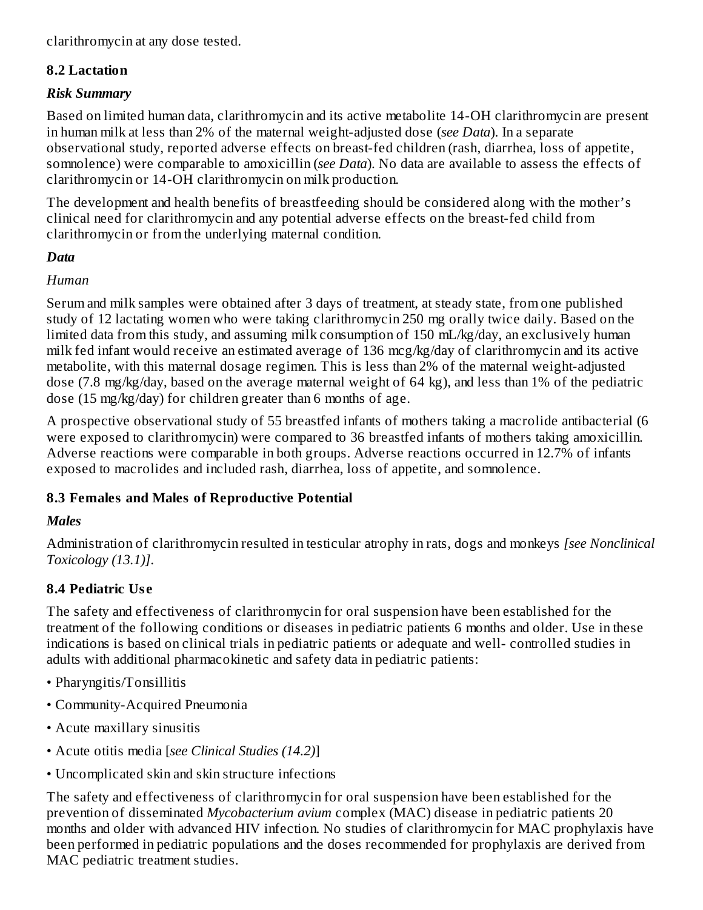clarithromycin at any dose tested.

## **8.2 Lactation**

#### *Risk Summary*

Based on limited human data, clarithromycin and its active metabolite 14-OH clarithromycin are present in human milk at less than 2% of the maternal weight-adjusted dose (*see Data*). In a separate observational study, reported adverse effects on breast-fed children (rash, diarrhea, loss of appetite, somnolence) were comparable to amoxicillin (*see Data*). No data are available to assess the effects of clarithromycin or 14-OH clarithromycin on milk production.

The development and health benefits of breastfeeding should be considered along with the mother's clinical need for clarithromycin and any potential adverse effects on the breast-fed child from clarithromycin or from the underlying maternal condition.

## *Data*

## *Human*

Serum and milk samples were obtained after 3 days of treatment, at steady state, from one published study of 12 lactating women who were taking clarithromycin 250 mg orally twice daily. Based on the limited data from this study, and assuming milk consumption of 150 mL/kg/day, an exclusively human milk fed infant would receive an estimated average of 136 mcg/kg/day of clarithromycin and its active metabolite, with this maternal dosage regimen. This is less than 2% of the maternal weight-adjusted dose (7.8 mg/kg/day, based on the average maternal weight of 64 kg), and less than 1% of the pediatric dose (15 mg/kg/day) for children greater than 6 months of age.

A prospective observational study of 55 breastfed infants of mothers taking a macrolide antibacterial (6 were exposed to clarithromycin) were compared to 36 breastfed infants of mothers taking amoxicillin. Adverse reactions were comparable in both groups. Adverse reactions occurred in 12.7% of infants exposed to macrolides and included rash, diarrhea, loss of appetite, and somnolence.

## **8.3 Females and Males of Reproductive Potential**

# *Males*

Administration of clarithromycin resulted in testicular atrophy in rats, dogs and monkeys *[see Nonclinical Toxicology (13.1)]*.

# **8.4 Pediatric Us e**

The safety and effectiveness of clarithromycin for oral suspension have been established for the treatment of the following conditions or diseases in pediatric patients 6 months and older. Use in these indications is based on clinical trials in pediatric patients or adequate and well- controlled studies in adults with additional pharmacokinetic and safety data in pediatric patients:

- Pharyngitis/Tonsillitis
- Community-Acquired Pneumonia
- Acute maxillary sinusitis
- Acute otitis media [*see Clinical Studies (14.2)*]
- Uncomplicated skin and skin structure infections

The safety and effectiveness of clarithromycin for oral suspension have been established for the prevention of disseminated *Mycobacterium avium* complex (MAC) disease in pediatric patients 20 months and older with advanced HIV infection. No studies of clarithromycin for MAC prophylaxis have been performed in pediatric populations and the doses recommended for prophylaxis are derived from MAC pediatric treatment studies.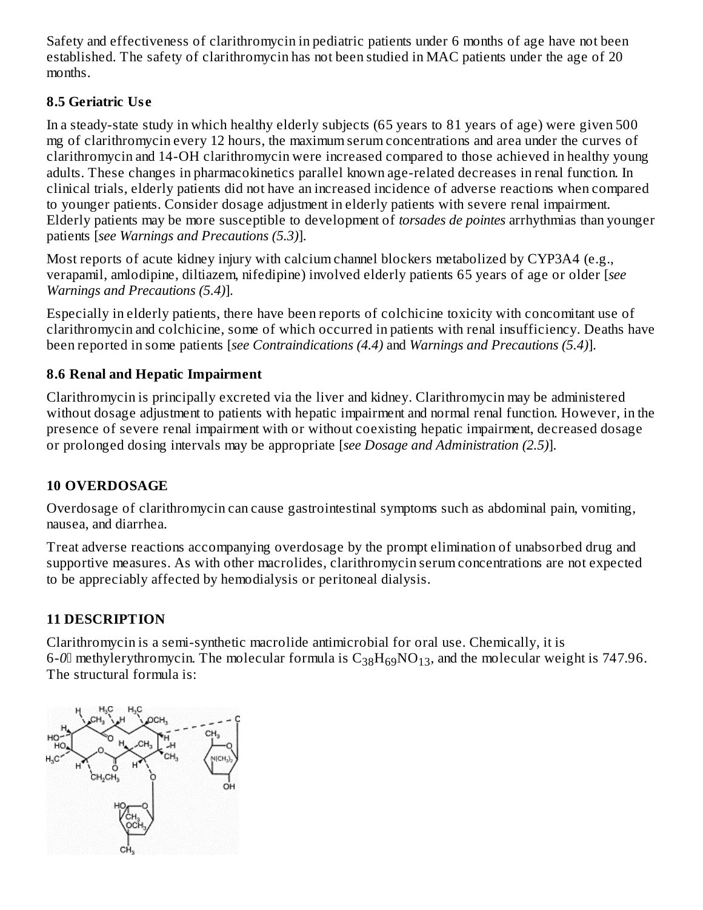Safety and effectiveness of clarithromycin in pediatric patients under 6 months of age have not been established. The safety of clarithromycin has not been studied in MAC patients under the age of 20 months.

# **8.5 Geriatric Us e**

In a steady-state study in which healthy elderly subjects (65 years to 81 years of age) were given 500 mg of clarithromycin every 12 hours, the maximum serum concentrations and area under the curves of clarithromycin and 14-OH clarithromycin were increased compared to those achieved in healthy young adults. These changes in pharmacokinetics parallel known age-related decreases in renal function. In clinical trials, elderly patients did not have an increased incidence of adverse reactions when compared to younger patients. Consider dosage adjustment in elderly patients with severe renal impairment. Elderly patients may be more susceptible to development of *torsades de pointes* arrhythmias than younger patients [*see Warnings and Precautions (5.3)*].

Most reports of acute kidney injury with calcium channel blockers metabolized by CYP3A4 (e.g., verapamil, amlodipine, diltiazem, nifedipine) involved elderly patients 65 years of age or older [*see Warnings and Precautions (5.4)*].

Especially in elderly patients, there have been reports of colchicine toxicity with concomitant use of clarithromycin and colchicine, some of which occurred in patients with renal insufficiency. Deaths have been reported in some patients [*see Contraindications (4.4)* and *Warnings and Precautions (5.4)*].

# **8.6 Renal and Hepatic Impairment**

Clarithromycin is principally excreted via the liver and kidney. Clarithromycin may be administered without dosage adjustment to patients with hepatic impairment and normal renal function. However, in the presence of severe renal impairment with or without coexisting hepatic impairment, decreased dosage or prolonged dosing intervals may be appropriate [*see Dosage and Administration (2.5)*].

# **10 OVERDOSAGE**

Overdosage of clarithromycin can cause gastrointestinal symptoms such as abdominal pain, vomiting, nausea, and diarrhea.

Treat adverse reactions accompanying overdosage by the prompt elimination of unabsorbed drug and supportive measures. As with other macrolides, clarithromycin serum concentrations are not expected to be appreciably affected by hemodialysis or peritoneal dialysis.

# **11 DESCRIPTION**

Clarithromycin is a semi-synthetic macrolide antimicrobial for oral use. Chemically, it is 6-0 $\scriptstyle\rm II$  methylerythromycin. The molecular formula is  $\rm C_{38}H_{69}NO_{13}$ , and the molecular weight is 747.96. The structural formula is:

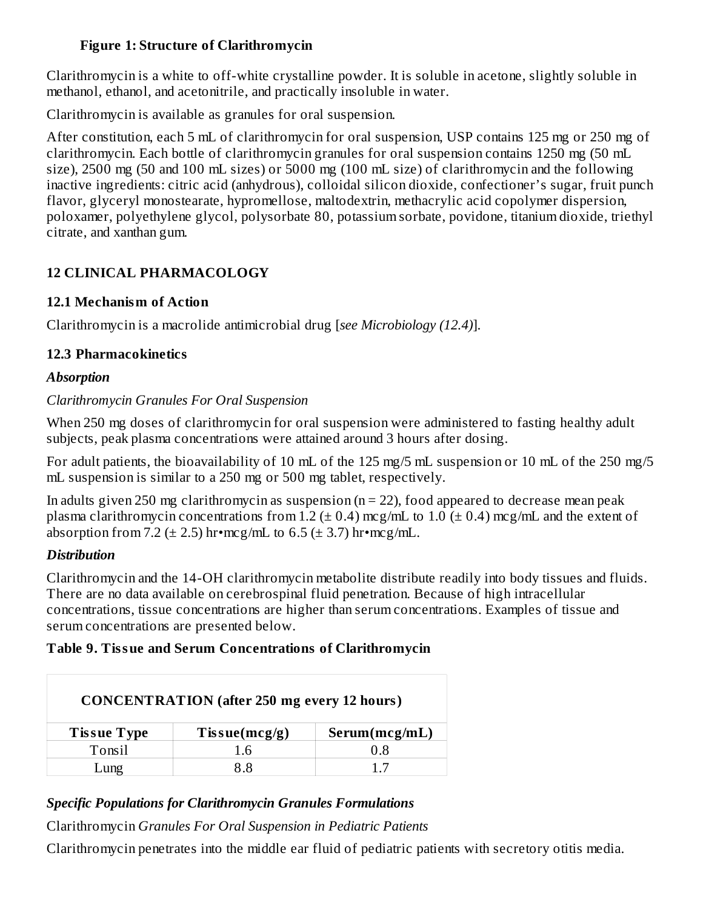## **Figure 1: Structure of Clarithromycin**

Clarithromycin is a white to off-white crystalline powder. It is soluble in acetone, slightly soluble in methanol, ethanol, and acetonitrile, and practically insoluble in water.

Clarithromycin is available as granules for oral suspension.

After constitution, each 5 mL of clarithromycin for oral suspension, USP contains 125 mg or 250 mg of clarithromycin. Each bottle of clarithromycin granules for oral suspension contains 1250 mg (50 mL size), 2500 mg (50 and 100 mL sizes) or 5000 mg (100 mL size) of clarithromycin and the following inactive ingredients: citric acid (anhydrous), colloidal silicon dioxide, confectioner's sugar, fruit punch flavor, glyceryl monostearate, hypromellose, maltodextrin, methacrylic acid copolymer dispersion, poloxamer, polyethylene glycol, polysorbate 80, potassium sorbate, povidone, titanium dioxide, triethyl citrate, and xanthan gum.

# **12 CLINICAL PHARMACOLOGY**

# **12.1 Mechanism of Action**

Clarithromycin is a macrolide antimicrobial drug [*see Microbiology (12.4)*].

# **12.3 Pharmacokinetics**

# *Absorption*

# *Clarithromycin Granules For Oral Suspension*

When 250 mg doses of clarithromycin for oral suspension were administered to fasting healthy adult subjects, peak plasma concentrations were attained around 3 hours after dosing.

For adult patients, the bioavailability of 10 mL of the 125 mg/5 mL suspension or 10 mL of the 250 mg/5 mL suspension is similar to a 250 mg or 500 mg tablet, respectively.

In adults given 250 mg clarithromycin as suspension ( $n = 22$ ), food appeared to decrease mean peak plasma clarithromycin concentrations from 1.2 ( $\pm$  0.4) mcg/mL to 1.0 ( $\pm$  0.4) mcg/mL and the extent of absorption from 7.2 ( $\pm$  2.5) hr•mcg/mL to 6.5 ( $\pm$  3.7) hr•mcg/mL.

# *Distribution*

Clarithromycin and the 14-OH clarithromycin metabolite distribute readily into body tissues and fluids. There are no data available on cerebrospinal fluid penetration. Because of high intracellular concentrations, tissue concentrations are higher than serum concentrations. Examples of tissue and serum concentrations are presented below.

# **Table 9. Tissue and Serum Concentrations of Clarithromycin**

| <b>CONCENTRATION</b> (after 250 mg every 12 hours) |                      |               |  |  |
|----------------------------------------------------|----------------------|---------------|--|--|
| <b>Tissue Type</b>                                 | $T$ is sue $(mcg/g)$ | Serum(mcg/mL) |  |  |
| Tonsil                                             | 1.6                  | 0.8           |  |  |
| ⊥ung                                               | 88                   | 17            |  |  |

# *Specific Populations for Clarithromycin Granules Formulations*

Clarithromycin *Granules For Oral Suspension in Pediatric Patients*

Clarithromycin penetrates into the middle ear fluid of pediatric patients with secretory otitis media.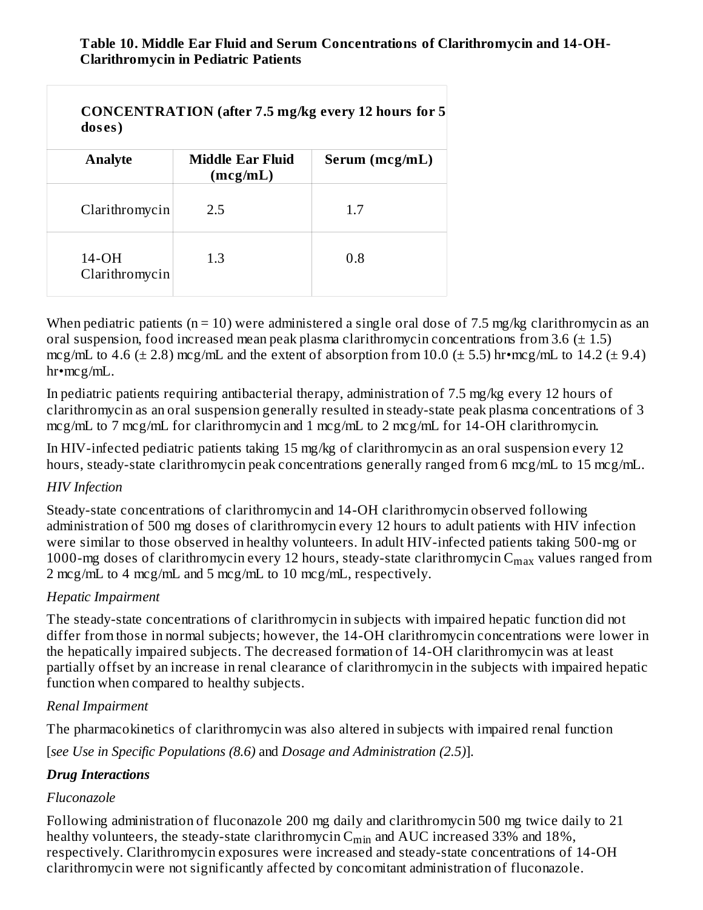## **Table 10. Middle Ear Fluid and Serum Concentrations of Clarithromycin and 14-OH-Clarithromycin in Pediatric Patients**

| doses)                    | CONCENTRATION (after 7.5 mg/kg every 12 hours for 5 |                |  |  |  |
|---------------------------|-----------------------------------------------------|----------------|--|--|--|
| <b>Analyte</b>            | Middle Ear Fluid<br>(mcg/mL)                        | Serum (mcg/mL) |  |  |  |
| Clarithromycin            | 2.5                                                 | 1.7            |  |  |  |
| $14-OH$<br>Clarithromycin | 1.3                                                 | 0.8            |  |  |  |

When pediatric patients ( $n = 10$ ) were administered a single oral dose of 7.5 mg/kg clarithromycin as an oral suspension, food increased mean peak plasma clarithromycin concentrations from 3.6  $(\pm 1.5)$ mcg/mL to 4.6 ( $\pm$  2.8) mcg/mL and the extent of absorption from 10.0 ( $\pm$  5.5) hr•mcg/mL to 14.2 ( $\pm$  9.4) hr•mcg/mL.

In pediatric patients requiring antibacterial therapy, administration of 7.5 mg/kg every 12 hours of clarithromycin as an oral suspension generally resulted in steady-state peak plasma concentrations of 3 mcg/mL to 7 mcg/mL for clarithromycin and 1 mcg/mL to 2 mcg/mL for 14-OH clarithromycin.

In HIV-infected pediatric patients taking 15 mg/kg of clarithromycin as an oral suspension every 12 hours, steady-state clarithromycin peak concentrations generally ranged from 6 mcg/mL to 15 mcg/mL.

## *HIV Infection*

Steady-state concentrations of clarithromycin and 14-OH clarithromycin observed following administration of 500 mg doses of clarithromycin every 12 hours to adult patients with HIV infection were similar to those observed in healthy volunteers. In adult HIV-infected patients taking 500-mg or 1000-mg doses of clarithromycin every 12 hours, steady-state clarithromycin  $\textsf{C}_{\max}$  values ranged from 2 mcg/mL to 4 mcg/mL and 5 mcg/mL to 10 mcg/mL, respectively.

## *Hepatic Impairment*

The steady-state concentrations of clarithromycin in subjects with impaired hepatic function did not differ from those in normal subjects; however, the 14-OH clarithromycin concentrations were lower in the hepatically impaired subjects. The decreased formation of 14-OH clarithromycin was at least partially offset by an increase in renal clearance of clarithromycin in the subjects with impaired hepatic function when compared to healthy subjects.

#### *Renal Impairment*

The pharmacokinetics of clarithromycin was also altered in subjects with impaired renal function

[*see Use in Specific Populations (8.6)* and *Dosage and Administration (2.5)*].

## *Drug Interactions*

## *Fluconazole*

Following administration of fluconazole 200 mg daily and clarithromycin 500 mg twice daily to 21 healthy volunteers, the steady-state clarithromycin  $\mathsf{C}_{\min}$  and  $\mathrm{AUC}$  increased 33% and 18%, respectively. Clarithromycin exposures were increased and steady-state concentrations of 14-OH clarithromycin were not significantly affected by concomitant administration of fluconazole.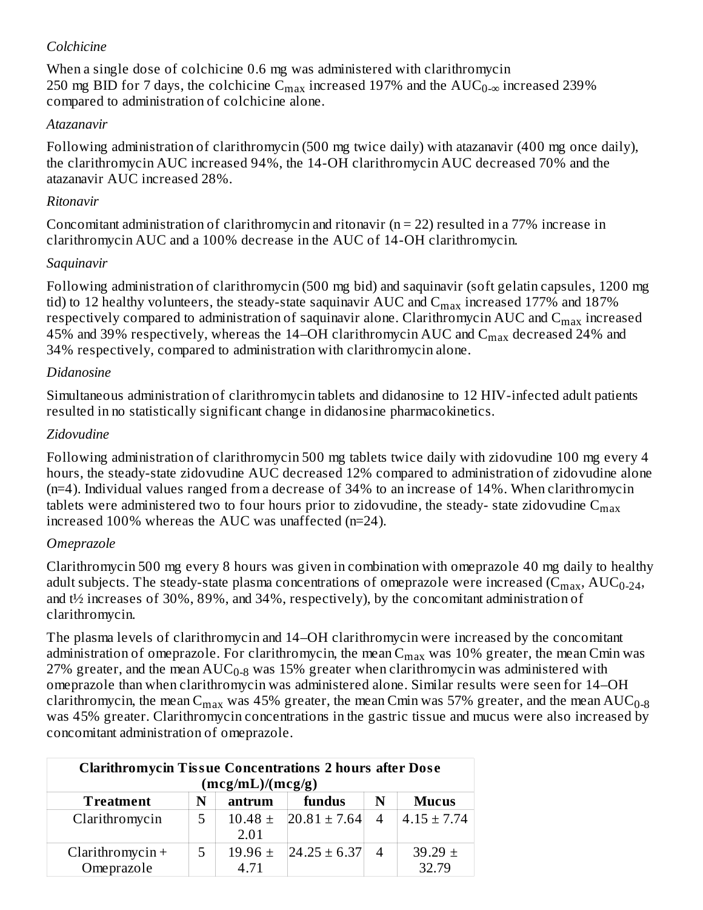#### *Colchicine*

When a single dose of colchicine 0.6 mg was administered with clarithromycin 250 mg BID for 7 days, the colchicine  $\rm C_{max}$  increased 197% and the  $\rm AUC_{0-\infty}$  increased 239% compared to administration of colchicine alone.

## *Atazanavir*

Following administration of clarithromycin (500 mg twice daily) with atazanavir (400 mg once daily), the clarithromycin AUC increased 94%, the 14-OH clarithromycin AUC decreased 70% and the atazanavir AUC increased 28%.

## *Ritonavir*

Concomitant administration of clarithromycin and ritonavir ( $n = 22$ ) resulted in a 77% increase in clarithromycin AUC and a 100% decrease in the AUC of 14-OH clarithromycin.

## *Saquinavir*

Following administration of clarithromycin (500 mg bid) and saquinavir (soft gelatin capsules, 1200 mg tid) to 12 healthy volunteers, the steady-state saquinavir AUC and  $\rm{C_{max}}$  increased 177% and 187% respectively compared to administration of saquinavir alone. Clarithromycin AUC and  $\mathsf{C}_{\max}$  increased 45% and 39% respectively, whereas the 14–OH clarithromycin AUC and  $\rm C_{max}$  decreased 24% and 34% respectively, compared to administration with clarithromycin alone.

# *Didanosine*

Simultaneous administration of clarithromycin tablets and didanosine to 12 HIV-infected adult patients resulted in no statistically significant change in didanosine pharmacokinetics.

# *Zidovudine*

Following administration of clarithromycin 500 mg tablets twice daily with zidovudine 100 mg every 4 hours, the steady-state zidovudine AUC decreased 12% compared to administration of zidovudine alone (n=4). Individual values ranged from a decrease of 34% to an increase of 14%. When clarithromycin tablets were administered two to four hours prior to zidovudine, the steady- state zidovudine  $\mathsf{C}_{\max}$ increased 100% whereas the AUC was unaffected (n=24).

# *Omeprazole*

Clarithromycin 500 mg every 8 hours was given in combination with omeprazole 40 mg daily to healthy adult subjects. The steady-state plasma concentrations of omeprazole were increased (C $_{\rm max}$ , AUC $_{\rm 0-24}$ , and t½ increases of 30%, 89%, and 34%, respectively), by the concomitant administration of clarithromycin.

The plasma levels of clarithromycin and 14–OH clarithromycin were increased by the concomitant administration of omeprazole. For clarithromycin, the mean  $\rm{C_{max}}$  was  $10\%$  greater, the mean  $\rm{C_{min}}$  was 27% greater, and the mean  $\mathrm{AUC_{0-8}}$  was 15% greater when clarithromycin was administered with omeprazole than when clarithromycin was administered alone. Similar results were seen for 14–OH clarithromycin, the mean  $\rm C_{max}$  was 45% greater, the mean Cmin was 57% greater, and the mean  $\rm AUC_{0-8}$ was 45% greater. Clarithromycin concentrations in the gastric tissue and mucus were also increased by concomitant administration of omeprazole.

| <b>Clarithromycin Tissue Concentrations 2 hours after Dose</b><br>(mcg/mL)/(mcg/g) |   |             |                    |                |                 |
|------------------------------------------------------------------------------------|---|-------------|--------------------|----------------|-----------------|
| <b>Treatment</b>                                                                   | N | antrum      | fundus             | N              | <b>Mucus</b>    |
| Clarithromycin                                                                     | 5 | $10.48 \pm$ | $20.81 \pm 7.64$   | $\overline{4}$ | $4.15 \pm 7.74$ |
|                                                                                    |   | 2.01        |                    |                |                 |
| $Clarithromycin +$                                                                 | 5 | 19.96 $\pm$ | $ 24.25 \pm 6.37 $ |                | $39.29 \pm$     |
| Omeprazole                                                                         |   | 4.71        |                    |                | 32.79           |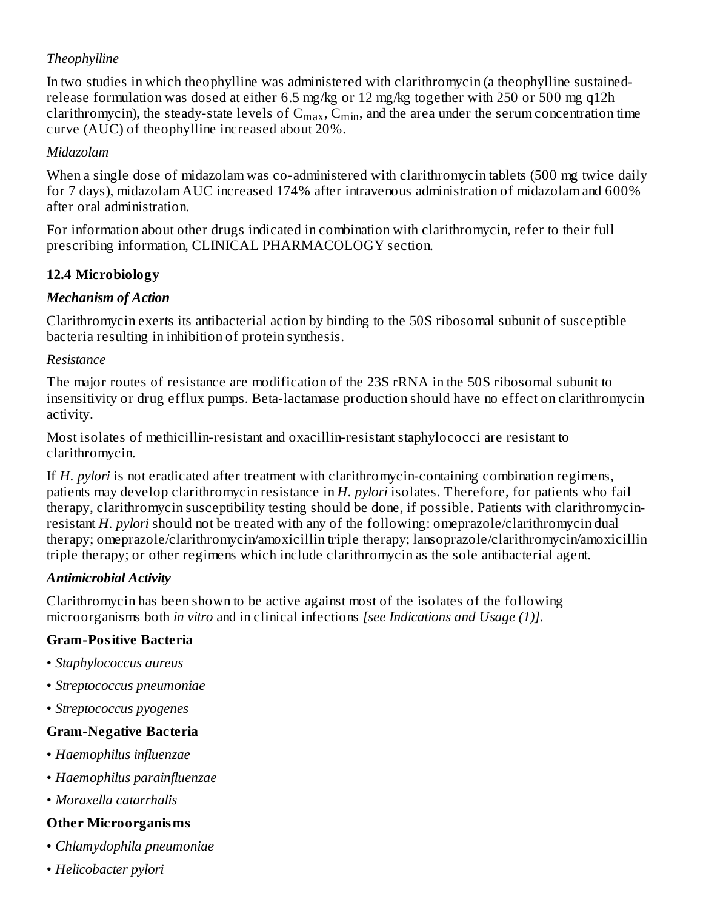# *Theophylline*

In two studies in which theophylline was administered with clarithromycin (a theophylline sustainedrelease formulation was dosed at either 6.5 mg/kg or 12 mg/kg together with 250 or 500 mg q12h clarithromycin), the steady-state levels of  $C_{max}$ ,  $C_{min}$ , and the area under the serum concentration time curve (AUC) of theophylline increased about 20%.

## *Midazolam*

When a single dose of midazolam was co-administered with clarithromycin tablets (500 mg twice daily for 7 days), midazolam AUC increased 174% after intravenous administration of midazolam and 600% after oral administration.

For information about other drugs indicated in combination with clarithromycin, refer to their full prescribing information, CLINICAL PHARMACOLOGY section.

# **12.4 Microbiology**

# *Mechanism of Action*

Clarithromycin exerts its antibacterial action by binding to the 50S ribosomal subunit of susceptible bacteria resulting in inhibition of protein synthesis.

## *Resistance*

The major routes of resistance are modification of the 23S rRNA in the 50S ribosomal subunit to insensitivity or drug efflux pumps. Beta-lactamase production should have no effect on clarithromycin activity.

Most isolates of methicillin-resistant and oxacillin-resistant staphylococci are resistant to clarithromycin.

If *H. pylori* is not eradicated after treatment with clarithromycin-containing combination regimens, patients may develop clarithromycin resistance in *H. pylori* isolates. Therefore, for patients who fail therapy, clarithromycin susceptibility testing should be done, if possible. Patients with clarithromycinresistant *H. pylori* should not be treated with any of the following: omeprazole/clarithromycin dual therapy; omeprazole/clarithromycin/amoxicillin triple therapy; lansoprazole/clarithromycin/amoxicillin triple therapy; or other regimens which include clarithromycin as the sole antibacterial agent.

# *Antimicrobial Activity*

Clarithromycin has been shown to be active against most of the isolates of the following microorganisms both *in vitro* and in clinical infections *[see Indications and Usage (1)]*.

# **Gram-Positive Bacteria**

- *Staphylococcus aureus*
- *Streptococcus pneumoniae*
- *Streptococcus pyogenes*

## **Gram-Negative Bacteria**

- *Haemophilus influenzae*
- *Haemophilus parainfluenzae*
- *Moraxella catarrhalis*

## **Other Microorganisms**

- *Chlamydophila pneumoniae*
- *Helicobacter pylori*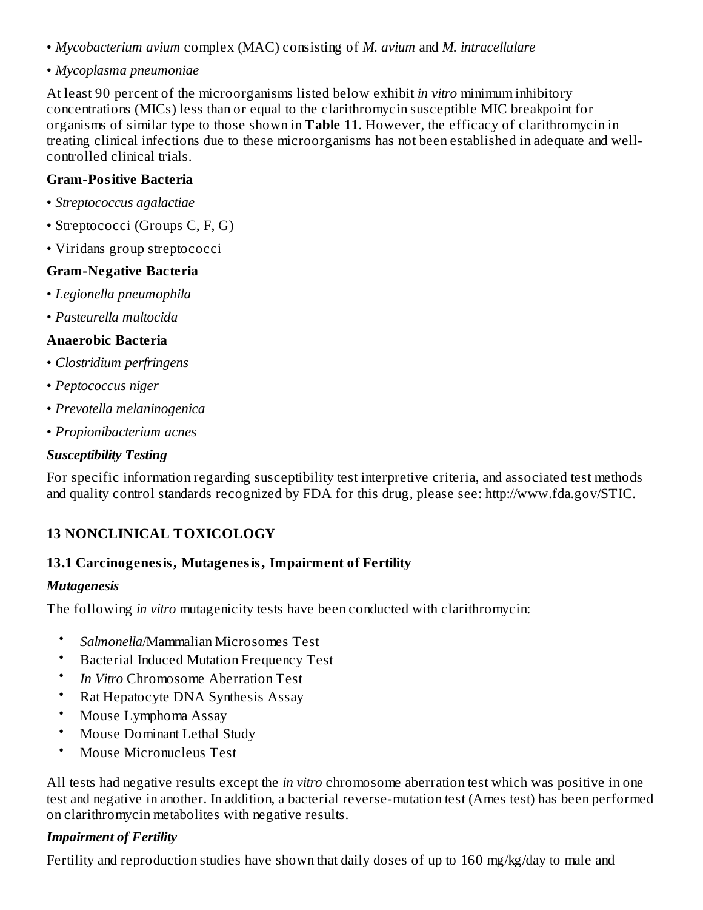- *Mycobacterium avium* complex (MAC) consisting of *M. avium* and *M. intracellulare*
- *Mycoplasma pneumoniae*

At least 90 percent of the microorganisms listed below exhibit *in vitro* minimum inhibitory concentrations (MICs) less than or equal to the clarithromycin susceptible MIC breakpoint for organisms of similar type to those shown in **Table 11**. However, the efficacy of clarithromycin in treating clinical infections due to these microorganisms has not been established in adequate and wellcontrolled clinical trials.

## **Gram-Positive Bacteria**

- *Streptococcus agalactiae*
- Streptococci (Groups C, F, G)
- Viridans group streptococci

#### **Gram-Negative Bacteria**

- *Legionella pneumophila*
- *Pasteurella multocida*

#### **Anaerobic Bacteria**

- *Clostridium perfringens*
- *Peptococcus niger*
- *Prevotella melaninogenica*
- *Propionibacterium acnes*

#### *Susceptibility Testing*

For specific information regarding susceptibility test interpretive criteria, and associated test methods and quality control standards recognized by FDA for this drug, please see: http://www.fda.gov/STIC.

# **13 NONCLINICAL TOXICOLOGY**

## **13.1 Carcinogenesis, Mutagenesis, Impairment of Fertility**

#### *Mutagenesis*

The following *in vitro* mutagenicity tests have been conducted with clarithromycin:

- *Salmonella*/Mammalian Microsomes Test
- Bacterial Induced Mutation Frequency Test
- *In Vitro* Chromosome Aberration Test
- Rat Hepatocyte DNA Synthesis Assay
- Mouse Lymphoma Assay
- Mouse Dominant Lethal Study
- Mouse Micronucleus Test

All tests had negative results except the *in vitro* chromosome aberration test which was positive in one test and negative in another. In addition, a bacterial reverse-mutation test (Ames test) has been performed on clarithromycin metabolites with negative results.

## *Impairment of Fertility*

Fertility and reproduction studies have shown that daily doses of up to 160 mg/kg/day to male and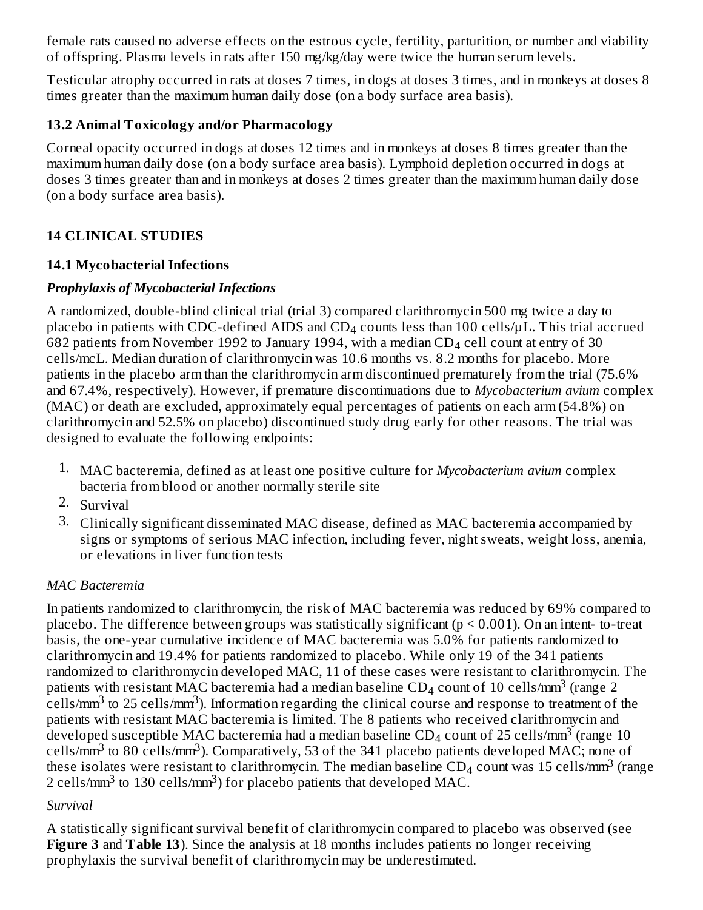female rats caused no adverse effects on the estrous cycle, fertility, parturition, or number and viability of offspring. Plasma levels in rats after 150 mg/kg/day were twice the human serum levels.

Testicular atrophy occurred in rats at doses 7 times, in dogs at doses 3 times, and in monkeys at doses 8 times greater than the maximum human daily dose (on a body surface area basis).

## **13.2 Animal Toxicology and/or Pharmacology**

Corneal opacity occurred in dogs at doses 12 times and in monkeys at doses 8 times greater than the maximum human daily dose (on a body surface area basis). Lymphoid depletion occurred in dogs at doses 3 times greater than and in monkeys at doses 2 times greater than the maximum human daily dose (on a body surface area basis).

# **14 CLINICAL STUDIES**

# **14.1 Mycobacterial Infections**

# *Prophylaxis of Mycobacterial Infections*

A randomized, double-blind clinical trial (trial 3) compared clarithromycin 500 mg twice a day to placebo in patients with CDC-defined AIDS and CD $_4$  counts less than 100 cells/ $\mu$ L. This trial accrued 682 patients from November 1992 to January 1994, with a median CD $_4$  cell count at entry of 30 cells/mcL. Median duration of clarithromycin was 10.6 months vs. 8.2 months for placebo. More patients in the placebo arm than the clarithromycin arm discontinued prematurely from the trial (75.6% and 67.4%, respectively). However, if premature discontinuations due to *Mycobacterium avium* complex (MAC) or death are excluded, approximately equal percentages of patients on each arm (54.8%) on clarithromycin and 52.5% on placebo) discontinued study drug early for other reasons. The trial was designed to evaluate the following endpoints:

- 1. MAC bacteremia, defined as at least one positive culture for *Mycobacterium avium* complex bacteria from blood or another normally sterile site
- 2. Survival
- 3. Clinically significant disseminated MAC disease, defined as MAC bacteremia accompanied by signs or symptoms of serious MAC infection, including fever, night sweats, weight loss, anemia, or elevations in liver function tests

# *MAC Bacteremia*

In patients randomized to clarithromycin, the risk of MAC bacteremia was reduced by 69% compared to placebo. The difference between groups was statistically significant ( $p \le 0.001$ ). On an intent-to-treat basis, the one-year cumulative incidence of MAC bacteremia was 5.0% for patients randomized to clarithromycin and 19.4% for patients randomized to placebo. While only 19 of the 341 patients randomized to clarithromycin developed MAC, 11 of these cases were resistant to clarithromycin. The patients with resistant MAC bacteremia had a median baseline CD<sub>4</sub> count of 10 cells/mm<sup>3</sup> (range 2  $\text{cells/mm}^3$  to 25 cells/mm $^3$ ). Information regarding the clinical course and response to treatment of the patients with resistant MAC bacteremia is limited. The 8 patients who received clarithromycin and developed susceptible MAC bacteremia had a median baseline CD<sub>4</sub> count of 25 cells/mm<sup>3</sup> (range 10 cells/ $\text{mm}^3$  to 80 cells/ $\text{mm}^3$ ). Comparatively, 53 of the 341 placebo patients developed MAC; none of these isolates were resistant to clarithromycin. The median baseline CD<sub>4</sub> count was 15 cells/mm<sup>3</sup> (range 2 cells/mm<sup>3</sup> to 130 cells/mm<sup>3</sup>) for placebo patients that developed MAC.

# *Survival*

A statistically significant survival benefit of clarithromycin compared to placebo was observed (see **Figure 3** and **Table 13**). Since the analysis at 18 months includes patients no longer receiving prophylaxis the survival benefit of clarithromycin may be underestimated.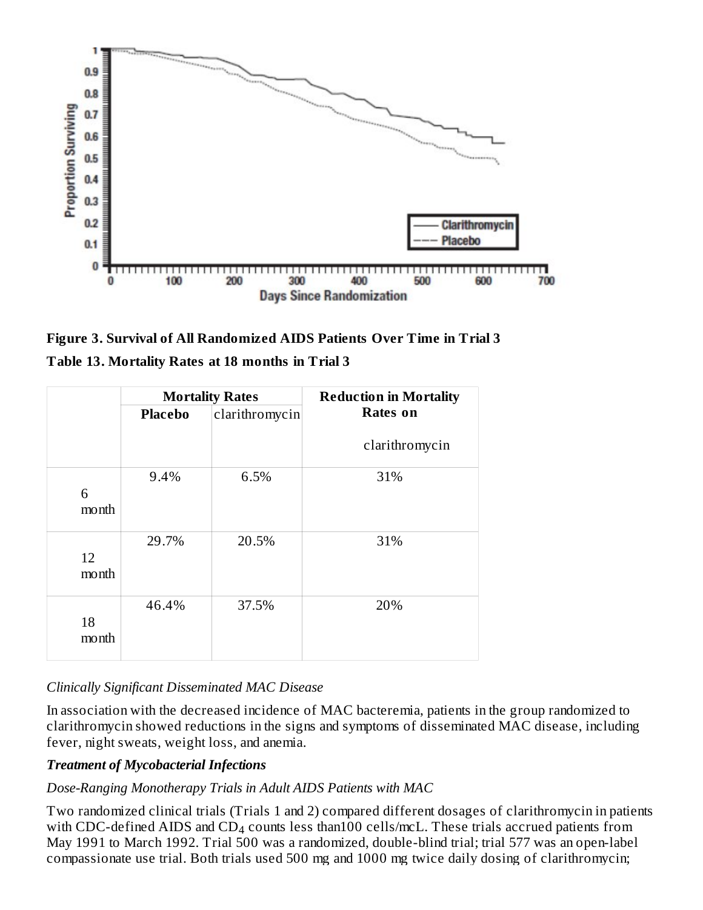

**Figure 3. Survival of All Randomized AIDS Patients Over Time in Trial 3 Table 13. Mortality Rates at 18 months in Trial 3**

|       | <b>Mortality Rates</b> |                | <b>Reduction in Mortality</b> |
|-------|------------------------|----------------|-------------------------------|
|       | <b>Placebo</b>         | clarithromycin | <b>Rates</b> on               |
|       |                        |                | clarithromycin                |
|       | 9.4%                   | 6.5%           | 31%                           |
| 6     |                        |                |                               |
| month |                        |                |                               |
|       |                        |                |                               |
|       | 29.7%                  | 20.5%          | 31%                           |
| 12    |                        |                |                               |
| month |                        |                |                               |
|       | 46.4%                  | 37.5%          | 20%                           |
| 18    |                        |                |                               |
| month |                        |                |                               |
|       |                        |                |                               |

# *Clinically Significant Disseminated MAC Disease*

In association with the decreased incidence of MAC bacteremia, patients in the group randomized to clarithromycin showed reductions in the signs and symptoms of disseminated MAC disease, including fever, night sweats, weight loss, and anemia.

# *Treatment of Mycobacterial Infections*

# *Dose-Ranging Monotherapy Trials in Adult AIDS Patients with MAC*

Two randomized clinical trials (Trials 1 and 2) compared different dosages of clarithromycin in patients with CDC-defined AIDS and  $CD_4$  counts less than100 cells/mcL. These trials accrued patients from May 1991 to March 1992. Trial 500 was a randomized, double-blind trial; trial 577 was an open-label compassionate use trial. Both trials used 500 mg and 1000 mg twice daily dosing of clarithromycin;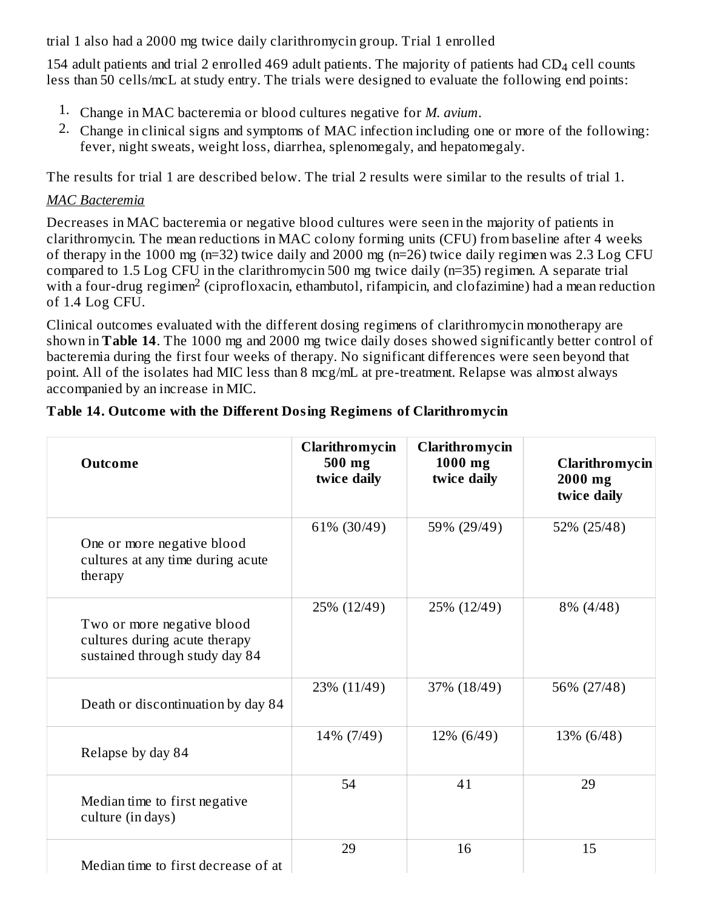trial 1 also had a 2000 mg twice daily clarithromycin group. Trial 1 enrolled

154 adult patients and trial 2 enrolled 469 adult patients. The majority of patients had  $CD<sub>4</sub>$  cell counts less than 50 cells/mcL at study entry. The trials were designed to evaluate the following end points:

- 1. Change in MAC bacteremia or blood cultures negative for *M. avium*.
- 2. Change in clinical signs and symptoms of MAC infection including one or more of the following: fever, night sweats, weight loss, diarrhea, splenomegaly, and hepatomegaly.

The results for trial 1 are described below. The trial 2 results were similar to the results of trial 1.

## *MAC Bacteremia*

Decreases in MAC bacteremia or negative blood cultures were seen in the majority of patients in clarithromycin. The mean reductions in MAC colony forming units (CFU) from baseline after 4 weeks of therapy in the 1000 mg (n=32) twice daily and 2000 mg (n=26) twice daily regimen was 2.3 Log CFU compared to 1.5 Log CFU in the clarithromycin 500 mg twice daily (n=35) regimen. A separate trial with a four-drug regimen<sup>2</sup> (ciprofloxacin, ethambutol, rifampicin, and clofazimine) had a mean reduction of 1.4 Log CFU.

Clinical outcomes evaluated with the different dosing regimens of clarithromycin monotherapy are shown in **Table 14**. The 1000 mg and 2000 mg twice daily doses showed significantly better control of bacteremia during the first four weeks of therapy. No significant differences were seen beyond that point. All of the isolates had MIC less than 8 mcg/mL at pre-treatment. Relapse was almost always accompanied by an increase in MIC.

| <b>Outcome</b>                                                                                | Clarithromycin<br>500 mg<br>twice daily | Clarithromycin<br>1000 mg<br>twice daily | Clarithromycin<br>2000 mg<br>twice daily |
|-----------------------------------------------------------------------------------------------|-----------------------------------------|------------------------------------------|------------------------------------------|
| One or more negative blood<br>cultures at any time during acute<br>therapy                    | 61% (30/49)                             | 59% (29/49)                              | 52% (25/48)                              |
| Two or more negative blood<br>cultures during acute therapy<br>sustained through study day 84 | 25% (12/49)                             | 25% (12/49)                              | 8% (4/48)                                |
| Death or discontinuation by day 84                                                            | 23% (11/49)                             | 37% (18/49)                              | 56% (27/48)                              |
| Relapse by day 84                                                                             | 14% (7/49)                              | 12% (6/49)                               | 13% (6/48)                               |
| Median time to first negative<br>culture (in days)                                            | 54                                      | 41                                       | 29                                       |
| Median time to first decrease of at                                                           | 29                                      | 16                                       | 15                                       |

## **Table 14. Outcome with the Different Dosing Regimens of Clarithromycin**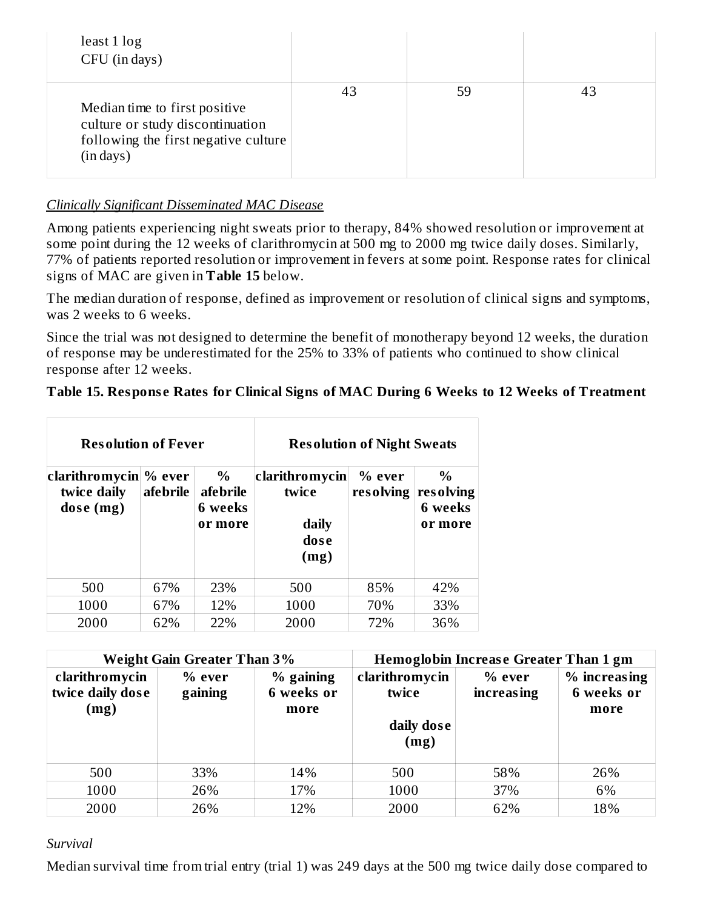| least 1 log<br>CFU (in days)                                                                                           |    |    |    |
|------------------------------------------------------------------------------------------------------------------------|----|----|----|
| Median time to first positive<br>culture or study discontinuation<br>following the first negative culture<br>(in days) | 43 | 59 | 43 |

#### *Clinically Significant Disseminated MAC Disease*

Among patients experiencing night sweats prior to therapy, 84% showed resolution or improvement at some point during the 12 weeks of clarithromycin at 500 mg to 2000 mg twice daily doses. Similarly, 77% of patients reported resolution or improvement in fevers at some point. Response rates for clinical signs of MAC are given in **Table 15** below.

The median duration of response, defined as improvement or resolution of clinical signs and symptoms, was 2 weeks to 6 weeks.

Since the trial was not designed to determine the benefit of monotherapy beyond 12 weeks, the duration of response may be underestimated for the 25% to 33% of patients who continued to show clinical response after 12 weeks.

## **Table 15. Respons e Rates for Clinical Signs of MAC During 6 Weeks to 12 Weeks of Treatment**

| <b>Resolution of Fever</b>                            |          |                                        | <b>Resolution of Night Sweats</b>                |                     |                                         |
|-------------------------------------------------------|----------|----------------------------------------|--------------------------------------------------|---------------------|-----------------------------------------|
| $ clarithromycin $ % ever<br>twice daily<br>dose (mg) | afebrile | $\%$<br>afebrile<br>6 weeks<br>or more | clarithromycin<br>twice<br>daily<br>dose<br>(mg) | % ever<br>resolving | $\%$<br>resolving<br>6 weeks<br>or more |
| 500                                                   | 67%      | 23%                                    | 500                                              | 85%                 | 42%                                     |
| 1000                                                  | 67%      | 12%                                    | 1000                                             | 70%                 | 33%                                     |
| 2000                                                  | 62%      | 22%                                    | 2000                                             | 72%                 | 36%                                     |

| <b>Weight Gain Greater Than 3%</b>         |                     | Hemoglobin Increase Greater Than 1 gm |                                               |                             |                                    |
|--------------------------------------------|---------------------|---------------------------------------|-----------------------------------------------|-----------------------------|------------------------------------|
| clarithromycin<br>twice daily dose<br>(mg) | $%$ ever<br>gaining | % gaining<br>6 weeks or<br>more       | clarithromycin<br>twice<br>daily dose<br>(mg) | % ever<br><b>increasing</b> | % increasing<br>6 weeks or<br>more |
| 500                                        | 33%                 | 14%                                   | 500                                           | 58%                         | 26%                                |
| 1000                                       | 26%                 | 17%                                   | 1000                                          | 37%                         | 6%                                 |
| 2000                                       | 26%                 | 12%                                   | 2000                                          | 62%                         | 18%                                |

#### *Survival*

Median survival time from trial entry (trial 1) was 249 days at the 500 mg twice daily dose compared to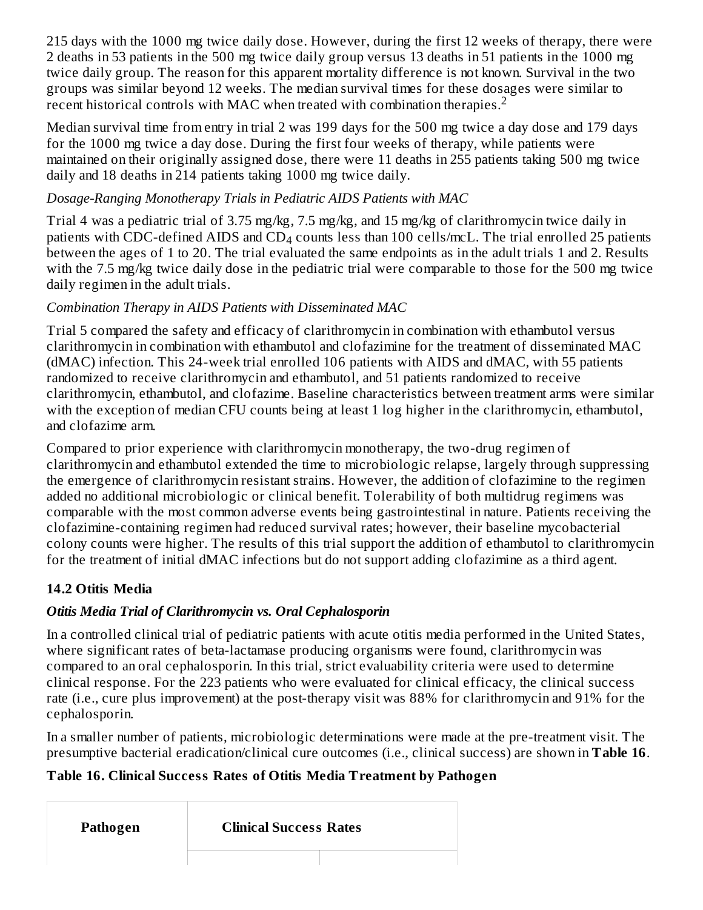215 days with the 1000 mg twice daily dose. However, during the first 12 weeks of therapy, there were 2 deaths in 53 patients in the 500 mg twice daily group versus 13 deaths in 51 patients in the 1000 mg twice daily group. The reason for this apparent mortality difference is not known. Survival in the two groups was similar beyond 12 weeks. The median survival times for these dosages were similar to  $\frac{1}{2}$  recent historical controls with MAC when treated with combination therapies.<sup>2</sup>

Median survival time from entry in trial 2 was 199 days for the 500 mg twice a day dose and 179 days for the 1000 mg twice a day dose. During the first four weeks of therapy, while patients were maintained on their originally assigned dose, there were 11 deaths in 255 patients taking 500 mg twice daily and 18 deaths in 214 patients taking 1000 mg twice daily.

# *Dosage-Ranging Monotherapy Trials in Pediatric AIDS Patients with MAC*

Trial 4 was a pediatric trial of 3.75 mg/kg, 7.5 mg/kg, and 15 mg/kg of clarithromycin twice daily in patients with CDC-defined AIDS and  $CD_4$  counts less than 100 cells/mcL. The trial enrolled 25 patients between the ages of 1 to 20. The trial evaluated the same endpoints as in the adult trials 1 and 2. Results with the 7.5 mg/kg twice daily dose in the pediatric trial were comparable to those for the 500 mg twice daily regimen in the adult trials.

# *Combination Therapy in AIDS Patients with Disseminated MAC*

Trial 5 compared the safety and efficacy of clarithromycin in combination with ethambutol versus clarithromycin in combination with ethambutol and clofazimine for the treatment of disseminated MAC (dMAC) infection. This 24-week trial enrolled 106 patients with AIDS and dMAC, with 55 patients randomized to receive clarithromycin and ethambutol, and 51 patients randomized to receive clarithromycin, ethambutol, and clofazime. Baseline characteristics between treatment arms were similar with the exception of median CFU counts being at least 1 log higher in the clarithromycin, ethambutol, and clofazime arm.

Compared to prior experience with clarithromycin monotherapy, the two-drug regimen of clarithromycin and ethambutol extended the time to microbiologic relapse, largely through suppressing the emergence of clarithromycin resistant strains. However, the addition of clofazimine to the regimen added no additional microbiologic or clinical benefit. Tolerability of both multidrug regimens was comparable with the most common adverse events being gastrointestinal in nature. Patients receiving the clofazimine-containing regimen had reduced survival rates; however, their baseline mycobacterial colony counts were higher. The results of this trial support the addition of ethambutol to clarithromycin for the treatment of initial dMAC infections but do not support adding clofazimine as a third agent.

# **14.2 Otitis Media**

# *Otitis Media Trial of Clarithromycin vs. Oral Cephalosporin*

In a controlled clinical trial of pediatric patients with acute otitis media performed in the United States, where significant rates of beta-lactamase producing organisms were found, clarithromycin was compared to an oral cephalosporin. In this trial, strict evaluability criteria were used to determine clinical response. For the 223 patients who were evaluated for clinical efficacy, the clinical success rate (i.e., cure plus improvement) at the post-therapy visit was 88% for clarithromycin and 91% for the cephalosporin.

In a smaller number of patients, microbiologic determinations were made at the pre-treatment visit. The presumptive bacterial eradication/clinical cure outcomes (i.e., clinical success) are shown in **Table 16**.

# **Table 16. Clinical Success Rates of Otitis Media Treatment by Pathogen**

**Pathogen Clinical Success Rates**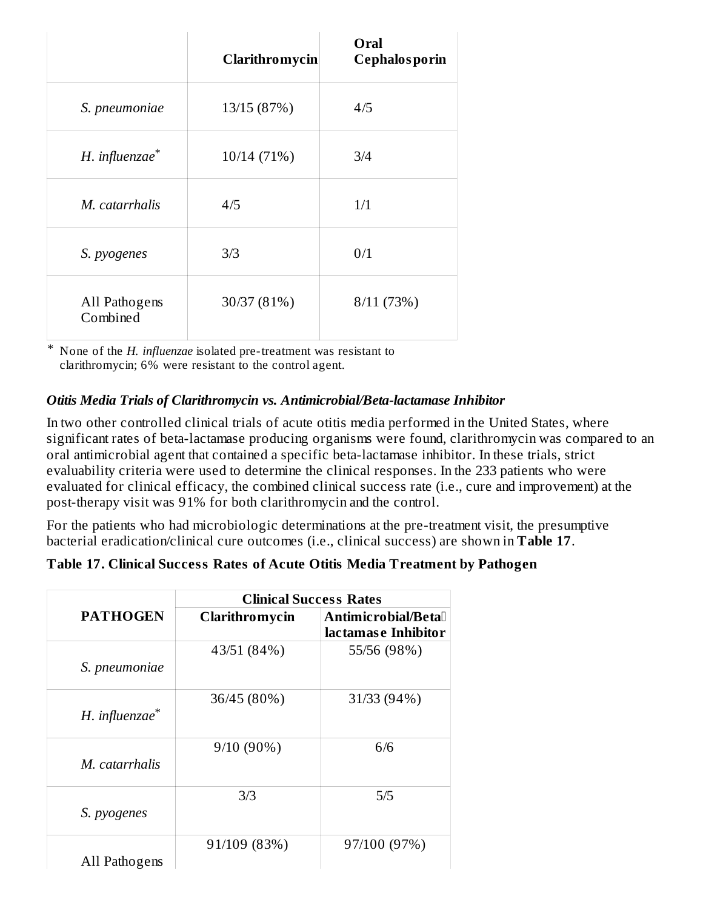|                           | <b>Clarithromycin</b> | Oral<br><b>Cephalosporin</b> |
|---------------------------|-----------------------|------------------------------|
| S. pneumoniae             | 13/15 (87%)           | 4/5                          |
| H. influenzae*            | 10/14 (71%)           | 3/4                          |
| M. catarrhalis            | 4/5                   | 1/1                          |
| S. pyogenes               | 3/3                   | 0/1                          |
| All Pathogens<br>Combined | 30/37 (81%)           | 8/11(73%)                    |

\* None of the *H. influenzae* isolated pre-treatment was resistant to clarithromycin; 6% were resistant to the control agent.

# *Otitis Media Trials of Clarithromycin vs. Antimicrobial/Beta-lactamase Inhibitor*

In two other controlled clinical trials of acute otitis media performed in the United States, where significant rates of beta-lactamase producing organisms were found, clarithromycin was compared to an oral antimicrobial agent that contained a specific beta-lactamase inhibitor. In these trials, strict evaluability criteria were used to determine the clinical responses. In the 233 patients who were evaluated for clinical efficacy, the combined clinical success rate (i.e., cure and improvement) at the post-therapy visit was 91% for both clarithromycin and the control.

For the patients who had microbiologic determinations at the pre-treatment visit, the presumptive bacterial eradication/clinical cure outcomes (i.e., clinical success) are shown in **Table 17**.

## **Table 17. Clinical Success Rates of Acute Otitis Media Treatment by Pathogen**

|                     |                       | <b>Clinical Success Rates</b>              |
|---------------------|-----------------------|--------------------------------------------|
| <b>PATHOGEN</b>     | <b>Clarithromycin</b> | Antimicrobial/Betal<br>lactamase Inhibitor |
| S. pneumoniae       | 43/51 (84%)           | 55/56 (98%)                                |
| $H.$ influenzae $*$ | 36/45 (80%)           | 31/33 (94%)                                |
| M. catarrhalis      | $9/10(90\%)$          | 6/6                                        |
| S. pyogenes         | 3/3                   | 5/5                                        |
| All Pathogens       | 91/109 (83%)          | 97/100 (97%)                               |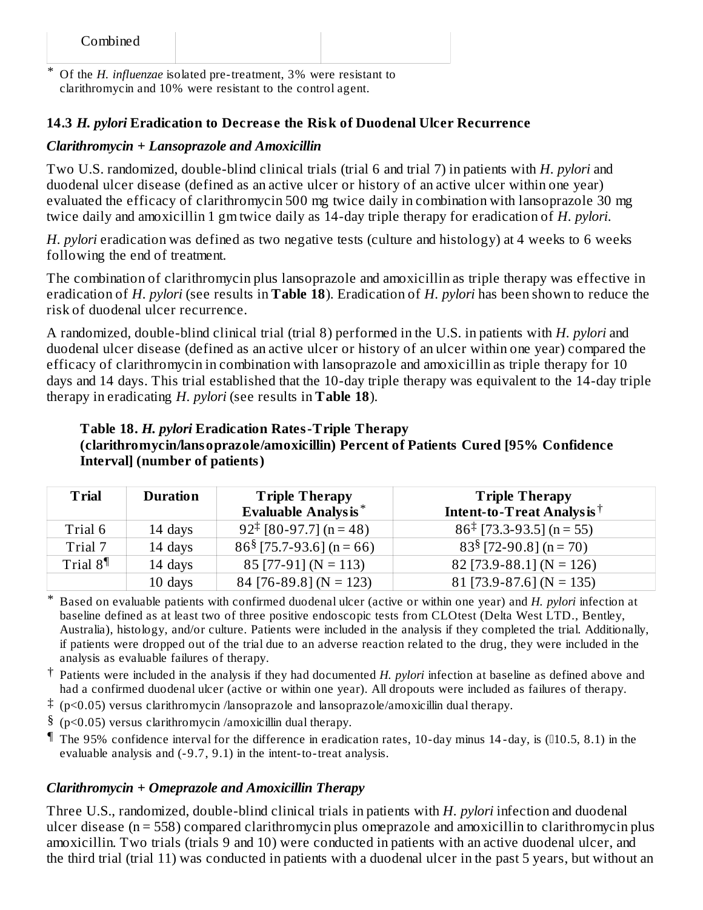\* Of the *H. influenzae* isolated pre-treatment, 3% were resistant to clarithromycin and 10% were resistant to the control agent.

#### **14.3** *H. pylori* **Eradication to Decreas e the Risk of Duodenal Ulcer Recurrence**

#### *Clarithromycin + Lansoprazole and Amoxicillin*

Two U.S. randomized, double-blind clinical trials (trial 6 and trial 7) in patients with *H. pylori* and duodenal ulcer disease (defined as an active ulcer or history of an active ulcer within one year) evaluated the efficacy of clarithromycin 500 mg twice daily in combination with lansoprazole 30 mg twice daily and amoxicillin 1 gm twice daily as 14-day triple therapy for eradication of *H. pylori*.

*H. pylori* eradication was defined as two negative tests (culture and histology) at 4 weeks to 6 weeks following the end of treatment.

The combination of clarithromycin plus lansoprazole and amoxicillin as triple therapy was effective in eradication of *H. pylori* (see results in **Table 18**). Eradication of *H. pylori* has been shown to reduce the risk of duodenal ulcer recurrence.

A randomized, double-blind clinical trial (trial 8) performed in the U.S. in patients with *H. pylori* and duodenal ulcer disease (defined as an active ulcer or history of an ulcer within one year) compared the efficacy of clarithromycin in combination with lansoprazole and amoxicillin as triple therapy for 10 days and 14 days. This trial established that the 10-day triple therapy was equivalent to the 14-day triple therapy in eradicating *H. pylori* (see results in **Table 18**).

#### **Table 18.** *H. pylori* **Eradication Rates-Triple Therapy (clarithromycin/lansoprazole/amoxicillin) Percent of Patients Cured [95% Confidence Interval] (number of patients)**

| <b>Trial</b> | <b>Duration</b> | <b>Triple Therapy</b><br><b>Evaluable Analysis*</b> | <b>Triple Therapy</b><br>Intent-to-Treat Analysis <sup>†</sup> |
|--------------|-----------------|-----------------------------------------------------|----------------------------------------------------------------|
| Trial 6      | 14 days         | $92^{\ddagger}$ [80-97.7] (n = 48)                  | $86^{\ddagger}$ [73.3-93.5] (n = 55)                           |
| Trial 7      | 14 days         | $86\frac{8}{75.7}$ -93.6] (n = 66)                  | $83§$ [72-90.8] (n = 70)                                       |
| Trial $81$   | 14 days         | $85$ [77-91] (N = 113)                              | $82$ [73.9-88.1] (N = 126)                                     |
|              | 10 days         | $84$ [76-89.8] (N = 123)                            | $81$ [73.9-87.6] (N = 135)                                     |

\* Based on evaluable patients with confirmed duodenal ulcer (active or within one year) and *H. pylori* infection at baseline defined as at least two of three positive endoscopic tests from CLOtest (Delta West LTD., Bentley, Australia), histology, and/or culture. Patients were included in the analysis if they completed the trial. Additionally, if patients were dropped out of the trial due to an adverse reaction related to the drug, they were included in the analysis as evaluable failures of therapy.

- † Patients were included in the analysis if they had documented *H. pylori* infection at baseline as defined above and had a confirmed duodenal ulcer (active or within one year). All dropouts were included as failures of therapy.
- ‡ (p<0.05) versus clarithromycin /lansoprazole and lansoprazole/amoxicillin dual therapy.
- § (p<0.05) versus clarithromycin /amoxicillin dual therapy.
- ¶ The 95% confidence interval for the difference in eradication rates, 10-day minus 14 -day, is (10.5, 8.1) in the evaluable analysis and (-9.7, 9.1) in the intent-to-treat analysis.

#### *Clarithromycin + Omeprazole and Amoxicillin Therapy*

Three U.S., randomized, double-blind clinical trials in patients with *H. pylori* infection and duodenal ulcer disease (n = 558) compared clarithromycin plus omeprazole and amoxicillin to clarithromycin plus amoxicillin. Two trials (trials 9 and 10) were conducted in patients with an active duodenal ulcer, and the third trial (trial 11) was conducted in patients with a duodenal ulcer in the past 5 years, but without an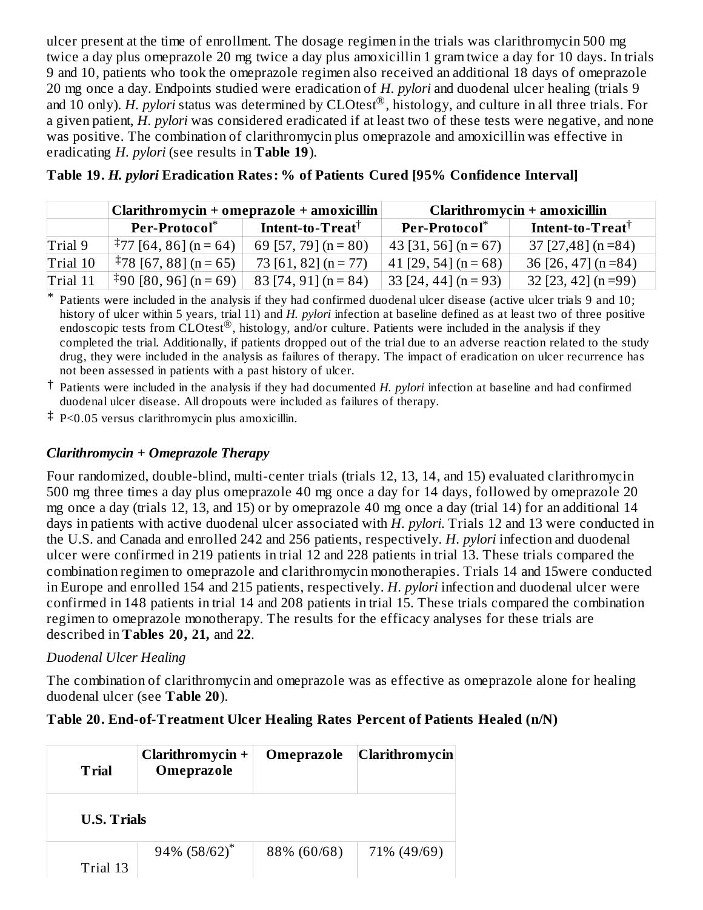ulcer present at the time of enrollment. The dosage regimen in the trials was clarithromycin 500 mg twice a day plus omeprazole 20 mg twice a day plus amoxicillin 1 gram twice a day for 10 days. In trials 9 and 10, patients who took the omeprazole regimen also received an additional 18 days of omeprazole 20 mg once a day. Endpoints studied were eradication of *H. pylori* and duodenal ulcer healing (trials 9 and 10 only). *H. pylori* status was determined by CLOtest®, histology, and culture in all three trials. For a given patient, *H. pylori* was considered eradicated if at least two of these tests were negative, and none was positive. The combination of clarithromycin plus omeprazole and amoxicillin was effective in eradicating *H. pylori* (see results in **Table 19**).

|          | $\alpha$ Clarithromycin + omeprazole + amoxicillin              |                        | Clarithromycin + amoxicillin |                                    |  |
|----------|-----------------------------------------------------------------|------------------------|------------------------------|------------------------------------|--|
|          | Per-Protocol <sup>*</sup><br>Intent-to- $\bf T$ reat $^\dagger$ |                        | Per-Protocol <sup>*</sup>    | Intent-to- $\bf T$ reat $^\dagger$ |  |
| Trial 9  | $\frac{1}{2}$ 77 [64, 86] (n = 64)                              | 69 [57, 79] $(n = 80)$ | 43 [31, 56] $(n = 67)$       | $37$ [27,48] (n =84)               |  |
| Trial 10 | $\frac{1}{2}$ 78 [67, 88] (n = 65)                              | 73 [61, 82] $(n = 77)$ | $41$ [29, 54] (n = 68)       | 36 [26, 47] $(n=84)$               |  |
| Trial 11 | $*90 [80, 96]$ (n = 69)                                         | $83$ [74, 91] (n = 84) | $33$ [24, 44] (n = 93)       | $32$ [23, 42] (n =99)              |  |

| Table 19. <i>H. pylori</i> Eradication Rates: % of Patients Cured [95% Confidence Interval] |  |  |
|---------------------------------------------------------------------------------------------|--|--|
|---------------------------------------------------------------------------------------------|--|--|

\* Patients were included in the analysis if they had confirmed duodenal ulcer disease (active ulcer trials 9 and 10; history of ulcer within 5 years, trial 11) and *H. pylori* infection at baseline defined as at least two of three positive endoscopic tests from  $\text{CLOtest}^{\circledR}$ , histology, and/or culture. Patients were included in the analysis if they completed the trial. Additionally, if patients dropped out of the trial due to an adverse reaction related to the study drug, they were included in the analysis as failures of therapy. The impact of eradication on ulcer recurrence has not been assessed in patients with a past history of ulcer.

‡ P<0.05 versus clarithromycin plus amoxicillin.

# *Clarithromycin + Omeprazole Therapy*

Four randomized, double-blind, multi-center trials (trials 12, 13, 14, and 15) evaluated clarithromycin 500 mg three times a day plus omeprazole 40 mg once a day for 14 days, followed by omeprazole 20 mg once a day (trials 12, 13, and 15) or by omeprazole 40 mg once a day (trial 14) for an additional 14 days in patients with active duodenal ulcer associated with *H. pylori*. Trials 12 and 13 were conducted in the U.S. and Canada and enrolled 242 and 256 patients, respectively. *H. pylori* infection and duodenal ulcer were confirmed in 219 patients in trial 12 and 228 patients in trial 13. These trials compared the combination regimen to omeprazole and clarithromycin monotherapies. Trials 14 and 15were conducted in Europe and enrolled 154 and 215 patients, respectively. *H. pylori* infection and duodenal ulcer were confirmed in 148 patients in trial 14 and 208 patients in trial 15. These trials compared the combination regimen to omeprazole monotherapy. The results for the efficacy analyses for these trials are described in **Tables 20, 21,** and **22**.

# *Duodenal Ulcer Healing*

The combination of clarithromycin and omeprazole was as effective as omeprazole alone for healing duodenal ulcer (see **Table 20**).

# **Table 20. End-of-Treatment Ulcer Healing Rates Percent of Patients Healed (n/N)**

| <b>Trial</b>       | Clarithromycin +<br>Omeprazole | Omeprazole  | <b>Clarithromycin</b> |
|--------------------|--------------------------------|-------------|-----------------------|
| <b>U.S. Trials</b> |                                |             |                       |
| Trial 13           | $94\%$ (58/62) <sup>*</sup>    | 88% (60/68) | 71% (49/69)           |

<sup>†</sup> Patients were included in the analysis if they had documented *H. pylori* infection at baseline and had confirmed duodenal ulcer disease. All dropouts were included as failures of therapy.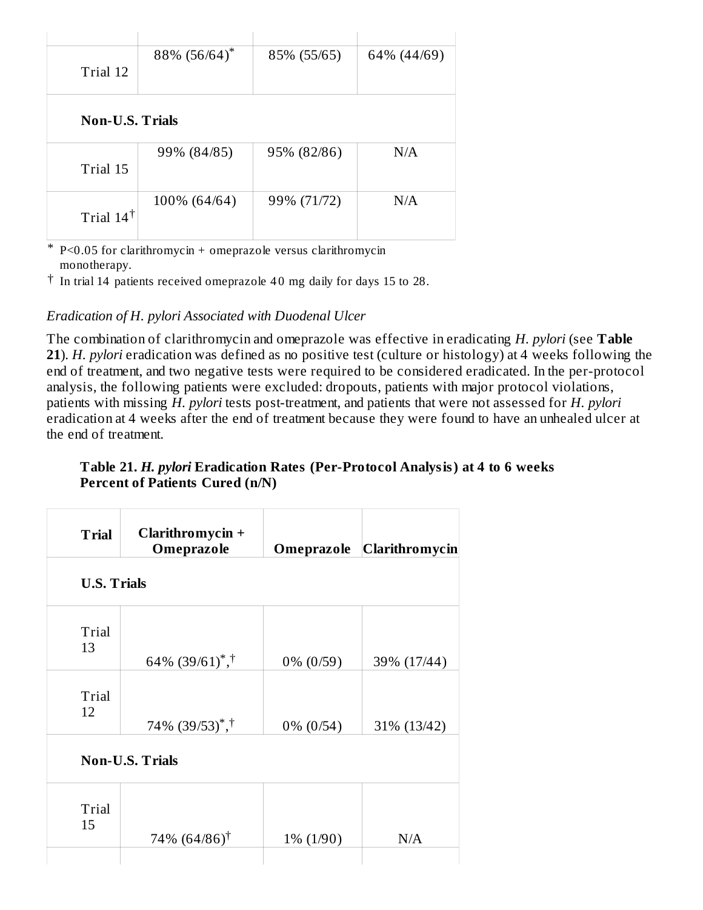|                        | 88% (56/64)* | 85% (55/65) | 64% (44/69) |
|------------------------|--------------|-------------|-------------|
| Trial 12               |              |             |             |
|                        |              |             |             |
|                        |              |             |             |
| <b>Non-U.S. Trials</b> |              |             |             |
|                        |              |             |             |
|                        | 99% (84/85)  | 95% (82/86) | N/A         |
| Trial 15               |              |             |             |
|                        |              |             |             |
|                        | 100% (64/64) | 99% (71/72) | N/A         |
| Trial $14^{\dagger}$   |              |             |             |
|                        |              |             |             |
|                        |              |             |             |

\* P<0.05 for clarithromycin + omeprazole versus clarithromycin monotherapy.

 $\dagger$  In trial 14 patients received omeprazole 40 mg daily for days 15 to 28.

## *Eradication of H. pylori Associated with Duodenal Ulcer*

The combination of clarithromycin and omeprazole was effective in eradicating *H. pylori* (see **Table 21**). *H. pylori* eradication was defined as no positive test (culture or histology) at 4 weeks following the end of treatment, and two negative tests were required to be considered eradicated. In the per-protocol analysis, the following patients were excluded: dropouts, patients with major protocol violations, patients with missing *H. pylori* tests post-treatment, and patients that were not assessed for *H. pylori* eradication at 4 weeks after the end of treatment because they were found to have an unhealed ulcer at the end of treatment.

#### **Table 21.** *H. pylori* **Eradication Rates (Per-Protocol Analysis) at 4 to 6 weeks Percent of Patients Cured (n/N)**

| Clarithromycin +<br>Omeprazole             |              | Omeprazole Clarithromycin |
|--------------------------------------------|--------------|---------------------------|
| <b>U.S. Trials</b>                         |              |                           |
| 64\% $(39/61)$ <sup>*</sup> , <sup>†</sup> | $0\%$ (0/59) | 39% (17/44)               |
| $74\%$ $(39/53)^{*}$ , †                   | $0\%$ (0/54) | 31% (13/42)               |
| <b>Non-U.S. Trials</b>                     |              |                           |
| 74% $(64/86)$ <sup>†</sup>                 | $1\% (1/90)$ | N/A                       |
|                                            |              |                           |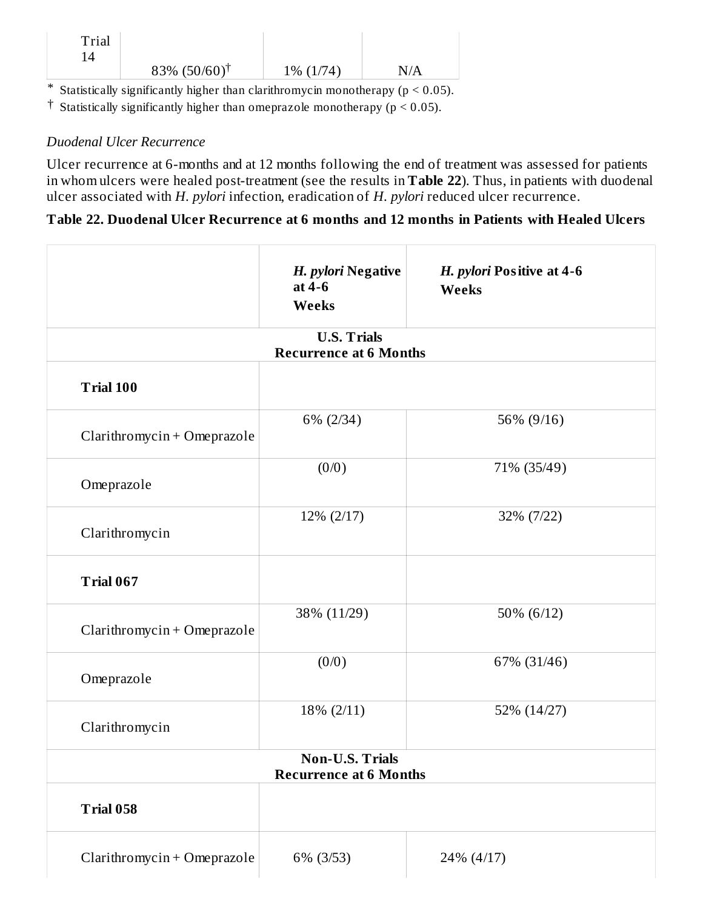| Trial |                             |              |     |
|-------|-----------------------------|--------------|-----|
|       | $83\%$ (50/60) <sup>†</sup> | $1\% (1/74)$ | N/A |

\* Statistically significantly higher than clarithromycin monotherapy ( $p < 0.05$ ).

<sup> $\dagger$ </sup> Statistically significantly higher than omeprazole monotherapy ( $p < 0.05$ ).

## *Duodenal Ulcer Recurrence*

Ulcer recurrence at 6-months and at 12 months following the end of treatment was assessed for patients in whom ulcers were healed post-treatment (see the results in **Table 22**). Thus, in patients with duodenal ulcer associated with *H. pylori* infection, eradication of *H. pylori* reduced ulcer recurrence.

#### **Table 22. Duodenal Ulcer Recurrence at 6 months and 12 months in Patients with Healed Ulcers**

|                                                         | H. pylori Negative<br>at 4-6<br>Weeks               | H. pylori Positive at 4-6<br><b>Weeks</b> |  |  |
|---------------------------------------------------------|-----------------------------------------------------|-------------------------------------------|--|--|
|                                                         | <b>U.S. Trials</b><br><b>Recurrence at 6 Months</b> |                                           |  |  |
| <b>Trial 100</b>                                        |                                                     |                                           |  |  |
| Clarithromycin + Omeprazole                             | 6% (2/34)                                           | 56% (9/16)                                |  |  |
| Omeprazole                                              | (0/0)                                               | 71% (35/49)                               |  |  |
| Clarithromycin                                          | 12% (2/17)                                          | 32% (7/22)                                |  |  |
| <b>Trial 067</b>                                        |                                                     |                                           |  |  |
| Clarithromycin + Omeprazole                             | 38% (11/29)                                         | 50% (6/12)                                |  |  |
| Omeprazole                                              | (0/0)                                               | 67% (31/46)                               |  |  |
| Clarithromycin                                          | 18% (2/11)                                          | 52% (14/27)                               |  |  |
| <b>Non-U.S. Trials</b><br><b>Recurrence at 6 Months</b> |                                                     |                                           |  |  |
| <b>Trial 058</b>                                        |                                                     |                                           |  |  |
| Clarithromycin + Omeprazole                             | 6% (3/53)                                           | 24% (4/17)                                |  |  |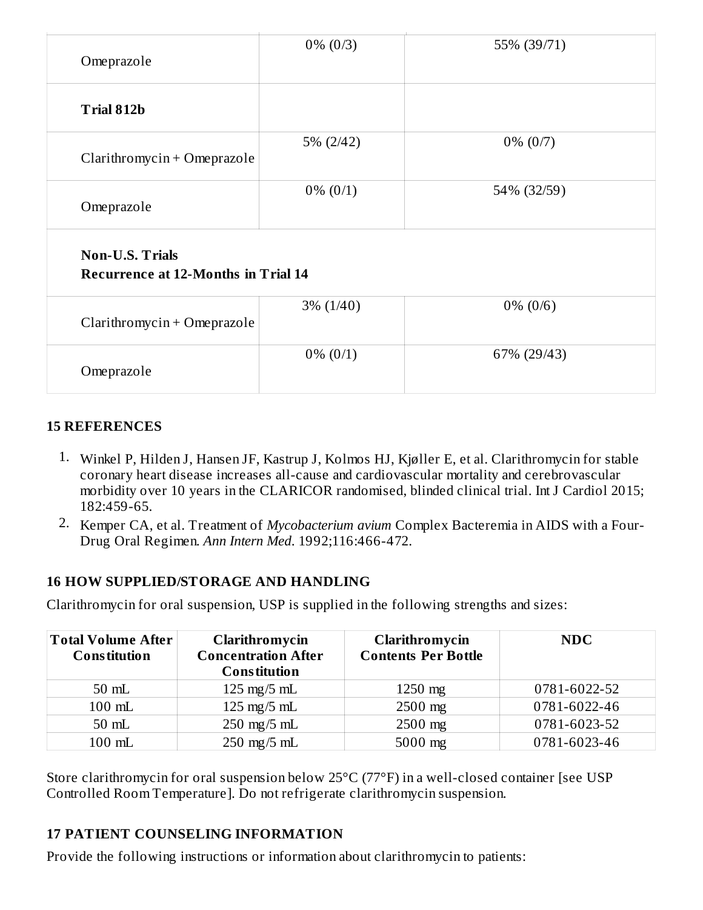| Omeprazole                                                           | $0\% (0/3)$  | 55% (39/71) |
|----------------------------------------------------------------------|--------------|-------------|
| Trial 812b                                                           |              |             |
| Clarithromycin + Omeprazole                                          | 5% (2/42)    | $0\% (0/7)$ |
| Omeprazole                                                           | $0\% (0/1)$  | 54% (32/59) |
| <b>Non-U.S. Trials</b><br><b>Recurrence at 12-Months in Trial 14</b> |              |             |
| Clarithromycin + Omeprazole                                          | $3\% (1/40)$ | $0\% (0/6)$ |
| Omeprazole                                                           | $0\% (0/1)$  | 67% (29/43) |

## **15 REFERENCES**

- 1. Winkel P, Hilden J, Hansen JF, Kastrup J, Kolmos HJ, Kjøller E, et al. Clarithromycin for stable coronary heart disease increases all-cause and cardiovascular mortality and cerebrovascular morbidity over 10 years in the CLARICOR randomised, blinded clinical trial. Int J Cardiol 2015; 182:459-65.
- 2. Kemper CA, et al. Treatment of *Mycobacterium avium* Complex Bacteremia in AIDS with a Four-Drug Oral Regimen. *Ann Intern Med*. 1992;116:466-472.

# **16 HOW SUPPLIED/STORAGE AND HANDLING**

Clarithromycin for oral suspension, USP is supplied in the following strengths and sizes:

| <b>Total Volume After</b><br><b>Constitution</b> | Clarithromycin<br><b>Concentration After</b><br><b>Constitution</b> | Clarithromycin<br><b>Contents Per Bottle</b> | <b>NDC</b>   |
|--------------------------------------------------|---------------------------------------------------------------------|----------------------------------------------|--------------|
| $50$ mL                                          | $125 \text{ mg}/5 \text{ mL}$                                       | $1250$ mg                                    | 0781-6022-52 |
| 100 mL                                           | $125 \text{ mg}/5 \text{ mL}$                                       | $2500$ mg                                    | 0781-6022-46 |
| $50$ mL                                          | $250 \text{ mg}/5 \text{ mL}$                                       | $2500$ mg                                    | 0781-6023-52 |
| 100 mL                                           | $250 \text{ mg}/5 \text{ mL}$                                       | $5000$ mg                                    | 0781-6023-46 |

Store clarithromycin for oral suspension below 25°C (77°F) in a well-closed container [see USP Controlled Room Temperature]. Do not refrigerate clarithromycin suspension.

# **17 PATIENT COUNSELING INFORMATION**

Provide the following instructions or information about clarithromycin to patients: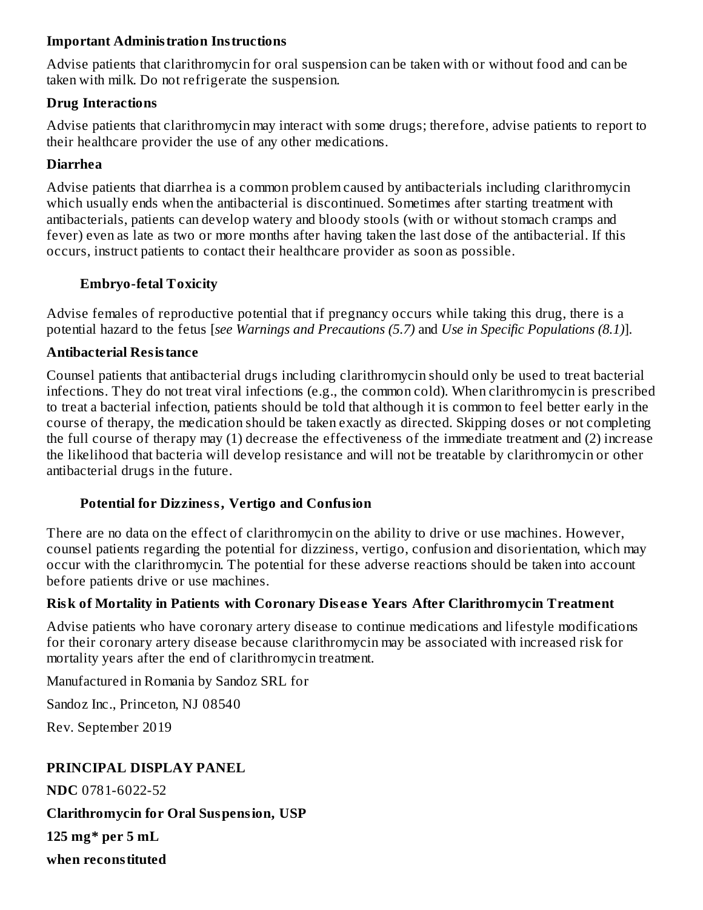#### **Important Administration Instructions**

Advise patients that clarithromycin for oral suspension can be taken with or without food and can be taken with milk. Do not refrigerate the suspension.

#### **Drug Interactions**

Advise patients that clarithromycin may interact with some drugs; therefore, advise patients to report to their healthcare provider the use of any other medications.

#### **Diarrhea**

Advise patients that diarrhea is a common problem caused by antibacterials including clarithromycin which usually ends when the antibacterial is discontinued. Sometimes after starting treatment with antibacterials, patients can develop watery and bloody stools (with or without stomach cramps and fever) even as late as two or more months after having taken the last dose of the antibacterial. If this occurs, instruct patients to contact their healthcare provider as soon as possible.

## **Embryo-fetal Toxicity**

Advise females of reproductive potential that if pregnancy occurs while taking this drug, there is a potential hazard to the fetus [*see Warnings and Precautions (5.7)* and *Use in Specific Populations (8.1)*].

## **Antibacterial Resistance**

Counsel patients that antibacterial drugs including clarithromycin should only be used to treat bacterial infections. They do not treat viral infections (e.g., the common cold). When clarithromycin is prescribed to treat a bacterial infection, patients should be told that although it is common to feel better early in the course of therapy, the medication should be taken exactly as directed. Skipping doses or not completing the full course of therapy may (1) decrease the effectiveness of the immediate treatment and (2) increase the likelihood that bacteria will develop resistance and will not be treatable by clarithromycin or other antibacterial drugs in the future.

## **Potential for Dizziness, Vertigo and Confusion**

There are no data on the effect of clarithromycin on the ability to drive or use machines. However, counsel patients regarding the potential for dizziness, vertigo, confusion and disorientation, which may occur with the clarithromycin. The potential for these adverse reactions should be taken into account before patients drive or use machines.

## **Risk of Mortality in Patients with Coronary Dis eas e Years After Clarithromycin Treatment**

Advise patients who have coronary artery disease to continue medications and lifestyle modifications for their coronary artery disease because clarithromycin may be associated with increased risk for mortality years after the end of clarithromycin treatment.

Manufactured in Romania by Sandoz SRL for

Sandoz Inc., Princeton, NJ 08540

Rev. September 2019

## **PRINCIPAL DISPLAY PANEL**

**NDC** 0781-6022-52

**Clarithromycin for Oral Suspension, USP**

**125 mg\* per 5 mL**

**when reconstituted**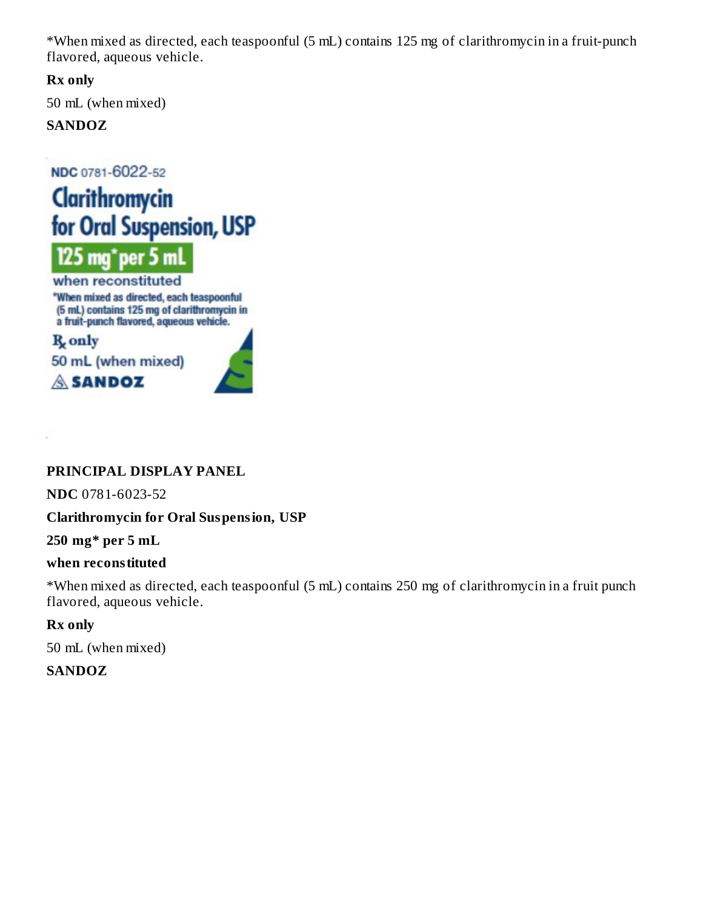\*When mixed as directed, each teaspoonful (5 mL) contains 125 mg of clarithromycin in a fruit-punch flavored, aqueous vehicle.

**Rx only**

50 mL (when mixed)

# **SANDOZ**

NDC 0781-6022-52





when reconstituted \*When mixed as directed, each teaspoonful (5 mL) contains 125 mg of clarithromycin in a fruit-punch flavored, aqueous vehicle.

R<sub>s</sub> only





# **PRINCIPAL DISPLAY PANEL**

**NDC** 0781-6023-52

# **Clarithromycin for Oral Suspension, USP**

**250 mg\* per 5 mL**

## **when reconstituted**

\*When mixed as directed, each teaspoonful (5 mL) contains 250 mg of clarithromycin in a fruit punch flavored, aqueous vehicle.

# **Rx only**

50 mL (when mixed)

# **SANDOZ**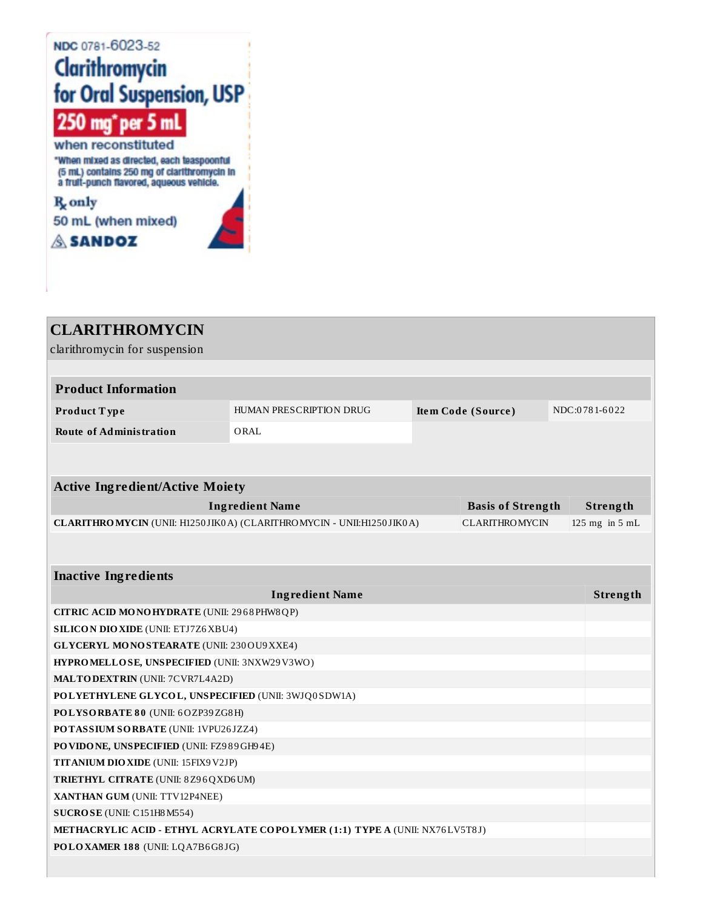# NDC 0781-6023-52 **Clarithromycin<br>for Oral Suspension, USP** 250 mg<sup>\*</sup> per 5 mL when reconstituted

"When mixed as directed, each teaspoonful (5 mL) contains 250 mg of clarithromycin in<br>a fruit-punch flavored, aqueous vehicle.

R<sub>only</sub> 50 mL (when mixed) **SANDOZ** 

| <b>CLARITHROMYCIN</b>                               |                                                                             |                          |                    |
|-----------------------------------------------------|-----------------------------------------------------------------------------|--------------------------|--------------------|
| clarithromycin for suspension                       |                                                                             |                          |                    |
|                                                     |                                                                             |                          |                    |
| <b>Product Information</b>                          |                                                                             |                          |                    |
| Product Type                                        | HUMAN PRESCRIPTION DRUG                                                     | Item Code (Source)       | NDC:0781-6022      |
| <b>Route of Administration</b>                      | ORAL                                                                        |                          |                    |
|                                                     |                                                                             |                          |                    |
|                                                     |                                                                             |                          |                    |
| <b>Active Ingredient/Active Moiety</b>              |                                                                             |                          |                    |
|                                                     | <b>Ingredient Name</b>                                                      | <b>Basis of Strength</b> | Strength           |
|                                                     | CLARITHROMYCIN (UNII: H1250 JIK0 A) (CLARITHROMYCIN - UNII: H1250 JIK0 A)   | <b>CLARITHROMYCIN</b>    | $125$ mg in $5$ mL |
|                                                     |                                                                             |                          |                    |
|                                                     |                                                                             |                          |                    |
| <b>Inactive Ingredients</b>                         |                                                                             |                          |                    |
|                                                     | <b>Ingredient Name</b>                                                      |                          | Strength           |
| CITRIC ACID MONOHYDRATE (UNII: 2968 PHW8 QP)        |                                                                             |                          |                    |
| <b>SILICON DIO XIDE (UNII: ETJ7Z6 XBU4)</b>         |                                                                             |                          |                    |
| <b>GLYCERYL MONOSTEARATE (UNII: 230 OU9 XXE4)</b>   |                                                                             |                          |                    |
| HYPROMELLOSE, UNSPECIFIED (UNII: 3NXW29V3WO)        |                                                                             |                          |                    |
| <b>MALTODEXTRIN</b> (UNII: 7CVR7L4A2D)              |                                                                             |                          |                    |
| POLYETHYLENE GLYCOL, UNSPECIFIED (UNII: 3WJQ0SDW1A) |                                                                             |                          |                    |
| POLYSORBATE 80 (UNII: 6OZP39ZG8H)                   |                                                                             |                          |                    |
| POTASSIUM SORBATE (UNII: 1VPU26JZZ4)                |                                                                             |                          |                    |
| PO VIDONE, UNSPECIFIED (UNII: FZ989GH94E)           |                                                                             |                          |                    |
| TITANIUM DIO XIDE (UNII: 15FIX9V2JP)                |                                                                             |                          |                    |
| <b>TRIETHYL CITRATE (UNII: 8Z96QXD6UM)</b>          |                                                                             |                          |                    |
| XANTHAN GUM (UNII: TTV12P4NEE)                      |                                                                             |                          |                    |
| SUCROSE (UNII: C151H8 M554)                         |                                                                             |                          |                    |
|                                                     | METHACRYLIC ACID - ETHYL ACRYLATE COPOLYMER (1:1) TYPE A (UNII: NX76LV5T8J) |                          |                    |
| POLOXAMER 188 (UNII: LQA7B6G8JG)                    |                                                                             |                          |                    |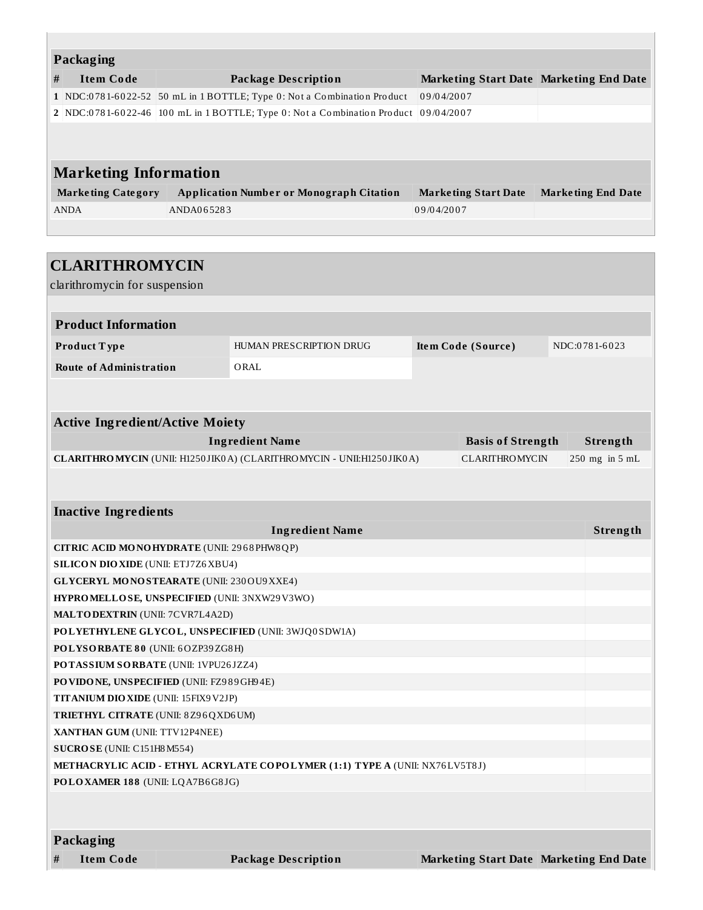| Packaging                    |                           |                                                                                     |                                         |                           |  |  |  |  |  |
|------------------------------|---------------------------|-------------------------------------------------------------------------------------|-----------------------------------------|---------------------------|--|--|--|--|--|
| #                            | <b>Item Code</b>          | Package Description                                                                 | Marketing Start Date Marketing End Date |                           |  |  |  |  |  |
|                              |                           | 1 NDC:0781-6022-52 50 mL in 1 BOTTLE; Type 0: Not a Combination Product             | 09/04/2007                              |                           |  |  |  |  |  |
|                              |                           | 2 NDC:0781-6022-46 100 mL in 1 BOTTLE; Type 0: Not a Combination Product 09/04/2007 |                                         |                           |  |  |  |  |  |
|                              |                           |                                                                                     |                                         |                           |  |  |  |  |  |
|                              |                           |                                                                                     |                                         |                           |  |  |  |  |  |
| <b>Marketing Information</b> |                           |                                                                                     |                                         |                           |  |  |  |  |  |
|                              | <b>Marketing Category</b> | <b>Application Number or Monograph Citation</b>                                     | <b>Marketing Start Date</b>             | <b>Marketing End Date</b> |  |  |  |  |  |
|                              | <b>ANDA</b>               | ANDA065283                                                                          | 09/04/2007                              |                           |  |  |  |  |  |
|                              |                           |                                                                                     |                                         |                           |  |  |  |  |  |

| <b>CLARITHROMYCIN</b>                             |  |                                                                             |  |                                         |  |                |  |
|---------------------------------------------------|--|-----------------------------------------------------------------------------|--|-----------------------------------------|--|----------------|--|
| clarithromycin for suspension                     |  |                                                                             |  |                                         |  |                |  |
|                                                   |  |                                                                             |  |                                         |  |                |  |
| <b>Product Information</b>                        |  |                                                                             |  |                                         |  |                |  |
| Product Type                                      |  | HUMAN PRESCRIPTION DRUG                                                     |  | Item Code (Source)                      |  | NDC:0781-6023  |  |
| <b>Route of Administration</b>                    |  | ORAL                                                                        |  |                                         |  |                |  |
|                                                   |  |                                                                             |  |                                         |  |                |  |
|                                                   |  |                                                                             |  |                                         |  |                |  |
| <b>Active Ingredient/Active Moiety</b>            |  |                                                                             |  |                                         |  |                |  |
|                                                   |  | <b>Ingredient Name</b>                                                      |  | <b>Basis of Strength</b>                |  | Strength       |  |
|                                                   |  | CLARITHROMYCIN (UNII: H1250JIK0A) (CLARITHROMYCIN - UNII:H1250JIK0A)        |  | <b>CLARITHROMYCIN</b>                   |  | 250 mg in 5 mL |  |
|                                                   |  |                                                                             |  |                                         |  |                |  |
|                                                   |  |                                                                             |  |                                         |  |                |  |
| <b>Inactive Ingredients</b>                       |  |                                                                             |  |                                         |  |                |  |
|                                                   |  | <b>Ingredient Name</b>                                                      |  |                                         |  | Strength       |  |
| CITRIC ACID MONOHYDRATE (UNII: 2968PHW8QP)        |  |                                                                             |  |                                         |  |                |  |
| <b>SILICON DIO XIDE (UNII: ETJ7Z6 XBU4)</b>       |  |                                                                             |  |                                         |  |                |  |
| <b>GLYCERYL MONOSTEARATE (UNII: 230 OU9 XXE4)</b> |  |                                                                             |  |                                         |  |                |  |
| HYPROMELLOSE, UNSPECIFIED (UNII: 3NXW29V3WO)      |  |                                                                             |  |                                         |  |                |  |
| <b>MALTODEXTRIN</b> (UNII: 7CVR7L4A2D)            |  |                                                                             |  |                                         |  |                |  |
|                                                   |  | POLYETHYLENE GLYCOL, UNSPECIFIED (UNII: 3WJQ0SDW1A)                         |  |                                         |  |                |  |
| POLYSORBATE 80 (UNII: 6OZP39ZG8H)                 |  |                                                                             |  |                                         |  |                |  |
| POTASSIUM SORBATE (UNII: 1VPU26JZZ4)              |  |                                                                             |  |                                         |  |                |  |
| PO VIDONE, UNSPECIFIED (UNII: FZ989GH94E)         |  |                                                                             |  |                                         |  |                |  |
| TITANIUM DIO XIDE (UNII: 15FIX9 V2JP)             |  |                                                                             |  |                                         |  |                |  |
| TRIETHYL CITRATE (UNII: 8Z96QXD6UM)               |  |                                                                             |  |                                         |  |                |  |
| XANTHAN GUM (UNII: TTV12P4NEE)                    |  |                                                                             |  |                                         |  |                |  |
| SUCROSE (UNII: C151H8M554)                        |  |                                                                             |  |                                         |  |                |  |
|                                                   |  | METHACRYLIC ACID - ETHYL ACRYLATE COPOLYMER (1:1) TYPE A (UNII: NX76LV5T8J) |  |                                         |  |                |  |
| POLOXAMER 188 (UNII: LQA7B6G8JG)                  |  |                                                                             |  |                                         |  |                |  |
|                                                   |  |                                                                             |  |                                         |  |                |  |
|                                                   |  |                                                                             |  |                                         |  |                |  |
| Packaging                                         |  |                                                                             |  |                                         |  |                |  |
| <b>Item Code</b>                                  |  | <b>Package Description</b>                                                  |  | Marketing Start Date Marketing End Date |  |                |  |